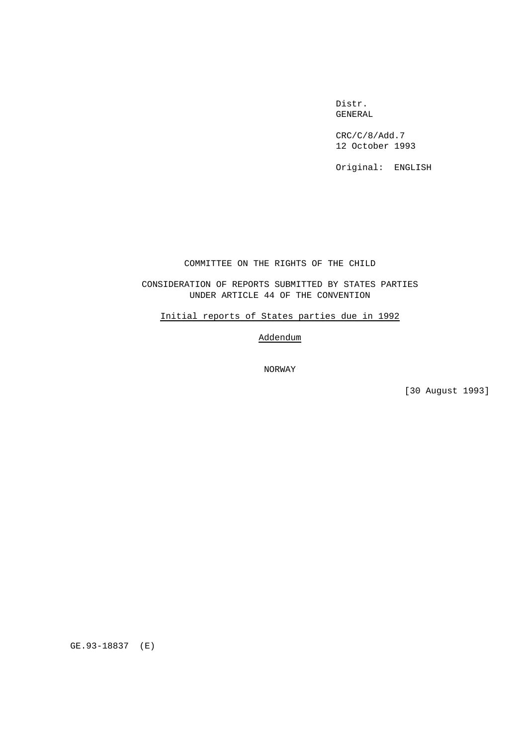Distr. GENERAL

CRC/C/8/Add.7 12 October 1993

Original: ENGLISH

COMMITTEE ON THE RIGHTS OF THE CHILD

CONSIDERATION OF REPORTS SUBMITTED BY STATES PARTIES UNDER ARTICLE 44 OF THE CONVENTION

Initial reports of States parties due in 1992

Addendum

NORWAY

[30 August 1993]

GE.93-18837 (E)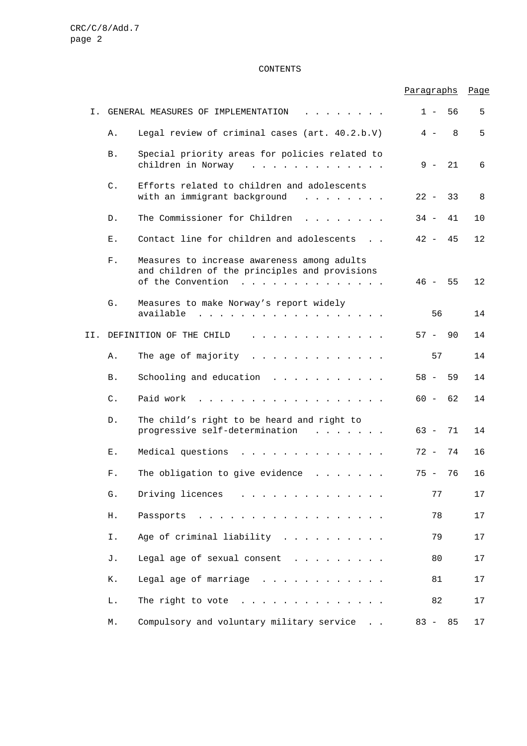# CONTENTS

|     |                |                                                                                                                                                                                                                                                                                       | Paragraphs |    | Page |
|-----|----------------|---------------------------------------------------------------------------------------------------------------------------------------------------------------------------------------------------------------------------------------------------------------------------------------|------------|----|------|
| Ι.  |                | GENERAL MEASURES OF IMPLEMENTATION                                                                                                                                                                                                                                                    | $1 -$      | 56 | 5    |
|     | Α.             | Legal review of criminal cases (art. 40.2.b.V)                                                                                                                                                                                                                                        | 4 –        | 8  | 5    |
|     | Β.             | Special priority areas for policies related to<br>children in Norway<br>.                                                                                                                                                                                                             | 9 –        | 21 | 6    |
|     | $C$ .          | Efforts related to children and adolescents<br>with an immigrant background<br>$\mathbf{r}$ and $\mathbf{r}$ and $\mathbf{r}$ and $\mathbf{r}$                                                                                                                                        | $22 -$     | 33 | 8    |
|     | D.             | The Commissioner for Children                                                                                                                                                                                                                                                         | $34 -$     | 41 | 10   |
|     | Ε.             | Contact line for children and adolescents                                                                                                                                                                                                                                             | $42 -$     | 45 | 12   |
|     | ${\rm F}$ .    | Measures to increase awareness among adults<br>and children of the principles and provisions<br>of the Convention<br>and a series and a series and a series                                                                                                                           | 46 –       | 55 | 12   |
|     | G.             | Measures to make Norway's report widely<br>available<br>a construction of the construction of the construction of the construction of the construction of the construction of the construction of the construction of the construction of the construction of the construction of the | 56         |    | 14   |
| II. |                | DEFINITION OF THE CHILD<br>$\mathbf{r}$ , and $\mathbf{r}$ , and $\mathbf{r}$ , and $\mathbf{r}$ , and $\mathbf{r}$                                                                                                                                                                   | $57 -$     | 90 | 14   |
|     | Α.             | The age of majority<br>$\mathbf{r}$ , $\mathbf{r}$ , $\mathbf{r}$ , $\mathbf{r}$ , $\mathbf{r}$ , $\mathbf{r}$ , $\mathbf{r}$ , $\mathbf{r}$                                                                                                                                          | 57         |    | 14   |
|     | Β.             | Schooling and education<br>$\mathbf{r}$ and $\mathbf{r}$ and $\mathbf{r}$ and $\mathbf{r}$ and $\mathbf{r}$                                                                                                                                                                           | $58 -$     | 59 | 14   |
|     | $\mathsf{C}$ . | Paid work                                                                                                                                                                                                                                                                             | $60 -$     | 62 | 14   |
|     | $D$ .          | The child's right to be heard and right to<br>progressive self-determination<br>$\cdots$                                                                                                                                                                                              | $63 -$     | 71 | 14   |
|     | Ε.             | Medical questions<br>$\mathbf{r}$ , $\mathbf{r}$ , $\mathbf{r}$ , $\mathbf{r}$ , $\mathbf{r}$ , $\mathbf{r}$ , $\mathbf{r}$ , $\mathbf{r}$ , $\mathbf{r}$                                                                                                                             | $72 -$     | 74 | 16   |
|     | $\mathbf F$ .  | The obligation to give evidence                                                                                                                                                                                                                                                       | 75 –       | 76 | 16   |
|     | G.             | Driving licences                                                                                                                                                                                                                                                                      | 77         |    | 17   |
|     | Η.             | Passports                                                                                                                                                                                                                                                                             | 78         |    | 17   |
|     | Ι.             | Age of criminal liability                                                                                                                                                                                                                                                             | 79         |    | 17   |
|     | J.             | Legal age of sexual consent                                                                                                                                                                                                                                                           | 80         |    | 17   |
|     | К.             | Legal age of marriage                                                                                                                                                                                                                                                                 | 81         |    | $17$ |
|     | L.             | The right to vote $\ldots$                                                                                                                                                                                                                                                            | 82         |    | 17   |
|     | М.             | Compulsory and voluntary military service                                                                                                                                                                                                                                             | $83 - 85$  |    | $17$ |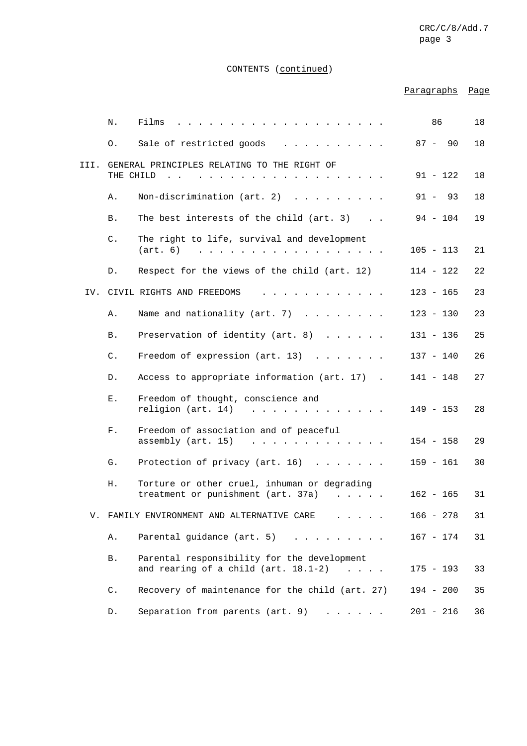# CONTENTS (continued)

# Paragraphs Page

|      | Ν.             | Films                                                                                                                                                    | 86          | 18 |
|------|----------------|----------------------------------------------------------------------------------------------------------------------------------------------------------|-------------|----|
|      | Ο.             | Sale of restricted goods                                                                                                                                 | $87 - 90$   | 18 |
| III. |                | GENERAL PRINCIPLES RELATING TO THE RIGHT OF                                                                                                              |             |    |
|      | THE CHILD      |                                                                                                                                                          | $91 - 122$  | 18 |
|      | Α.             | Non-discrimination (art. 2)<br>$\begin{array}{cccccccccccccc} . & . & . & . & . & . & . & . \end{array}$                                                 | $91 - 93$   | 18 |
|      | Β.             | The best interests of the child (art. 3)                                                                                                                 | $94 - 104$  | 19 |
|      | $\mathsf{C}$ . | The right to life, survival and development<br>(art. 6)                                                                                                  | $105 - 113$ | 21 |
|      | D.             | Respect for the views of the child (art. 12)                                                                                                             | $114 - 122$ | 22 |
|      |                | IV. CIVIL RIGHTS AND FREEDOMS                                                                                                                            | $123 - 165$ | 23 |
|      | Α.             | Name and nationality (art. 7)                                                                                                                            | $123 - 130$ | 23 |
|      | Β.             | Preservation of identity (art. 8)                                                                                                                        | $131 - 136$ | 25 |
|      | $\mathsf{C}$ . | Freedom of expression (art. 13)<br>$\cdots$                                                                                                              | $137 - 140$ | 26 |
|      | D.             | Access to appropriate information (art. 17).                                                                                                             | $141 - 148$ | 27 |
|      | Ε.             | Freedom of thought, conscience and<br>religion (art. 14)<br>$\mathbf{1}$ $\mathbf{1}$ $\mathbf{1}$                                                       | 149 - 153   | 28 |
|      | ${\rm F}$ .    | Freedom of association and of peaceful<br>assembly (art. 15)<br>$\mathbf{r}$ and $\mathbf{r}$ and $\mathbf{r}$<br>$\mathbf{r}$ . The set of $\mathbf{r}$ | 154 - 158   | 29 |
|      | G.             | Protection of privacy (art. 16)<br>$\mathbf{r}$ and $\mathbf{r}$ and $\mathbf{r}$ and $\mathbf{r}$                                                       | $159 - 161$ | 30 |
|      | Η.             | Torture or other cruel, inhuman or degrading<br>treatment or punishment (art. 37a)                                                                       | $162 - 165$ | 31 |
|      |                | V. FAMILY ENVIRONMENT AND ALTERNATIVE CARE                                                                                                               | $166 - 278$ | 31 |
|      | Α.             | Parental guidance (art. 5)                                                                                                                               | $167 - 174$ | 31 |
|      | <b>B.</b>      | Parental responsibility for the development<br>and rearing of a child (art. 18.1-2)                                                                      | $175 - 193$ | 33 |
|      | C.             | Recovery of maintenance for the child (art. 27)                                                                                                          | $194 - 200$ | 35 |
|      | D.             | Separation from parents (art. 9)                                                                                                                         | $201 - 216$ | 36 |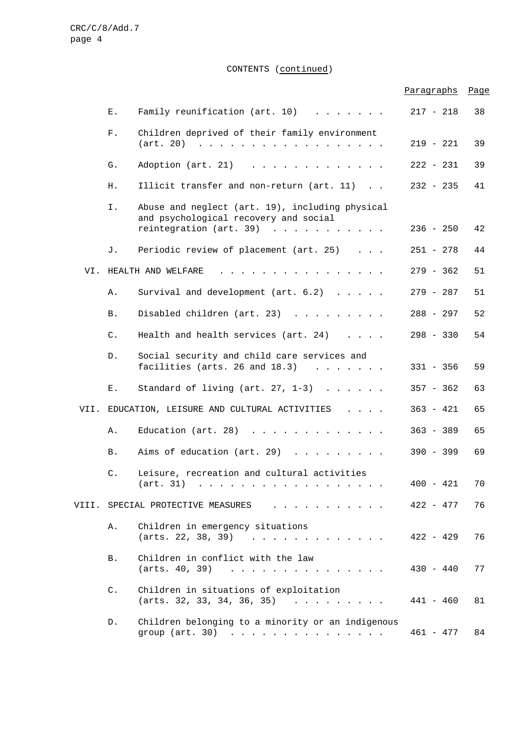CONTENTS (continued)

|       |                             |                                                                                                                                                                           | Paragraphs  | Page |
|-------|-----------------------------|---------------------------------------------------------------------------------------------------------------------------------------------------------------------------|-------------|------|
|       | Ε.                          | Family reunification (art. 10)                                                                                                                                            | $217 - 218$ | 38   |
|       | ${\rm F}$ .                 | Children deprived of their family environment<br>$(art. 20)$                                                                                                              | $219 - 221$ | 39   |
|       | G.                          | Adoption (art. 21)                                                                                                                                                        | $222 - 231$ | 39   |
|       | Η.                          | Illicit transfer and non-return (art. 11)                                                                                                                                 | $232 - 235$ | 41   |
|       | Ι.                          | Abuse and neglect (art. 19), including physical<br>and psychological recovery and social<br>reintegration (art. 39)                                                       | $236 - 250$ | 42   |
|       | J.                          | Periodic review of placement (art. 25)                                                                                                                                    | $251 - 278$ | 44   |
| VI.   |                             | HEALTH AND WELFARE<br>and a series and a series and a series                                                                                                              | $279 - 362$ | 51   |
|       | Α.                          | Survival and development (art. 6.2)                                                                                                                                       | $279 - 287$ | 51   |
|       | Β.                          | Disabled children (art. 23)                                                                                                                                               | $288 - 297$ | 52   |
|       | $\mathsf{C}$ .              | Health and health services $(\text{art. } 24)$                                                                                                                            | $298 - 330$ | 54   |
|       | D.                          | Social security and child care services and<br>facilities (arts. 26 and $18.3$ )                                                                                          | $331 - 356$ | 59   |
|       | Ε.                          | Standard of living (art. $27, 1-3$ )                                                                                                                                      | $357 - 362$ | 63   |
| VII.  |                             | EDUCATION, LEISURE AND CULTURAL ACTIVITIES $\ldots$ .                                                                                                                     | $363 - 421$ | 65   |
|       | Α.                          | Education (art. 28) $\ldots$                                                                                                                                              | $363 - 389$ | 65   |
|       | Β.                          | Aims of education (art. 29)                                                                                                                                               | $390 - 399$ | 69   |
|       | C.                          | Leisure, recreation and cultural activities<br>(art. 31)                                                                                                                  | $400 - 421$ | 70   |
| VIII. | SPECIAL PROTECTIVE MEASURES |                                                                                                                                                                           | $422 - 477$ | 76   |
|       | Α.                          | Children in emergency situations<br>(arts. 22, 38, 39)<br>the contract of the contract of the contract of the contract of the contract of the contract of the contract of | $422 - 429$ | 76   |
|       | <b>B</b> .                  | Children in conflict with the law<br>(arts. 40, 39)<br>the contract of the contract of the contract of the contract of the contract of the contract of the contract of    | $430 - 440$ | 77   |
|       | $\mathsf{C}$ .              | Children in situations of exploitation<br>$(arts. 32, 33, 34, 36, 35)$                                                                                                    | $441 - 460$ | 81   |
|       | $D$ .                       | Children belonging to a minority or an indigenous<br>group $(\arct. 30)$                                                                                                  | $461 - 477$ | 84   |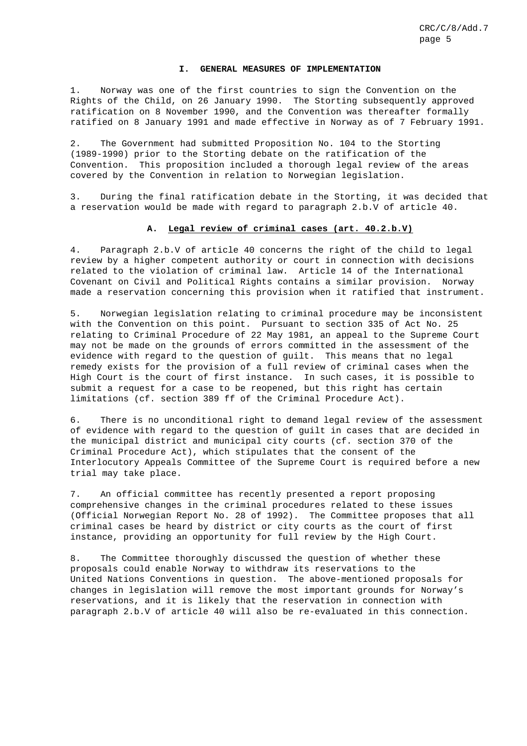#### **I. GENERAL MEASURES OF IMPLEMENTATION**

1. Norway was one of the first countries to sign the Convention on the Rights of the Child, on 26 January 1990. The Storting subsequently approved ratification on 8 November 1990, and the Convention was thereafter formally ratified on 8 January 1991 and made effective in Norway as of 7 February 1991.

2. The Government had submitted Proposition No. 104 to the Storting (1989-1990) prior to the Storting debate on the ratification of the Convention. This proposition included a thorough legal review of the areas covered by the Convention in relation to Norwegian legislation.

3. During the final ratification debate in the Storting, it was decided that a reservation would be made with regard to paragraph 2.b.V of article 40.

# **A. Legal review of criminal cases (art. 40.2.b.V)**

4. Paragraph 2.b.V of article 40 concerns the right of the child to legal review by a higher competent authority or court in connection with decisions related to the violation of criminal law. Article 14 of the International Covenant on Civil and Political Rights contains a similar provision. Norway made a reservation concerning this provision when it ratified that instrument.

5. Norwegian legislation relating to criminal procedure may be inconsistent with the Convention on this point. Pursuant to section 335 of Act No. 25 relating to Criminal Procedure of 22 May 1981, an appeal to the Supreme Court may not be made on the grounds of errors committed in the assessment of the evidence with regard to the question of guilt. This means that no legal remedy exists for the provision of a full review of criminal cases when the High Court is the court of first instance. In such cases, it is possible to submit a request for a case to be reopened, but this right has certain limitations (cf. section 389 ff of the Criminal Procedure Act).

6. There is no unconditional right to demand legal review of the assessment of evidence with regard to the question of guilt in cases that are decided in the municipal district and municipal city courts (cf. section 370 of the Criminal Procedure Act), which stipulates that the consent of the Interlocutory Appeals Committee of the Supreme Court is required before a new trial may take place.

7. An official committee has recently presented a report proposing comprehensive changes in the criminal procedures related to these issues (Official Norwegian Report No. 28 of 1992). The Committee proposes that all criminal cases be heard by district or city courts as the court of first instance, providing an opportunity for full review by the High Court.

8. The Committee thoroughly discussed the question of whether these proposals could enable Norway to withdraw its reservations to the United Nations Conventions in question. The above-mentioned proposals for changes in legislation will remove the most important grounds for Norway's reservations, and it is likely that the reservation in connection with paragraph 2.b.V of article 40 will also be re-evaluated in this connection.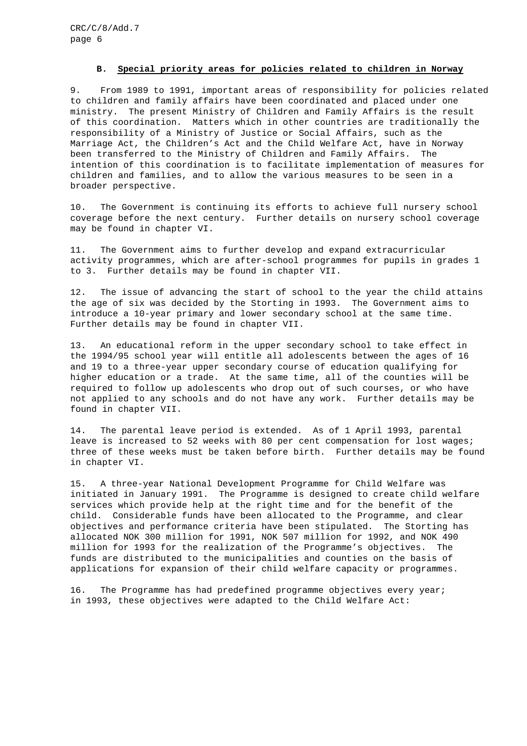#### **B. Special priority areas for policies related to children in Norway**

9. From 1989 to 1991, important areas of responsibility for policies related to children and family affairs have been coordinated and placed under one ministry. The present Ministry of Children and Family Affairs is the result of this coordination. Matters which in other countries are traditionally the responsibility of a Ministry of Justice or Social Affairs, such as the Marriage Act, the Children's Act and the Child Welfare Act, have in Norway been transferred to the Ministry of Children and Family Affairs. The intention of this coordination is to facilitate implementation of measures for children and families, and to allow the various measures to be seen in a broader perspective.

10. The Government is continuing its efforts to achieve full nursery school coverage before the next century. Further details on nursery school coverage may be found in chapter VI.

11. The Government aims to further develop and expand extracurricular activity programmes, which are after-school programmes for pupils in grades 1 to 3. Further details may be found in chapter VII.

12. The issue of advancing the start of school to the year the child attains the age of six was decided by the Storting in 1993. The Government aims to introduce a 10-year primary and lower secondary school at the same time. Further details may be found in chapter VII.

13. An educational reform in the upper secondary school to take effect in the 1994/95 school year will entitle all adolescents between the ages of 16 and 19 to a three-year upper secondary course of education qualifying for higher education or a trade. At the same time, all of the counties will be required to follow up adolescents who drop out of such courses, or who have not applied to any schools and do not have any work. Further details may be found in chapter VII.

14. The parental leave period is extended. As of 1 April 1993, parental leave is increased to 52 weeks with 80 per cent compensation for lost wages; three of these weeks must be taken before birth. Further details may be found in chapter VI.

15. A three-year National Development Programme for Child Welfare was initiated in January 1991. The Programme is designed to create child welfare services which provide help at the right time and for the benefit of the child. Considerable funds have been allocated to the Programme, and clear objectives and performance criteria have been stipulated. The Storting has allocated NOK 300 million for 1991, NOK 507 million for 1992, and NOK 490 million for 1993 for the realization of the Programme's objectives. The funds are distributed to the municipalities and counties on the basis of applications for expansion of their child welfare capacity or programmes.

16. The Programme has had predefined programme objectives every year; in 1993, these objectives were adapted to the Child Welfare Act: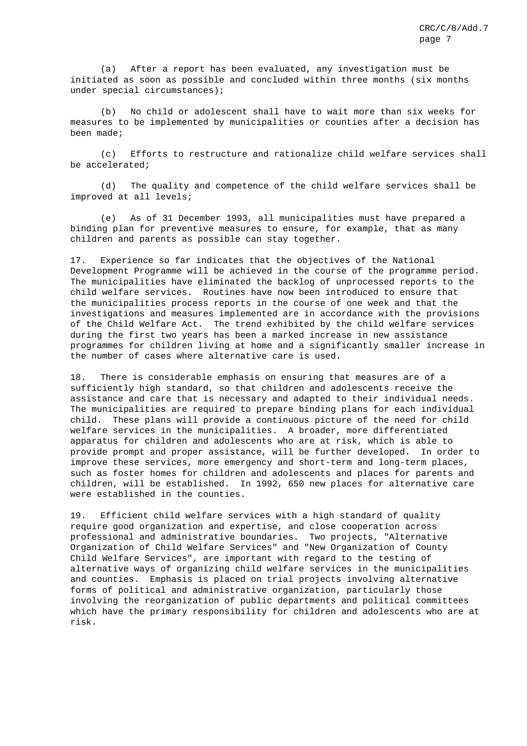(a) After a report has been evaluated, any investigation must be initiated as soon as possible and concluded within three months (six months under special circumstances);

(b) No child or adolescent shall have to wait more than six weeks for measures to be implemented by municipalities or counties after a decision has been made;

(c) Efforts to restructure and rationalize child welfare services shall be accelerated;

(d) The quality and competence of the child welfare services shall be improved at all levels;

(e) As of 31 December 1993, all municipalities must have prepared a binding plan for preventive measures to ensure, for example, that as many children and parents as possible can stay together.

17. Experience so far indicates that the objectives of the National Development Programme will be achieved in the course of the programme period. The municipalities have eliminated the backlog of unprocessed reports to the child welfare services. Routines have now been introduced to ensure that the municipalities process reports in the course of one week and that the investigations and measures implemented are in accordance with the provisions of the Child Welfare Act. The trend exhibited by the child welfare services during the first two years has been a marked increase in new assistance programmes for children living at home and a significantly smaller increase in the number of cases where alternative care is used.

18. There is considerable emphasis on ensuring that measures are of a sufficiently high standard, so that children and adolescents receive the assistance and care that is necessary and adapted to their individual needs. The municipalities are required to prepare binding plans for each individual child. These plans will provide a continuous picture of the need for child welfare services in the municipalities. A broader, more differentiated apparatus for children and adolescents who are at risk, which is able to provide prompt and proper assistance, will be further developed. In order to improve these services, more emergency and short-term and long-term places, such as foster homes for children and adolescents and places for parents and children, will be established. In 1992, 650 new places for alternative care were established in the counties.

19. Efficient child welfare services with a high standard of quality require good organization and expertise, and close cooperation across professional and administrative boundaries. Two projects, "Alternative Organization of Child Welfare Services" and "New Organization of County Child Welfare Services", are important with regard to the testing of alternative ways of organizing child welfare services in the municipalities and counties. Emphasis is placed on trial projects involving alternative forms of political and administrative organization, particularly those involving the reorganization of public departments and political committees which have the primary responsibility for children and adolescents who are at risk.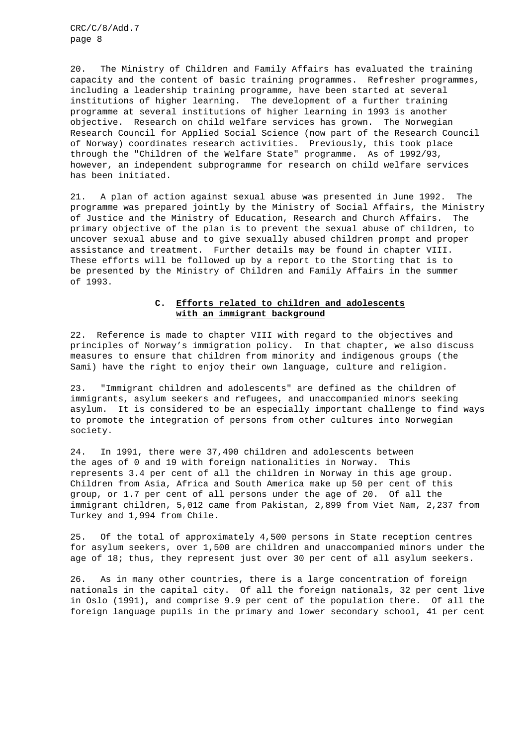20. The Ministry of Children and Family Affairs has evaluated the training capacity and the content of basic training programmes. Refresher programmes, including a leadership training programme, have been started at several institutions of higher learning. The development of a further training programme at several institutions of higher learning in 1993 is another objective. Research on child welfare services has grown. The Norwegian Research Council for Applied Social Science (now part of the Research Council of Norway) coordinates research activities. Previously, this took place through the "Children of the Welfare State" programme. As of 1992/93, however, an independent subprogramme for research on child welfare services has been initiated.

21. A plan of action against sexual abuse was presented in June 1992. The programme was prepared jointly by the Ministry of Social Affairs, the Ministry of Justice and the Ministry of Education, Research and Church Affairs. The primary objective of the plan is to prevent the sexual abuse of children, to uncover sexual abuse and to give sexually abused children prompt and proper assistance and treatment. Further details may be found in chapter VIII. These efforts will be followed up by a report to the Storting that is to be presented by the Ministry of Children and Family Affairs in the summer of 1993.

# **C. Efforts related to children and adolescents with an immigrant background**

22. Reference is made to chapter VIII with regard to the objectives and principles of Norway's immigration policy. In that chapter, we also discuss measures to ensure that children from minority and indigenous groups (the Sami) have the right to enjoy their own language, culture and religion.

23. "Immigrant children and adolescents" are defined as the children of immigrants, asylum seekers and refugees, and unaccompanied minors seeking asylum. It is considered to be an especially important challenge to find ways to promote the integration of persons from other cultures into Norwegian society.

24. In 1991, there were 37,490 children and adolescents between the ages of 0 and 19 with foreign nationalities in Norway. This represents 3.4 per cent of all the children in Norway in this age group. Children from Asia, Africa and South America make up 50 per cent of this group, or 1.7 per cent of all persons under the age of 20. Of all the immigrant children, 5,012 came from Pakistan, 2,899 from Viet Nam, 2,237 from Turkey and 1,994 from Chile.

25. Of the total of approximately 4,500 persons in State reception centres for asylum seekers, over 1,500 are children and unaccompanied minors under the age of 18; thus, they represent just over 30 per cent of all asylum seekers.

26. As in many other countries, there is a large concentration of foreign nationals in the capital city. Of all the foreign nationals, 32 per cent live in Oslo (1991), and comprise 9.9 per cent of the population there. Of all the foreign language pupils in the primary and lower secondary school, 41 per cent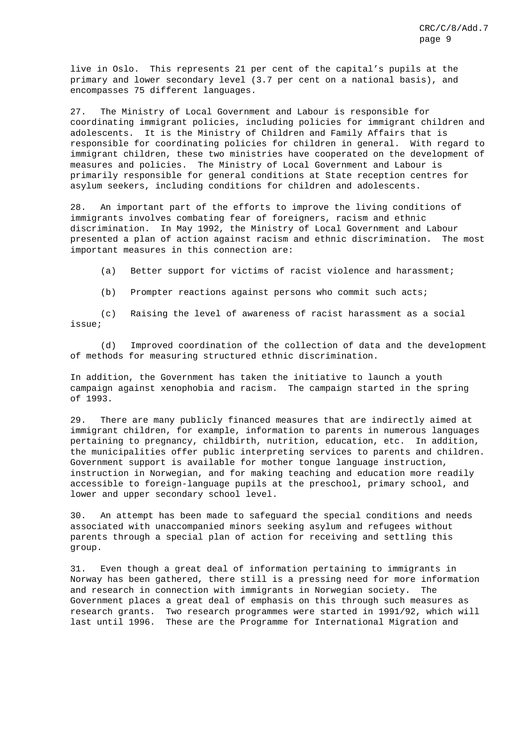live in Oslo. This represents 21 per cent of the capital's pupils at the primary and lower secondary level (3.7 per cent on a national basis), and encompasses 75 different languages.

27. The Ministry of Local Government and Labour is responsible for coordinating immigrant policies, including policies for immigrant children and adolescents. It is the Ministry of Children and Family Affairs that is responsible for coordinating policies for children in general. With regard to immigrant children, these two ministries have cooperated on the development of measures and policies. The Ministry of Local Government and Labour is primarily responsible for general conditions at State reception centres for asylum seekers, including conditions for children and adolescents.

28. An important part of the efforts to improve the living conditions of immigrants involves combating fear of foreigners, racism and ethnic discrimination. In May 1992, the Ministry of Local Government and Labour presented a plan of action against racism and ethnic discrimination. The most important measures in this connection are:

(a) Better support for victims of racist violence and harassment;

(b) Prompter reactions against persons who commit such acts;

(c) Raising the level of awareness of racist harassment as a social issue;

(d) Improved coordination of the collection of data and the development of methods for measuring structured ethnic discrimination.

In addition, the Government has taken the initiative to launch a youth campaign against xenophobia and racism. The campaign started in the spring of 1993.

29. There are many publicly financed measures that are indirectly aimed at immigrant children, for example, information to parents in numerous languages pertaining to pregnancy, childbirth, nutrition, education, etc. In addition, the municipalities offer public interpreting services to parents and children. Government support is available for mother tongue language instruction, instruction in Norwegian, and for making teaching and education more readily accessible to foreign-language pupils at the preschool, primary school, and lower and upper secondary school level.

30. An attempt has been made to safeguard the special conditions and needs associated with unaccompanied minors seeking asylum and refugees without parents through a special plan of action for receiving and settling this group.

31. Even though a great deal of information pertaining to immigrants in Norway has been gathered, there still is a pressing need for more information and research in connection with immigrants in Norwegian society. The Government places a great deal of emphasis on this through such measures as research grants. Two research programmes were started in 1991/92, which will last until 1996. These are the Programme for International Migration and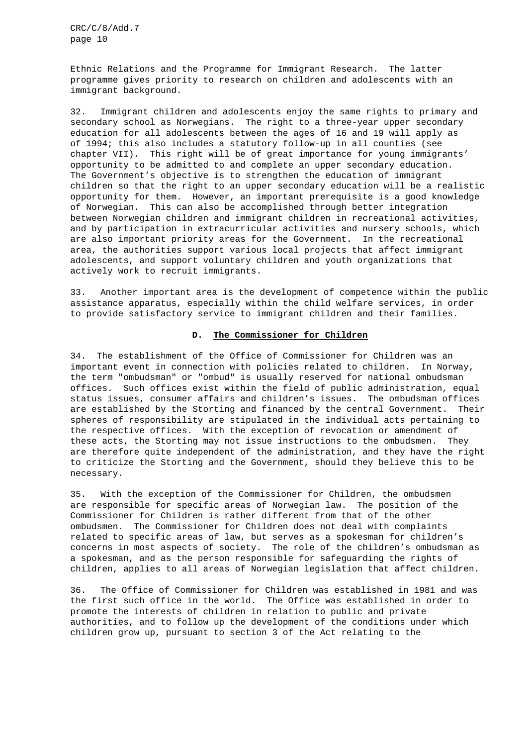Ethnic Relations and the Programme for Immigrant Research. The latter programme gives priority to research on children and adolescents with an immigrant background.

32. Immigrant children and adolescents enjoy the same rights to primary and secondary school as Norwegians. The right to a three-year upper secondary education for all adolescents between the ages of 16 and 19 will apply as of 1994; this also includes a statutory follow-up in all counties (see chapter VII). This right will be of great importance for young immigrants' opportunity to be admitted to and complete an upper secondary education. The Government's objective is to strengthen the education of immigrant children so that the right to an upper secondary education will be a realistic opportunity for them. However, an important prerequisite is a good knowledge of Norwegian. This can also be accomplished through better integration between Norwegian children and immigrant children in recreational activities, and by participation in extracurricular activities and nursery schools, which are also important priority areas for the Government. In the recreational area, the authorities support various local projects that affect immigrant adolescents, and support voluntary children and youth organizations that actively work to recruit immigrants.

33. Another important area is the development of competence within the public assistance apparatus, especially within the child welfare services, in order to provide satisfactory service to immigrant children and their families.

## **D. The Commissioner for Children**

34. The establishment of the Office of Commissioner for Children was an important event in connection with policies related to children. In Norway, the term "ombudsman" or "ombud" is usually reserved for national ombudsman offices. Such offices exist within the field of public administration, equal status issues, consumer affairs and children's issues. The ombudsman offices are established by the Storting and financed by the central Government. Their spheres of responsibility are stipulated in the individual acts pertaining to the respective offices. With the exception of revocation or amendment of these acts, the Storting may not issue instructions to the ombudsmen. They are therefore quite independent of the administration, and they have the right to criticize the Storting and the Government, should they believe this to be necessary.

35. With the exception of the Commissioner for Children, the ombudsmen are responsible for specific areas of Norwegian law. The position of the Commissioner for Children is rather different from that of the other ombudsmen. The Commissioner for Children does not deal with complaints related to specific areas of law, but serves as a spokesman for children's concerns in most aspects of society. The role of the children's ombudsman as a spokesman, and as the person responsible for safeguarding the rights of children, applies to all areas of Norwegian legislation that affect children.

36. The Office of Commissioner for Children was established in 1981 and was the first such office in the world. The Office was established in order to promote the interests of children in relation to public and private authorities, and to follow up the development of the conditions under which children grow up, pursuant to section 3 of the Act relating to the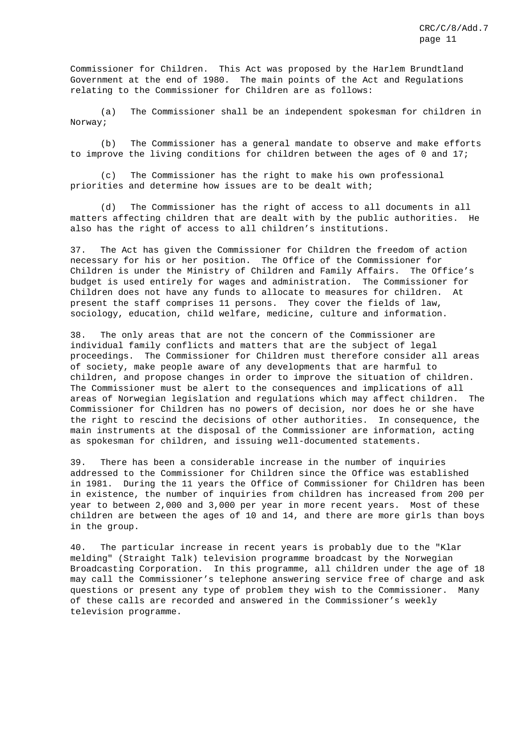Commissioner for Children. This Act was proposed by the Harlem Brundtland Government at the end of 1980. The main points of the Act and Regulations relating to the Commissioner for Children are as follows:

(a) The Commissioner shall be an independent spokesman for children in Norway;

(b) The Commissioner has a general mandate to observe and make efforts to improve the living conditions for children between the ages of 0 and 17;

(c) The Commissioner has the right to make his own professional priorities and determine how issues are to be dealt with;

(d) The Commissioner has the right of access to all documents in all matters affecting children that are dealt with by the public authorities. He also has the right of access to all children's institutions.

37. The Act has given the Commissioner for Children the freedom of action necessary for his or her position. The Office of the Commissioner for Children is under the Ministry of Children and Family Affairs. The Office's budget is used entirely for wages and administration. The Commissioner for Children does not have any funds to allocate to measures for children. At present the staff comprises 11 persons. They cover the fields of law, sociology, education, child welfare, medicine, culture and information.

38. The only areas that are not the concern of the Commissioner are individual family conflicts and matters that are the subject of legal proceedings. The Commissioner for Children must therefore consider all areas of society, make people aware of any developments that are harmful to children, and propose changes in order to improve the situation of children. The Commissioner must be alert to the consequences and implications of all areas of Norwegian legislation and regulations which may affect children. The Commissioner for Children has no powers of decision, nor does he or she have the right to rescind the decisions of other authorities. In consequence, the main instruments at the disposal of the Commissioner are information, acting as spokesman for children, and issuing well-documented statements.

39. There has been a considerable increase in the number of inquiries addressed to the Commissioner for Children since the Office was established in 1981. During the 11 years the Office of Commissioner for Children has been in existence, the number of inquiries from children has increased from 200 per year to between 2,000 and 3,000 per year in more recent years. Most of these children are between the ages of 10 and 14, and there are more girls than boys in the group.

40. The particular increase in recent years is probably due to the "Klar melding" (Straight Talk) television programme broadcast by the Norwegian Broadcasting Corporation. In this programme, all children under the age of 18 may call the Commissioner's telephone answering service free of charge and ask questions or present any type of problem they wish to the Commissioner. Many of these calls are recorded and answered in the Commissioner's weekly television programme.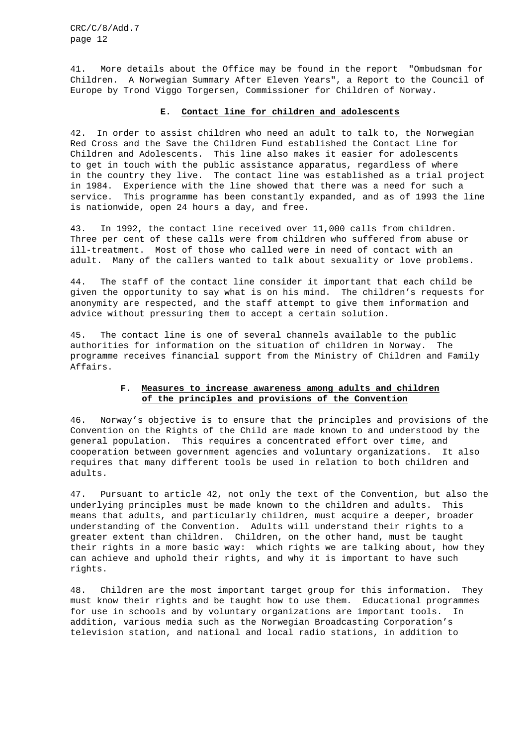41. More details about the Office may be found in the report "Ombudsman for Children. A Norwegian Summary After Eleven Years", a Report to the Council of Europe by Trond Viggo Torgersen, Commissioner for Children of Norway.

# **E. Contact line for children and adolescents**

42. In order to assist children who need an adult to talk to, the Norwegian Red Cross and the Save the Children Fund established the Contact Line for Children and Adolescents. This line also makes it easier for adolescents to get in touch with the public assistance apparatus, regardless of where in the country they live. The contact line was established as a trial project in 1984. Experience with the line showed that there was a need for such a service. This programme has been constantly expanded, and as of 1993 the line is nationwide, open 24 hours a day, and free.

43. In 1992, the contact line received over 11,000 calls from children. Three per cent of these calls were from children who suffered from abuse or ill-treatment. Most of those who called were in need of contact with an adult. Many of the callers wanted to talk about sexuality or love problems.

44. The staff of the contact line consider it important that each child be given the opportunity to say what is on his mind. The children's requests for anonymity are respected, and the staff attempt to give them information and advice without pressuring them to accept a certain solution.

45. The contact line is one of several channels available to the public authorities for information on the situation of children in Norway. The programme receives financial support from the Ministry of Children and Family Affairs.

# **F. Measures to increase awareness among adults and children of the principles and provisions of the Convention**

46. Norway's objective is to ensure that the principles and provisions of the Convention on the Rights of the Child are made known to and understood by the general population. This requires a concentrated effort over time, and cooperation between government agencies and voluntary organizations. It also requires that many different tools be used in relation to both children and adults.

47. Pursuant to article 42, not only the text of the Convention, but also the underlying principles must be made known to the children and adults. This means that adults, and particularly children, must acquire a deeper, broader understanding of the Convention. Adults will understand their rights to a greater extent than children. Children, on the other hand, must be taught their rights in a more basic way: which rights we are talking about, how they can achieve and uphold their rights, and why it is important to have such rights.

48. Children are the most important target group for this information. They must know their rights and be taught how to use them. Educational programmes for use in schools and by voluntary organizations are important tools. In addition, various media such as the Norwegian Broadcasting Corporation's television station, and national and local radio stations, in addition to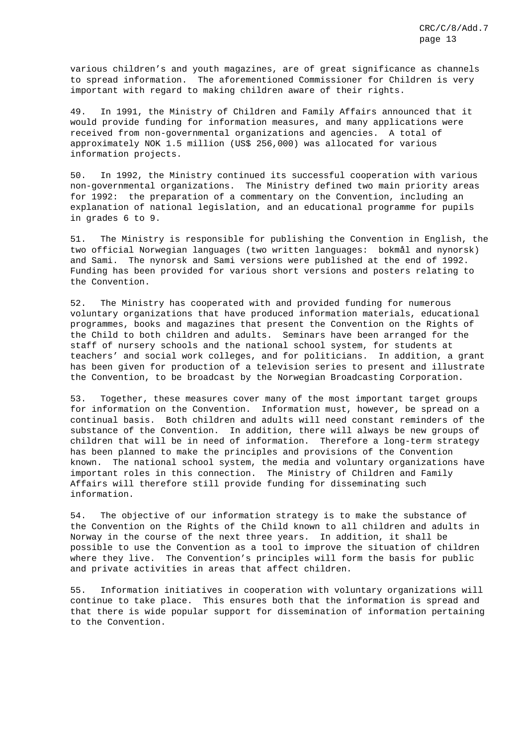various children's and youth magazines, are of great significance as channels to spread information. The aforementioned Commissioner for Children is very important with regard to making children aware of their rights.

49. In 1991, the Ministry of Children and Family Affairs announced that it would provide funding for information measures, and many applications were received from non-governmental organizations and agencies. A total of approximately NOK 1.5 million (US\$ 256,000) was allocated for various information projects.

50. In 1992, the Ministry continued its successful cooperation with various non-governmental organizations. The Ministry defined two main priority areas for 1992: the preparation of a commentary on the Convention, including an explanation of national legislation, and an educational programme for pupils in grades 6 to 9.

51. The Ministry is responsible for publishing the Convention in English, the two official Norwegian languages (two written languages: bokmål and nynorsk) and Sami. The nynorsk and Sami versions were published at the end of 1992. Funding has been provided for various short versions and posters relating to the Convention.

52. The Ministry has cooperated with and provided funding for numerous voluntary organizations that have produced information materials, educational programmes, books and magazines that present the Convention on the Rights of the Child to both children and adults. Seminars have been arranged for the staff of nursery schools and the national school system, for students at teachers' and social work colleges, and for politicians. In addition, a grant has been given for production of a television series to present and illustrate the Convention, to be broadcast by the Norwegian Broadcasting Corporation.

53. Together, these measures cover many of the most important target groups for information on the Convention. Information must, however, be spread on a continual basis. Both children and adults will need constant reminders of the substance of the Convention. In addition, there will always be new groups of children that will be in need of information. Therefore a long-term strategy has been planned to make the principles and provisions of the Convention known. The national school system, the media and voluntary organizations have important roles in this connection. The Ministry of Children and Family Affairs will therefore still provide funding for disseminating such information.

54. The objective of our information strategy is to make the substance of the Convention on the Rights of the Child known to all children and adults in Norway in the course of the next three years. In addition, it shall be possible to use the Convention as a tool to improve the situation of children where they live. The Convention's principles will form the basis for public and private activities in areas that affect children.

55. Information initiatives in cooperation with voluntary organizations will continue to take place. This ensures both that the information is spread and that there is wide popular support for dissemination of information pertaining to the Convention.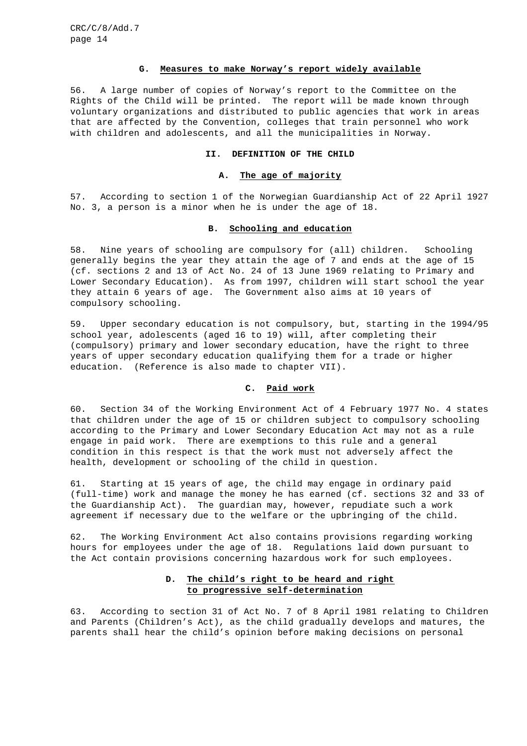#### **G. Measures to make Norway's report widely available**

56. A large number of copies of Norway's report to the Committee on the Rights of the Child will be printed. The report will be made known through voluntary organizations and distributed to public agencies that work in areas that are affected by the Convention, colleges that train personnel who work with children and adolescents, and all the municipalities in Norway.

#### **II. DEFINITION OF THE CHILD**

#### **A. The age of majority**

57. According to section 1 of the Norwegian Guardianship Act of 22 April 1927 No. 3, a person is a minor when he is under the age of 18.

#### **B. Schooling and education**

58. Nine years of schooling are compulsory for (all) children. Schooling generally begins the year they attain the age of 7 and ends at the age of 15 (cf. sections 2 and 13 of Act No. 24 of 13 June 1969 relating to Primary and Lower Secondary Education). As from 1997, children will start school the year they attain 6 years of age. The Government also aims at 10 years of compulsory schooling.

59. Upper secondary education is not compulsory, but, starting in the 1994/95 school year, adolescents (aged 16 to 19) will, after completing their (compulsory) primary and lower secondary education, have the right to three years of upper secondary education qualifying them for a trade or higher education. (Reference is also made to chapter VII).

# **C. Paid work**

60. Section 34 of the Working Environment Act of 4 February 1977 No. 4 states that children under the age of 15 or children subject to compulsory schooling according to the Primary and Lower Secondary Education Act may not as a rule engage in paid work. There are exemptions to this rule and a general condition in this respect is that the work must not adversely affect the health, development or schooling of the child in question.

61. Starting at 15 years of age, the child may engage in ordinary paid (full-time) work and manage the money he has earned (cf. sections 32 and 33 of the Guardianship Act). The guardian may, however, repudiate such a work agreement if necessary due to the welfare or the upbringing of the child.

62. The Working Environment Act also contains provisions regarding working hours for employees under the age of 18. Regulations laid down pursuant to the Act contain provisions concerning hazardous work for such employees.

# **D. The child's right to be heard and right to progressive self-determination**

63. According to section 31 of Act No. 7 of 8 April 1981 relating to Children and Parents (Children's Act), as the child gradually develops and matures, the parents shall hear the child's opinion before making decisions on personal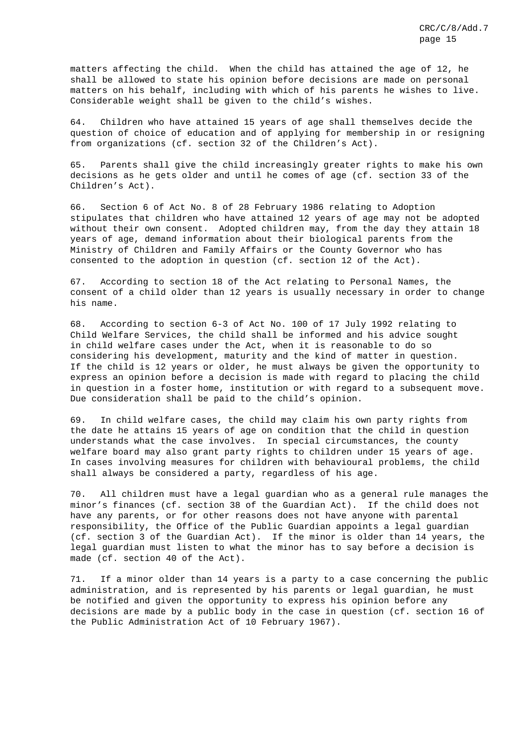matters affecting the child. When the child has attained the age of 12, he shall be allowed to state his opinion before decisions are made on personal matters on his behalf, including with which of his parents he wishes to live. Considerable weight shall be given to the child's wishes.

64. Children who have attained 15 years of age shall themselves decide the question of choice of education and of applying for membership in or resigning from organizations (cf. section 32 of the Children's Act).

65. Parents shall give the child increasingly greater rights to make his own decisions as he gets older and until he comes of age (cf. section 33 of the Children's Act).

66. Section 6 of Act No. 8 of 28 February 1986 relating to Adoption stipulates that children who have attained 12 years of age may not be adopted without their own consent. Adopted children may, from the day they attain 18 years of age, demand information about their biological parents from the Ministry of Children and Family Affairs or the County Governor who has consented to the adoption in question (cf. section 12 of the Act).

67. According to section 18 of the Act relating to Personal Names, the consent of a child older than 12 years is usually necessary in order to change his name.

68. According to section 6-3 of Act No. 100 of 17 July 1992 relating to Child Welfare Services, the child shall be informed and his advice sought in child welfare cases under the Act, when it is reasonable to do so considering his development, maturity and the kind of matter in question. If the child is 12 years or older, he must always be given the opportunity to express an opinion before a decision is made with regard to placing the child in question in a foster home, institution or with regard to a subsequent move. Due consideration shall be paid to the child's opinion.

69. In child welfare cases, the child may claim his own party rights from the date he attains 15 years of age on condition that the child in question understands what the case involves. In special circumstances, the county welfare board may also grant party rights to children under 15 years of age. In cases involving measures for children with behavioural problems, the child shall always be considered a party, regardless of his age.

70. All children must have a legal guardian who as a general rule manages the minor's finances (cf. section 38 of the Guardian Act). If the child does not have any parents, or for other reasons does not have anyone with parental responsibility, the Office of the Public Guardian appoints a legal guardian (cf. section 3 of the Guardian Act). If the minor is older than 14 years, the legal guardian must listen to what the minor has to say before a decision is made (cf. section 40 of the Act).

71. If a minor older than 14 years is a party to a case concerning the public administration, and is represented by his parents or legal guardian, he must be notified and given the opportunity to express his opinion before any decisions are made by a public body in the case in question (cf. section 16 of the Public Administration Act of 10 February 1967).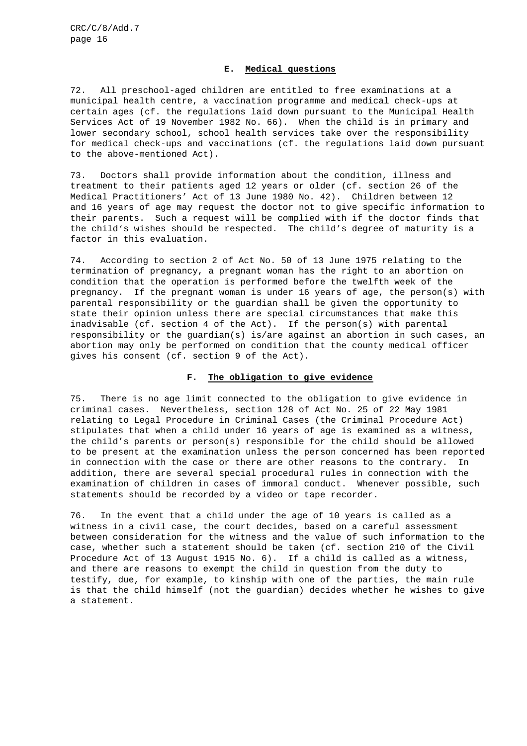#### **E. Medical questions**

72. All preschool-aged children are entitled to free examinations at a municipal health centre, a vaccination programme and medical check-ups at certain ages (cf. the regulations laid down pursuant to the Municipal Health Services Act of 19 November 1982 No. 66). When the child is in primary and lower secondary school, school health services take over the responsibility for medical check-ups and vaccinations (cf. the regulations laid down pursuant to the above-mentioned Act).

73. Doctors shall provide information about the condition, illness and treatment to their patients aged 12 years or older (cf. section 26 of the Medical Practitioners' Act of 13 June 1980 No. 42). Children between 12 and 16 years of age may request the doctor not to give specific information to their parents. Such a request will be complied with if the doctor finds that the child's wishes should be respected. The child's degree of maturity is a factor in this evaluation.

74. According to section 2 of Act No. 50 of 13 June 1975 relating to the termination of pregnancy, a pregnant woman has the right to an abortion on condition that the operation is performed before the twelfth week of the pregnancy. If the pregnant woman is under 16 years of age, the person(s) with parental responsibility or the guardian shall be given the opportunity to state their opinion unless there are special circumstances that make this inadvisable (cf. section 4 of the Act). If the person(s) with parental responsibility or the guardian(s) is/are against an abortion in such cases, an abortion may only be performed on condition that the county medical officer gives his consent (cf. section 9 of the Act).

## **F. The obligation to give evidence**

75. There is no age limit connected to the obligation to give evidence in criminal cases. Nevertheless, section 128 of Act No. 25 of 22 May 1981 relating to Legal Procedure in Criminal Cases (the Criminal Procedure Act) stipulates that when a child under 16 years of age is examined as a witness, the child's parents or person(s) responsible for the child should be allowed to be present at the examination unless the person concerned has been reported in connection with the case or there are other reasons to the contrary. In addition, there are several special procedural rules in connection with the examination of children in cases of immoral conduct. Whenever possible, such statements should be recorded by a video or tape recorder.

76. In the event that a child under the age of 10 years is called as a witness in a civil case, the court decides, based on a careful assessment between consideration for the witness and the value of such information to the case, whether such a statement should be taken (cf. section 210 of the Civil Procedure Act of 13 August 1915 No. 6). If a child is called as a witness, and there are reasons to exempt the child in question from the duty to testify, due, for example, to kinship with one of the parties, the main rule is that the child himself (not the guardian) decides whether he wishes to give a statement.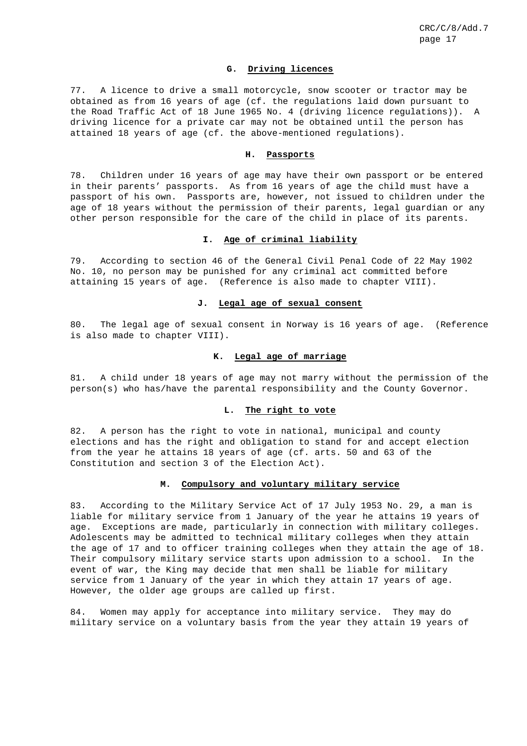## **G. Driving licences**

77. A licence to drive a small motorcycle, snow scooter or tractor may be obtained as from 16 years of age (cf. the regulations laid down pursuant to the Road Traffic Act of 18 June 1965 No. 4 (driving licence regulations)). A driving licence for a private car may not be obtained until the person has attained 18 years of age (cf. the above-mentioned regulations).

#### **H. Passports**

78. Children under 16 years of age may have their own passport or be entered in their parents' passports. As from 16 years of age the child must have a passport of his own. Passports are, however, not issued to children under the age of 18 years without the permission of their parents, legal guardian or any other person responsible for the care of the child in place of its parents.

# **I. Age of criminal liability**

79. According to section 46 of the General Civil Penal Code of 22 May 1902 No. 10, no person may be punished for any criminal act committed before attaining 15 years of age. (Reference is also made to chapter VIII).

#### **J. Legal age of sexual consent**

80. The legal age of sexual consent in Norway is 16 years of age. (Reference is also made to chapter VIII).

# **K. Legal age of marriage**

81. A child under 18 years of age may not marry without the permission of the person(s) who has/have the parental responsibility and the County Governor.

## **L. The right to vote**

82. A person has the right to vote in national, municipal and county elections and has the right and obligation to stand for and accept election from the year he attains 18 years of age (cf. arts. 50 and 63 of the Constitution and section 3 of the Election Act).

# **M. Compulsory and voluntary military service**

83. According to the Military Service Act of 17 July 1953 No. 29, a man is liable for military service from 1 January of the year he attains 19 years of age. Exceptions are made, particularly in connection with military colleges. Adolescents may be admitted to technical military colleges when they attain the age of 17 and to officer training colleges when they attain the age of 18. Their compulsory military service starts upon admission to a school. In the event of war, the King may decide that men shall be liable for military service from 1 January of the year in which they attain 17 years of age. However, the older age groups are called up first.

84. Women may apply for acceptance into military service. They may do military service on a voluntary basis from the year they attain 19 years of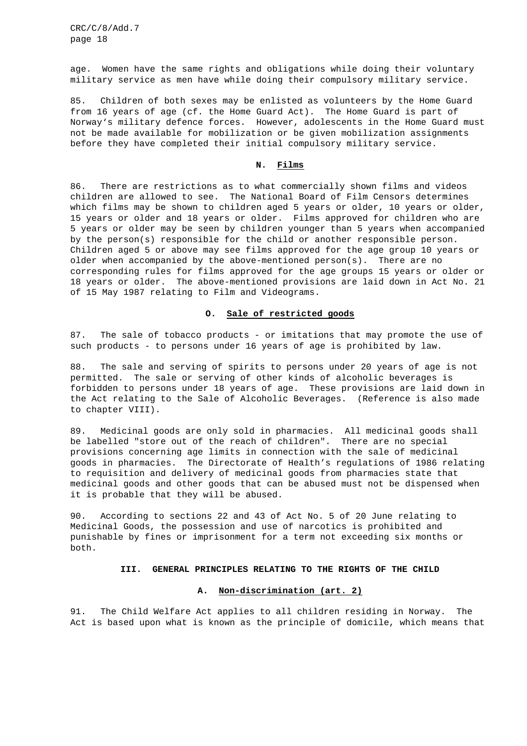age. Women have the same rights and obligations while doing their voluntary military service as men have while doing their compulsory military service.

85. Children of both sexes may be enlisted as volunteers by the Home Guard from 16 years of age (cf. the Home Guard Act). The Home Guard is part of Norway's military defence forces. However, adolescents in the Home Guard must not be made available for mobilization or be given mobilization assignments before they have completed their initial compulsory military service.

### **N. Films**

86. There are restrictions as to what commercially shown films and videos children are allowed to see. The National Board of Film Censors determines which films may be shown to children aged 5 years or older, 10 years or older, 15 years or older and 18 years or older. Films approved for children who are 5 years or older may be seen by children younger than 5 years when accompanied by the person(s) responsible for the child or another responsible person. Children aged 5 or above may see films approved for the age group 10 years or older when accompanied by the above-mentioned person(s). There are no corresponding rules for films approved for the age groups 15 years or older or 18 years or older. The above-mentioned provisions are laid down in Act No. 21 of 15 May 1987 relating to Film and Videograms.

### **O. Sale of restricted goods**

87. The sale of tobacco products - or imitations that may promote the use of such products - to persons under 16 years of age is prohibited by law.

88. The sale and serving of spirits to persons under 20 years of age is not permitted. The sale or serving of other kinds of alcoholic beverages is forbidden to persons under 18 years of age. These provisions are laid down in the Act relating to the Sale of Alcoholic Beverages. (Reference is also made to chapter VIII).

89. Medicinal goods are only sold in pharmacies. All medicinal goods shall be labelled "store out of the reach of children". There are no special provisions concerning age limits in connection with the sale of medicinal goods in pharmacies. The Directorate of Health's regulations of 1986 relating to requisition and delivery of medicinal goods from pharmacies state that medicinal goods and other goods that can be abused must not be dispensed when it is probable that they will be abused.

90. According to sections 22 and 43 of Act No. 5 of 20 June relating to Medicinal Goods, the possession and use of narcotics is prohibited and punishable by fines or imprisonment for a term not exceeding six months or both.

#### **III. GENERAL PRINCIPLES RELATING TO THE RIGHTS OF THE CHILD**

#### **A. Non-discrimination (art. 2)**

91. The Child Welfare Act applies to all children residing in Norway. The Act is based upon what is known as the principle of domicile, which means that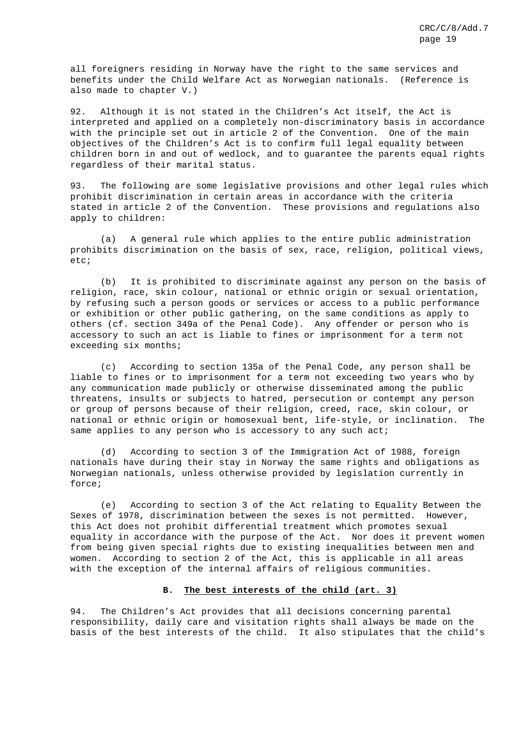all foreigners residing in Norway have the right to the same services and benefits under the Child Welfare Act as Norwegian nationals. (Reference is also made to chapter V.)

92. Although it is not stated in the Children's Act itself, the Act is interpreted and applied on a completely non-discriminatory basis in accordance with the principle set out in article 2 of the Convention. One of the main objectives of the Children's Act is to confirm full legal equality between children born in and out of wedlock, and to guarantee the parents equal rights regardless of their marital status.

93. The following are some legislative provisions and other legal rules which prohibit discrimination in certain areas in accordance with the criteria stated in article 2 of the Convention. These provisions and regulations also apply to children:

(a) A general rule which applies to the entire public administration prohibits discrimination on the basis of sex, race, religion, political views, etc;

(b) It is prohibited to discriminate against any person on the basis of religion, race, skin colour, national or ethnic origin or sexual orientation, by refusing such a person goods or services or access to a public performance or exhibition or other public gathering, on the same conditions as apply to others (cf. section 349a of the Penal Code). Any offender or person who is accessory to such an act is liable to fines or imprisonment for a term not exceeding six months;

(c) According to section 135a of the Penal Code, any person shall be liable to fines or to imprisonment for a term not exceeding two years who by any communication made publicly or otherwise disseminated among the public threatens, insults or subjects to hatred, persecution or contempt any person or group of persons because of their religion, creed, race, skin colour, or national or ethnic origin or homosexual bent, life-style, or inclination. The same applies to any person who is accessory to any such act;

(d) According to section 3 of the Immigration Act of 1988, foreign nationals have during their stay in Norway the same rights and obligations as Norwegian nationals, unless otherwise provided by legislation currently in force;

(e) According to section 3 of the Act relating to Equality Between the Sexes of 1978, discrimination between the sexes is not permitted. However, this Act does not prohibit differential treatment which promotes sexual equality in accordance with the purpose of the Act. Nor does it prevent women from being given special rights due to existing inequalities between men and women. According to section 2 of the Act, this is applicable in all areas with the exception of the internal affairs of religious communities.

## **B. The best interests of the child (art. 3)**

94. The Children's Act provides that all decisions concerning parental responsibility, daily care and visitation rights shall always be made on the basis of the best interests of the child. It also stipulates that the child's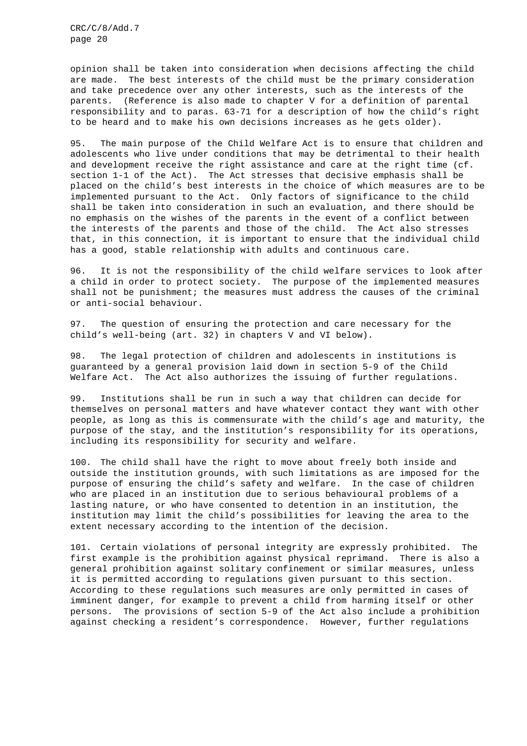opinion shall be taken into consideration when decisions affecting the child are made. The best interests of the child must be the primary consideration and take precedence over any other interests, such as the interests of the parents. (Reference is also made to chapter V for a definition of parental responsibility and to paras. 63-71 for a description of how the child's right to be heard and to make his own decisions increases as he gets older).

95. The main purpose of the Child Welfare Act is to ensure that children and adolescents who live under conditions that may be detrimental to their health and development receive the right assistance and care at the right time (cf. section 1-1 of the Act). The Act stresses that decisive emphasis shall be placed on the child's best interests in the choice of which measures are to be implemented pursuant to the Act. Only factors of significance to the child shall be taken into consideration in such an evaluation, and there should be no emphasis on the wishes of the parents in the event of a conflict between the interests of the parents and those of the child. The Act also stresses that, in this connection, it is important to ensure that the individual child has a good, stable relationship with adults and continuous care.

96. It is not the responsibility of the child welfare services to look after a child in order to protect society. The purpose of the implemented measures shall not be punishment; the measures must address the causes of the criminal or anti-social behaviour.

97. The question of ensuring the protection and care necessary for the child's well-being (art. 32) in chapters V and VI below).

98. The legal protection of children and adolescents in institutions is guaranteed by a general provision laid down in section 5-9 of the Child Welfare Act. The Act also authorizes the issuing of further regulations.

99. Institutions shall be run in such a way that children can decide for themselves on personal matters and have whatever contact they want with other people, as long as this is commensurate with the child's age and maturity, the purpose of the stay, and the institution's responsibility for its operations, including its responsibility for security and welfare.

100. The child shall have the right to move about freely both inside and outside the institution grounds, with such limitations as are imposed for the purpose of ensuring the child's safety and welfare. In the case of children who are placed in an institution due to serious behavioural problems of a lasting nature, or who have consented to detention in an institution, the institution may limit the child's possibilities for leaving the area to the extent necessary according to the intention of the decision.

101. Certain violations of personal integrity are expressly prohibited. The first example is the prohibition against physical reprimand. There is also a general prohibition against solitary confinement or similar measures, unless it is permitted according to regulations given pursuant to this section. According to these regulations such measures are only permitted in cases of imminent danger, for example to prevent a child from harming itself or other persons. The provisions of section 5-9 of the Act also include a prohibition against checking a resident's correspondence. However, further regulations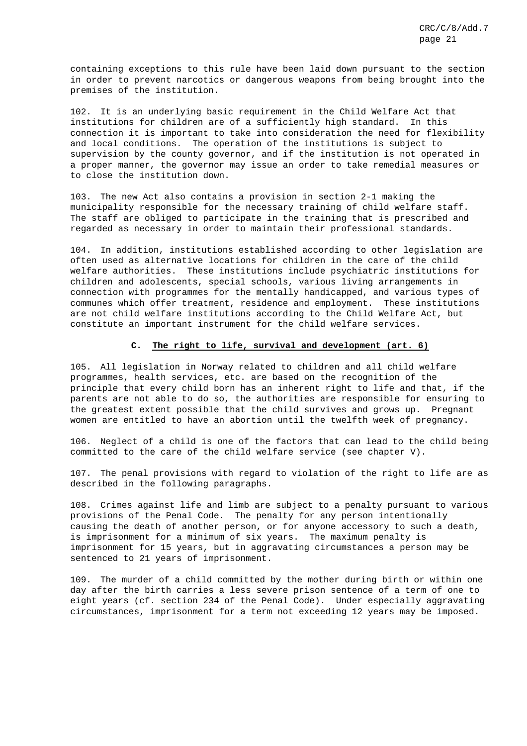containing exceptions to this rule have been laid down pursuant to the section in order to prevent narcotics or dangerous weapons from being brought into the premises of the institution.

102. It is an underlying basic requirement in the Child Welfare Act that institutions for children are of a sufficiently high standard. In this connection it is important to take into consideration the need for flexibility and local conditions. The operation of the institutions is subject to supervision by the county governor, and if the institution is not operated in a proper manner, the governor may issue an order to take remedial measures or to close the institution down.

103. The new Act also contains a provision in section 2-1 making the municipality responsible for the necessary training of child welfare staff. The staff are obliged to participate in the training that is prescribed and regarded as necessary in order to maintain their professional standards.

104. In addition, institutions established according to other legislation are often used as alternative locations for children in the care of the child welfare authorities. These institutions include psychiatric institutions for children and adolescents, special schools, various living arrangements in connection with programmes for the mentally handicapped, and various types of communes which offer treatment, residence and employment. These institutions are not child welfare institutions according to the Child Welfare Act, but constitute an important instrument for the child welfare services.

### **C. The right to life, survival and development (art. 6)**

105. All legislation in Norway related to children and all child welfare programmes, health services, etc. are based on the recognition of the principle that every child born has an inherent right to life and that, if the parents are not able to do so, the authorities are responsible for ensuring to the greatest extent possible that the child survives and grows up. Pregnant women are entitled to have an abortion until the twelfth week of pregnancy.

106. Neglect of a child is one of the factors that can lead to the child being committed to the care of the child welfare service (see chapter V).

107. The penal provisions with regard to violation of the right to life are as described in the following paragraphs.

108. Crimes against life and limb are subject to a penalty pursuant to various provisions of the Penal Code. The penalty for any person intentionally causing the death of another person, or for anyone accessory to such a death, is imprisonment for a minimum of six years. The maximum penalty is imprisonment for 15 years, but in aggravating circumstances a person may be sentenced to 21 years of imprisonment.

109. The murder of a child committed by the mother during birth or within one day after the birth carries a less severe prison sentence of a term of one to eight years (cf. section 234 of the Penal Code). Under especially aggravating circumstances, imprisonment for a term not exceeding 12 years may be imposed.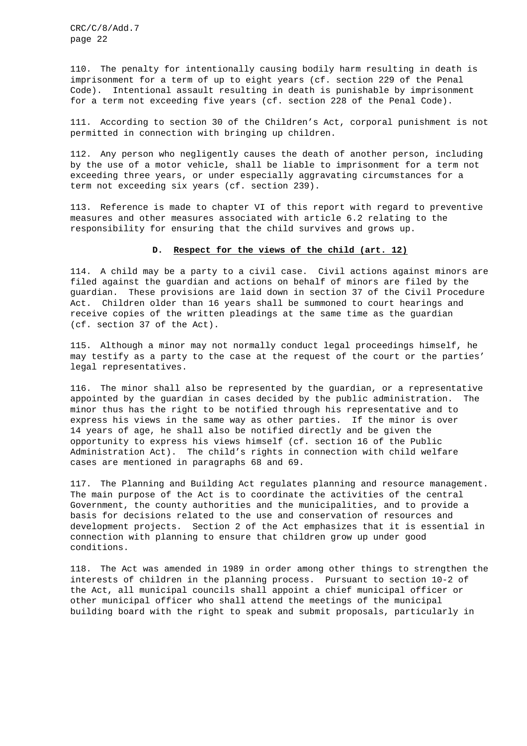110. The penalty for intentionally causing bodily harm resulting in death is imprisonment for a term of up to eight years (cf. section 229 of the Penal Code). Intentional assault resulting in death is punishable by imprisonment for a term not exceeding five years (cf. section 228 of the Penal Code).

111. According to section 30 of the Children's Act, corporal punishment is not permitted in connection with bringing up children.

112. Any person who negligently causes the death of another person, including by the use of a motor vehicle, shall be liable to imprisonment for a term not exceeding three years, or under especially aggravating circumstances for a term not exceeding six years (cf. section 239).

113. Reference is made to chapter VI of this report with regard to preventive measures and other measures associated with article 6.2 relating to the responsibility for ensuring that the child survives and grows up.

#### **D. Respect for the views of the child (art. 12)**

114. A child may be a party to a civil case. Civil actions against minors are filed against the guardian and actions on behalf of minors are filed by the guardian. These provisions are laid down in section 37 of the Civil Procedure Act. Children older than 16 years shall be summoned to court hearings and receive copies of the written pleadings at the same time as the guardian (cf. section 37 of the Act).

115. Although a minor may not normally conduct legal proceedings himself, he may testify as a party to the case at the request of the court or the parties' legal representatives.

116. The minor shall also be represented by the guardian, or a representative appointed by the guardian in cases decided by the public administration. The minor thus has the right to be notified through his representative and to express his views in the same way as other parties. If the minor is over 14 years of age, he shall also be notified directly and be given the opportunity to express his views himself (cf. section 16 of the Public Administration Act). The child's rights in connection with child welfare cases are mentioned in paragraphs 68 and 69.

117. The Planning and Building Act regulates planning and resource management. The main purpose of the Act is to coordinate the activities of the central Government, the county authorities and the municipalities, and to provide a basis for decisions related to the use and conservation of resources and development projects. Section 2 of the Act emphasizes that it is essential in connection with planning to ensure that children grow up under good conditions.

118. The Act was amended in 1989 in order among other things to strengthen the interests of children in the planning process. Pursuant to section 10-2 of the Act, all municipal councils shall appoint a chief municipal officer or other municipal officer who shall attend the meetings of the municipal building board with the right to speak and submit proposals, particularly in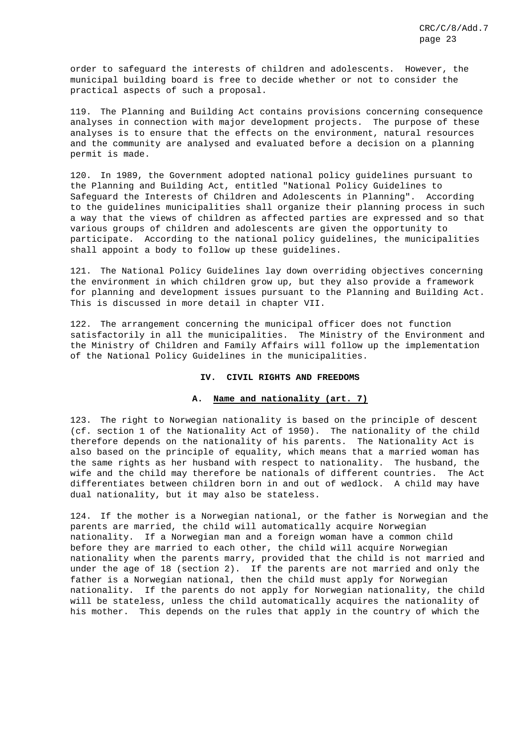order to safeguard the interests of children and adolescents. However, the municipal building board is free to decide whether or not to consider the practical aspects of such a proposal.

119. The Planning and Building Act contains provisions concerning consequence analyses in connection with major development projects. The purpose of these analyses is to ensure that the effects on the environment, natural resources and the community are analysed and evaluated before a decision on a planning permit is made.

120. In 1989, the Government adopted national policy guidelines pursuant to the Planning and Building Act, entitled "National Policy Guidelines to Safeguard the Interests of Children and Adolescents in Planning". According to the guidelines municipalities shall organize their planning process in such a way that the views of children as affected parties are expressed and so that various groups of children and adolescents are given the opportunity to participate. According to the national policy guidelines, the municipalities shall appoint a body to follow up these guidelines.

121. The National Policy Guidelines lay down overriding objectives concerning the environment in which children grow up, but they also provide a framework for planning and development issues pursuant to the Planning and Building Act. This is discussed in more detail in chapter VII.

122. The arrangement concerning the municipal officer does not function satisfactorily in all the municipalities. The Ministry of the Environment and the Ministry of Children and Family Affairs will follow up the implementation of the National Policy Guidelines in the municipalities.

#### **IV. CIVIL RIGHTS AND FREEDOMS**

## **A. Name and nationality (art. 7)**

123. The right to Norwegian nationality is based on the principle of descent (cf. section 1 of the Nationality Act of 1950). The nationality of the child therefore depends on the nationality of his parents. The Nationality Act is also based on the principle of equality, which means that a married woman has the same rights as her husband with respect to nationality. The husband, the wife and the child may therefore be nationals of different countries. The Act differentiates between children born in and out of wedlock. A child may have dual nationality, but it may also be stateless.

124. If the mother is a Norwegian national, or the father is Norwegian and the parents are married, the child will automatically acquire Norwegian nationality. If a Norwegian man and a foreign woman have a common child before they are married to each other, the child will acquire Norwegian nationality when the parents marry, provided that the child is not married and under the age of 18 (section 2). If the parents are not married and only the father is a Norwegian national, then the child must apply for Norwegian nationality. If the parents do not apply for Norwegian nationality, the child will be stateless, unless the child automatically acquires the nationality of his mother. This depends on the rules that apply in the country of which the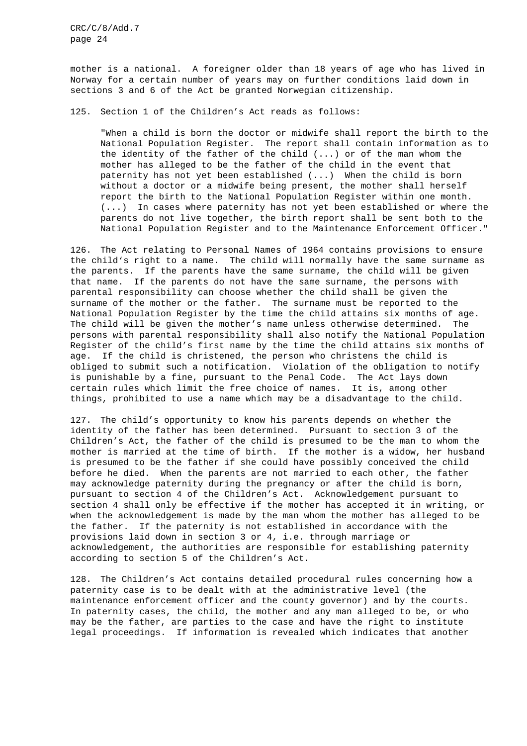mother is a national. A foreigner older than 18 years of age who has lived in Norway for a certain number of years may on further conditions laid down in sections 3 and 6 of the Act be granted Norwegian citizenship.

125. Section 1 of the Children's Act reads as follows:

"When a child is born the doctor or midwife shall report the birth to the National Population Register. The report shall contain information as to the identity of the father of the child (...) or of the man whom the mother has alleged to be the father of the child in the event that paternity has not yet been established (...) When the child is born without a doctor or a midwife being present, the mother shall herself report the birth to the National Population Register within one month. (...) In cases where paternity has not yet been established or where the parents do not live together, the birth report shall be sent both to the National Population Register and to the Maintenance Enforcement Officer."

126. The Act relating to Personal Names of 1964 contains provisions to ensure the child's right to a name. The child will normally have the same surname as the parents. If the parents have the same surname, the child will be given that name. If the parents do not have the same surname, the persons with parental responsibility can choose whether the child shall be given the surname of the mother or the father. The surname must be reported to the National Population Register by the time the child attains six months of age. The child will be given the mother's name unless otherwise determined. The persons with parental responsibility shall also notify the National Population Register of the child's first name by the time the child attains six months of age. If the child is christened, the person who christens the child is obliged to submit such a notification. Violation of the obligation to notify is punishable by a fine, pursuant to the Penal Code. The Act lays down certain rules which limit the free choice of names. It is, among other things, prohibited to use a name which may be a disadvantage to the child.

127. The child's opportunity to know his parents depends on whether the identity of the father has been determined. Pursuant to section 3 of the Children's Act, the father of the child is presumed to be the man to whom the mother is married at the time of birth. If the mother is a widow, her husband is presumed to be the father if she could have possibly conceived the child before he died. When the parents are not married to each other, the father may acknowledge paternity during the pregnancy or after the child is born, pursuant to section 4 of the Children's Act. Acknowledgement pursuant to section 4 shall only be effective if the mother has accepted it in writing, or when the acknowledgement is made by the man whom the mother has alleged to be the father. If the paternity is not established in accordance with the provisions laid down in section 3 or 4, i.e. through marriage or acknowledgement, the authorities are responsible for establishing paternity according to section 5 of the Children's Act.

128. The Children's Act contains detailed procedural rules concerning how a paternity case is to be dealt with at the administrative level (the maintenance enforcement officer and the county governor) and by the courts. In paternity cases, the child, the mother and any man alleged to be, or who may be the father, are parties to the case and have the right to institute legal proceedings. If information is revealed which indicates that another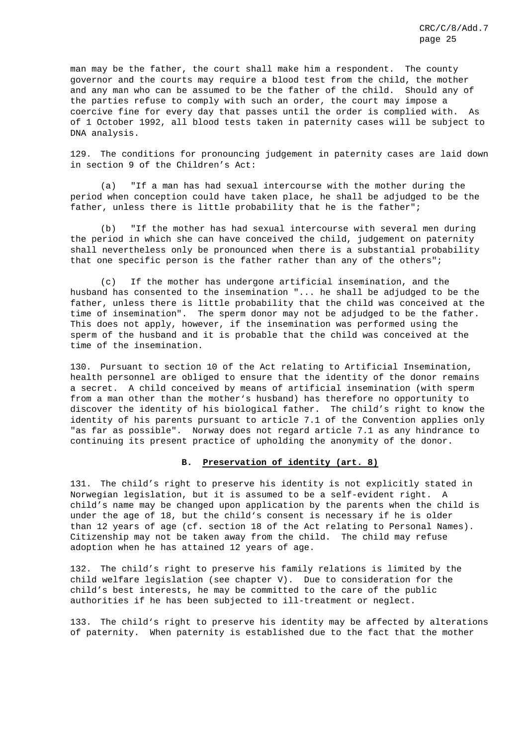man may be the father, the court shall make him a respondent. The county governor and the courts may require a blood test from the child, the mother and any man who can be assumed to be the father of the child. Should any of the parties refuse to comply with such an order, the court may impose a coercive fine for every day that passes until the order is complied with. As of 1 October 1992, all blood tests taken in paternity cases will be subject to DNA analysis.

129. The conditions for pronouncing judgement in paternity cases are laid down in section 9 of the Children's Act:

(a) "If a man has had sexual intercourse with the mother during the period when conception could have taken place, he shall be adjudged to be the father, unless there is little probability that he is the father";

(b) "If the mother has had sexual intercourse with several men during the period in which she can have conceived the child, judgement on paternity shall nevertheless only be pronounced when there is a substantial probability that one specific person is the father rather than any of the others";

(c) If the mother has undergone artificial insemination, and the husband has consented to the insemination "... he shall be adjudged to be the father, unless there is little probability that the child was conceived at the time of insemination". The sperm donor may not be adjudged to be the father. This does not apply, however, if the insemination was performed using the sperm of the husband and it is probable that the child was conceived at the time of the insemination.

130. Pursuant to section 10 of the Act relating to Artificial Insemination, health personnel are obliged to ensure that the identity of the donor remains a secret. A child conceived by means of artificial insemination (with sperm from a man other than the mother's husband) has therefore no opportunity to discover the identity of his biological father. The child's right to know the identity of his parents pursuant to article 7.1 of the Convention applies only "as far as possible". Norway does not regard article 7.1 as any hindrance to continuing its present practice of upholding the anonymity of the donor.

## **B. Preservation of identity (art. 8)**

131. The child's right to preserve his identity is not explicitly stated in Norwegian legislation, but it is assumed to be a self-evident right. A child's name may be changed upon application by the parents when the child is under the age of 18, but the child's consent is necessary if he is older than 12 years of age (cf. section 18 of the Act relating to Personal Names). Citizenship may not be taken away from the child. The child may refuse adoption when he has attained 12 years of age.

132. The child's right to preserve his family relations is limited by the child welfare legislation (see chapter V). Due to consideration for the child's best interests, he may be committed to the care of the public authorities if he has been subjected to ill-treatment or neglect.

133. The child's right to preserve his identity may be affected by alterations of paternity. When paternity is established due to the fact that the mother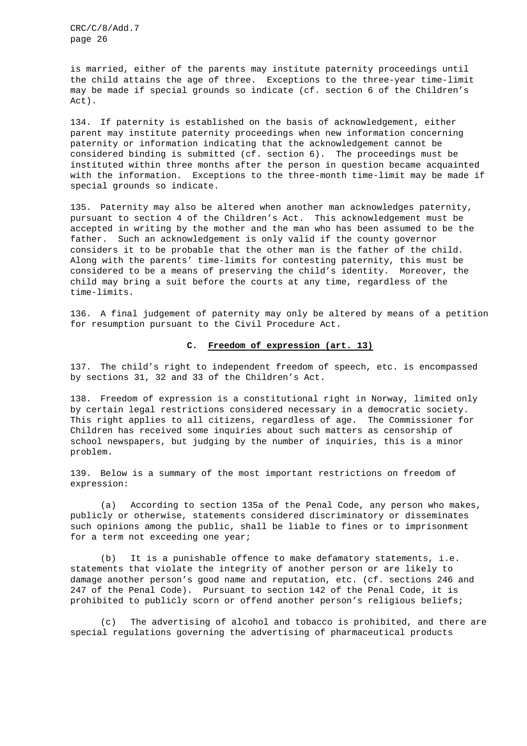is married, either of the parents may institute paternity proceedings until the child attains the age of three. Exceptions to the three-year time-limit may be made if special grounds so indicate (cf. section 6 of the Children's Act).

134. If paternity is established on the basis of acknowledgement, either parent may institute paternity proceedings when new information concerning paternity or information indicating that the acknowledgement cannot be considered binding is submitted (cf. section 6). The proceedings must be instituted within three months after the person in question became acquainted with the information. Exceptions to the three-month time-limit may be made if special grounds so indicate.

135. Paternity may also be altered when another man acknowledges paternity, pursuant to section 4 of the Children's Act. This acknowledgement must be accepted in writing by the mother and the man who has been assumed to be the father. Such an acknowledgement is only valid if the county governor considers it to be probable that the other man is the father of the child. Along with the parents' time-limits for contesting paternity, this must be considered to be a means of preserving the child's identity. Moreover, the child may bring a suit before the courts at any time, regardless of the time-limits.

136. A final judgement of paternity may only be altered by means of a petition for resumption pursuant to the Civil Procedure Act.

### **C. Freedom of expression (art. 13)**

137. The child's right to independent freedom of speech, etc. is encompassed by sections 31, 32 and 33 of the Children's Act.

138. Freedom of expression is a constitutional right in Norway, limited only by certain legal restrictions considered necessary in a democratic society. This right applies to all citizens, regardless of age. The Commissioner for Children has received some inquiries about such matters as censorship of school newspapers, but judging by the number of inquiries, this is a minor problem.

139. Below is a summary of the most important restrictions on freedom of expression:

(a) According to section 135a of the Penal Code, any person who makes, publicly or otherwise, statements considered discriminatory or disseminates such opinions among the public, shall be liable to fines or to imprisonment for a term not exceeding one year;

(b) It is a punishable offence to make defamatory statements, i.e. statements that violate the integrity of another person or are likely to damage another person's good name and reputation, etc. (cf. sections 246 and 247 of the Penal Code). Pursuant to section 142 of the Penal Code, it is prohibited to publicly scorn or offend another person's religious beliefs;

(c) The advertising of alcohol and tobacco is prohibited, and there are special regulations governing the advertising of pharmaceutical products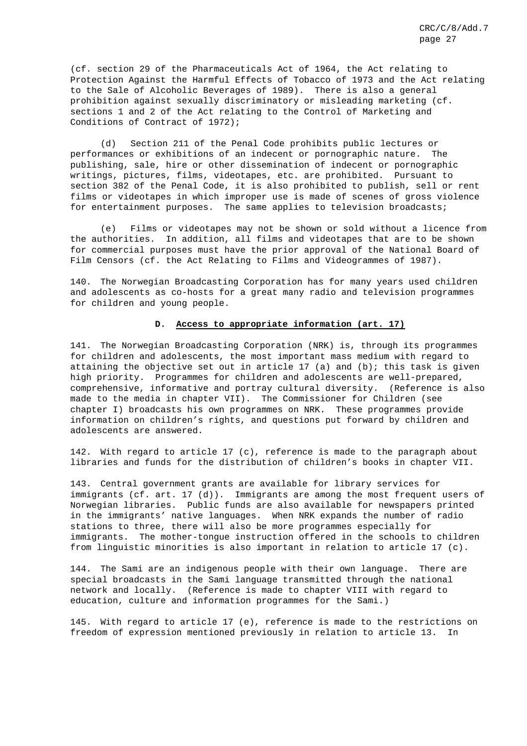(cf. section 29 of the Pharmaceuticals Act of 1964, the Act relating to Protection Against the Harmful Effects of Tobacco of 1973 and the Act relating to the Sale of Alcoholic Beverages of 1989). There is also a general prohibition against sexually discriminatory or misleading marketing (cf. sections 1 and 2 of the Act relating to the Control of Marketing and Conditions of Contract of 1972);

(d) Section 211 of the Penal Code prohibits public lectures or performances or exhibitions of an indecent or pornographic nature. The publishing, sale, hire or other dissemination of indecent or pornographic writings, pictures, films, videotapes, etc. are prohibited. Pursuant to section 382 of the Penal Code, it is also prohibited to publish, sell or rent films or videotapes in which improper use is made of scenes of gross violence for entertainment purposes. The same applies to television broadcasts;

(e) Films or videotapes may not be shown or sold without a licence from the authorities. In addition, all films and videotapes that are to be shown for commercial purposes must have the prior approval of the National Board of Film Censors (cf. the Act Relating to Films and Videogrammes of 1987).

140. The Norwegian Broadcasting Corporation has for many years used children and adolescents as co-hosts for a great many radio and television programmes for children and young people.

#### **D. Access to appropriate information (art. 17)**

141. The Norwegian Broadcasting Corporation (NRK) is, through its programmes for children and adolescents, the most important mass medium with regard to attaining the objective set out in article  $17$  (a) and (b); this task is given high priority. Programmes for children and adolescents are well-prepared, comprehensive, informative and portray cultural diversity. (Reference is also made to the media in chapter VII). The Commissioner for Children (see chapter I) broadcasts his own programmes on NRK. These programmes provide information on children's rights, and questions put forward by children and adolescents are answered.

142. With regard to article 17 (c), reference is made to the paragraph about libraries and funds for the distribution of children's books in chapter VII.

143. Central government grants are available for library services for immigrants (cf. art. 17 (d)). Immigrants are among the most frequent users of Norwegian libraries. Public funds are also available for newspapers printed in the immigrants' native languages. When NRK expands the number of radio stations to three, there will also be more programmes especially for immigrants. The mother-tongue instruction offered in the schools to children from linguistic minorities is also important in relation to article 17 (c).

144. The Sami are an indigenous people with their own language. There are special broadcasts in the Sami language transmitted through the national network and locally. (Reference is made to chapter VIII with regard to education, culture and information programmes for the Sami.)

145. With regard to article 17 (e), reference is made to the restrictions on freedom of expression mentioned previously in relation to article 13. In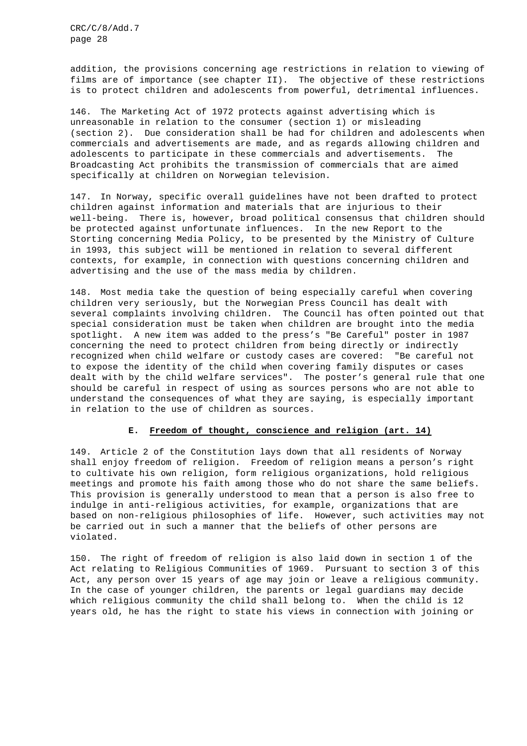addition, the provisions concerning age restrictions in relation to viewing of films are of importance (see chapter II). The objective of these restrictions is to protect children and adolescents from powerful, detrimental influences.

146. The Marketing Act of 1972 protects against advertising which is unreasonable in relation to the consumer (section 1) or misleading (section 2). Due consideration shall be had for children and adolescents when commercials and advertisements are made, and as regards allowing children and adolescents to participate in these commercials and advertisements. The Broadcasting Act prohibits the transmission of commercials that are aimed specifically at children on Norwegian television.

147. In Norway, specific overall guidelines have not been drafted to protect children against information and materials that are injurious to their well-being. There is, however, broad political consensus that children should be protected against unfortunate influences. In the new Report to the Storting concerning Media Policy, to be presented by the Ministry of Culture in 1993, this subject will be mentioned in relation to several different contexts, for example, in connection with questions concerning children and advertising and the use of the mass media by children.

148. Most media take the question of being especially careful when covering children very seriously, but the Norwegian Press Council has dealt with several complaints involving children. The Council has often pointed out that special consideration must be taken when children are brought into the media spotlight. A new item was added to the press's "Be Careful" poster in 1987 concerning the need to protect children from being directly or indirectly recognized when child welfare or custody cases are covered: "Be careful not to expose the identity of the child when covering family disputes or cases dealt with by the child welfare services". The poster's general rule that one should be careful in respect of using as sources persons who are not able to understand the consequences of what they are saying, is especially important in relation to the use of children as sources.

## **E. Freedom of thought, conscience and religion (art. 14)**

149. Article 2 of the Constitution lays down that all residents of Norway shall enjoy freedom of religion. Freedom of religion means a person's right to cultivate his own religion, form religious organizations, hold religious meetings and promote his faith among those who do not share the same beliefs. This provision is generally understood to mean that a person is also free to indulge in anti-religious activities, for example, organizations that are based on non-religious philosophies of life. However, such activities may not be carried out in such a manner that the beliefs of other persons are violated.

150. The right of freedom of religion is also laid down in section 1 of the Act relating to Religious Communities of 1969. Pursuant to section 3 of this Act, any person over 15 years of age may join or leave a religious community. In the case of younger children, the parents or legal guardians may decide which religious community the child shall belong to. When the child is 12 years old, he has the right to state his views in connection with joining or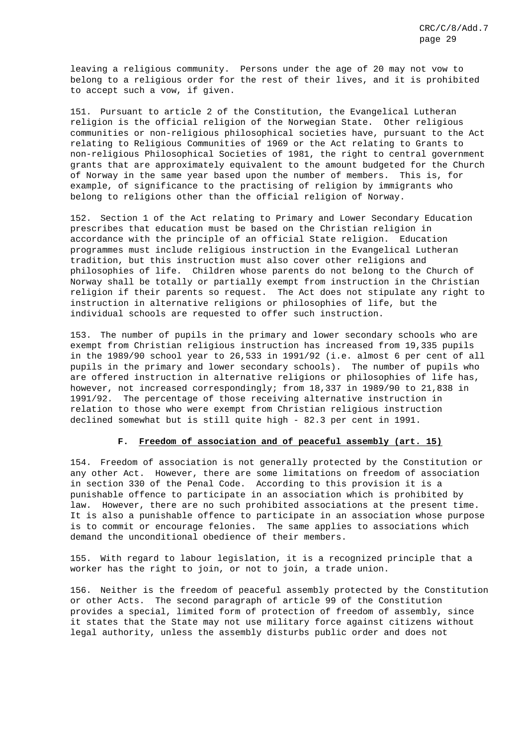leaving a religious community. Persons under the age of 20 may not vow to belong to a religious order for the rest of their lives, and it is prohibited to accept such a vow, if given.

151. Pursuant to article 2 of the Constitution, the Evangelical Lutheran religion is the official religion of the Norwegian State. Other religious communities or non-religious philosophical societies have, pursuant to the Act relating to Religious Communities of 1969 or the Act relating to Grants to non-religious Philosophical Societies of 1981, the right to central government grants that are approximately equivalent to the amount budgeted for the Church of Norway in the same year based upon the number of members. This is, for example, of significance to the practising of religion by immigrants who belong to religions other than the official religion of Norway.

152. Section 1 of the Act relating to Primary and Lower Secondary Education prescribes that education must be based on the Christian religion in accordance with the principle of an official State religion. Education programmes must include religious instruction in the Evangelical Lutheran tradition, but this instruction must also cover other religions and philosophies of life. Children whose parents do not belong to the Church of Norway shall be totally or partially exempt from instruction in the Christian religion if their parents so request. The Act does not stipulate any right to instruction in alternative religions or philosophies of life, but the individual schools are requested to offer such instruction.

153. The number of pupils in the primary and lower secondary schools who are exempt from Christian religious instruction has increased from 19,335 pupils in the 1989/90 school year to 26,533 in 1991/92 (i.e. almost 6 per cent of all pupils in the primary and lower secondary schools). The number of pupils who are offered instruction in alternative religions or philosophies of life has, however, not increased correspondingly; from 18,337 in 1989/90 to 21,838 in 1991/92. The percentage of those receiving alternative instruction in relation to those who were exempt from Christian religious instruction declined somewhat but is still quite high - 82.3 per cent in 1991.

## **F. Freedom of association and of peaceful assembly (art. 15)**

154. Freedom of association is not generally protected by the Constitution or any other Act. However, there are some limitations on freedom of association in section 330 of the Penal Code. According to this provision it is a punishable offence to participate in an association which is prohibited by law. However, there are no such prohibited associations at the present time. It is also a punishable offence to participate in an association whose purpose is to commit or encourage felonies. The same applies to associations which demand the unconditional obedience of their members.

155. With regard to labour legislation, it is a recognized principle that a worker has the right to join, or not to join, a trade union.

156. Neither is the freedom of peaceful assembly protected by the Constitution or other Acts. The second paragraph of article 99 of the Constitution provides a special, limited form of protection of freedom of assembly, since it states that the State may not use military force against citizens without legal authority, unless the assembly disturbs public order and does not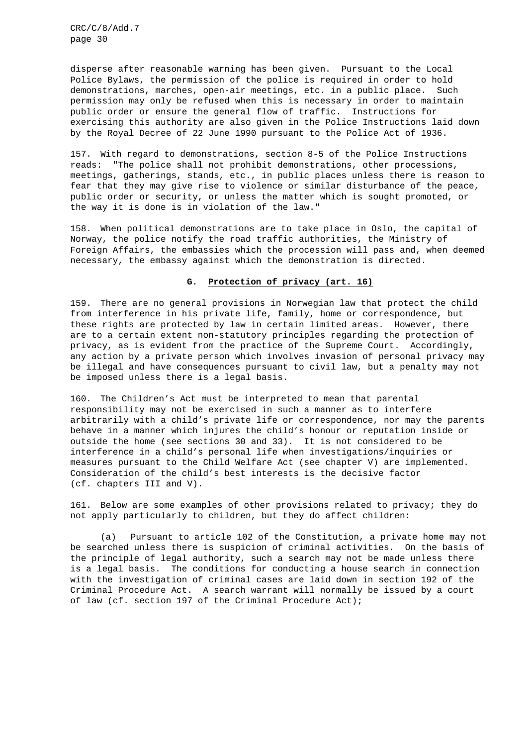disperse after reasonable warning has been given. Pursuant to the Local Police Bylaws, the permission of the police is required in order to hold demonstrations, marches, open-air meetings, etc. in a public place. Such permission may only be refused when this is necessary in order to maintain public order or ensure the general flow of traffic. Instructions for exercising this authority are also given in the Police Instructions laid down by the Royal Decree of 22 June 1990 pursuant to the Police Act of 1936.

157. With regard to demonstrations, section 8-5 of the Police Instructions reads: "The police shall not prohibit demonstrations, other processions, meetings, gatherings, stands, etc., in public places unless there is reason to fear that they may give rise to violence or similar disturbance of the peace, public order or security, or unless the matter which is sought promoted, or the way it is done is in violation of the law."

158. When political demonstrations are to take place in Oslo, the capital of Norway, the police notify the road traffic authorities, the Ministry of Foreign Affairs, the embassies which the procession will pass and, when deemed necessary, the embassy against which the demonstration is directed.

#### **G. Protection of privacy (art. 16)**

159. There are no general provisions in Norwegian law that protect the child from interference in his private life, family, home or correspondence, but these rights are protected by law in certain limited areas. However, there are to a certain extent non-statutory principles regarding the protection of privacy, as is evident from the practice of the Supreme Court. Accordingly, any action by a private person which involves invasion of personal privacy may be illegal and have consequences pursuant to civil law, but a penalty may not be imposed unless there is a legal basis.

160. The Children's Act must be interpreted to mean that parental responsibility may not be exercised in such a manner as to interfere arbitrarily with a child's private life or correspondence, nor may the parents behave in a manner which injures the child's honour or reputation inside or outside the home (see sections 30 and 33). It is not considered to be interference in a child's personal life when investigations/inquiries or measures pursuant to the Child Welfare Act (see chapter V) are implemented. Consideration of the child's best interests is the decisive factor (cf. chapters III and V).

161. Below are some examples of other provisions related to privacy; they do not apply particularly to children, but they do affect children:

(a) Pursuant to article 102 of the Constitution, a private home may not be searched unless there is suspicion of criminal activities. On the basis of the principle of legal authority, such a search may not be made unless there is a legal basis. The conditions for conducting a house search in connection with the investigation of criminal cases are laid down in section 192 of the Criminal Procedure Act. A search warrant will normally be issued by a court of law (cf. section 197 of the Criminal Procedure Act);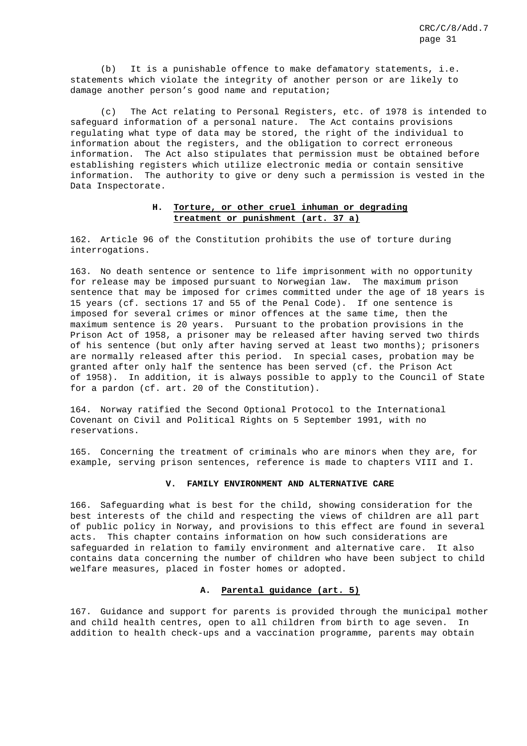(b) It is a punishable offence to make defamatory statements, i.e. statements which violate the integrity of another person or are likely to damage another person's good name and reputation;

(c) The Act relating to Personal Registers, etc. of 1978 is intended to safeguard information of a personal nature. The Act contains provisions regulating what type of data may be stored, the right of the individual to information about the registers, and the obligation to correct erroneous information. The Act also stipulates that permission must be obtained before establishing registers which utilize electronic media or contain sensitive information. The authority to give or deny such a permission is vested in the Data Inspectorate.

## **H. Torture, or other cruel inhuman or degrading treatment or punishment (art. 37 a)**

162. Article 96 of the Constitution prohibits the use of torture during interrogations.

163. No death sentence or sentence to life imprisonment with no opportunity for release may be imposed pursuant to Norwegian law. The maximum prison sentence that may be imposed for crimes committed under the age of 18 years is 15 years (cf. sections 17 and 55 of the Penal Code). If one sentence is imposed for several crimes or minor offences at the same time, then the maximum sentence is 20 years. Pursuant to the probation provisions in the Prison Act of 1958, a prisoner may be released after having served two thirds of his sentence (but only after having served at least two months); prisoners are normally released after this period. In special cases, probation may be granted after only half the sentence has been served (cf. the Prison Act of 1958). In addition, it is always possible to apply to the Council of State for a pardon (cf. art. 20 of the Constitution).

164. Norway ratified the Second Optional Protocol to the International Covenant on Civil and Political Rights on 5 September 1991, with no reservations.

165. Concerning the treatment of criminals who are minors when they are, for example, serving prison sentences, reference is made to chapters VIII and I.

#### **V. FAMILY ENVIRONMENT AND ALTERNATIVE CARE**

166. Safeguarding what is best for the child, showing consideration for the best interests of the child and respecting the views of children are all part of public policy in Norway, and provisions to this effect are found in several acts. This chapter contains information on how such considerations are safeguarded in relation to family environment and alternative care. It also contains data concerning the number of children who have been subject to child welfare measures, placed in foster homes or adopted.

## **A. Parental guidance (art. 5)**

167. Guidance and support for parents is provided through the municipal mother and child health centres, open to all children from birth to age seven. In addition to health check-ups and a vaccination programme, parents may obtain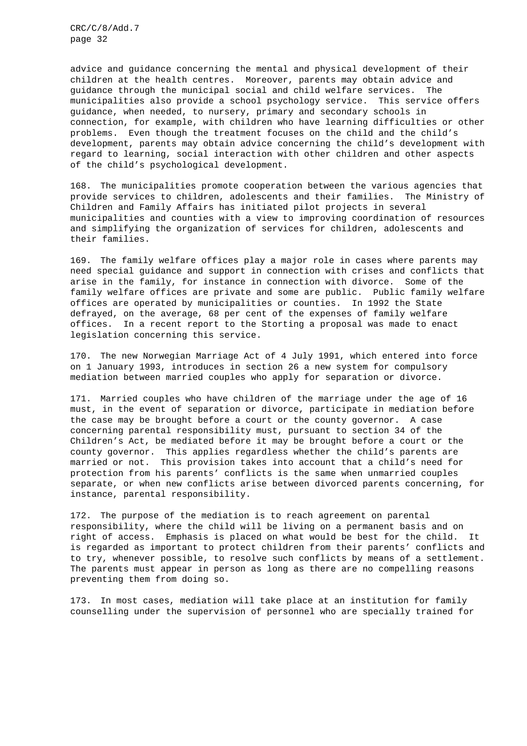advice and guidance concerning the mental and physical development of their children at the health centres. Moreover, parents may obtain advice and guidance through the municipal social and child welfare services. The municipalities also provide a school psychology service. This service offers guidance, when needed, to nursery, primary and secondary schools in connection, for example, with children who have learning difficulties or other problems. Even though the treatment focuses on the child and the child's development, parents may obtain advice concerning the child's development with regard to learning, social interaction with other children and other aspects of the child's psychological development.

168. The municipalities promote cooperation between the various agencies that provide services to children, adolescents and their families. The Ministry of Children and Family Affairs has initiated pilot projects in several municipalities and counties with a view to improving coordination of resources and simplifying the organization of services for children, adolescents and their families.

169. The family welfare offices play a major role in cases where parents may need special guidance and support in connection with crises and conflicts that arise in the family, for instance in connection with divorce. Some of the family welfare offices are private and some are public. Public family welfare offices are operated by municipalities or counties. In 1992 the State defrayed, on the average, 68 per cent of the expenses of family welfare offices. In a recent report to the Storting a proposal was made to enact legislation concerning this service.

170. The new Norwegian Marriage Act of 4 July 1991, which entered into force on 1 January 1993, introduces in section 26 a new system for compulsory mediation between married couples who apply for separation or divorce.

171. Married couples who have children of the marriage under the age of 16 must, in the event of separation or divorce, participate in mediation before the case may be brought before a court or the county governor. A case concerning parental responsibility must, pursuant to section 34 of the Children's Act, be mediated before it may be brought before a court or the county governor. This applies regardless whether the child's parents are married or not. This provision takes into account that a child's need for protection from his parents' conflicts is the same when unmarried couples separate, or when new conflicts arise between divorced parents concerning, for instance, parental responsibility.

172. The purpose of the mediation is to reach agreement on parental responsibility, where the child will be living on a permanent basis and on right of access. Emphasis is placed on what would be best for the child. It is regarded as important to protect children from their parents' conflicts and to try, whenever possible, to resolve such conflicts by means of a settlement. The parents must appear in person as long as there are no compelling reasons preventing them from doing so.

173. In most cases, mediation will take place at an institution for family counselling under the supervision of personnel who are specially trained for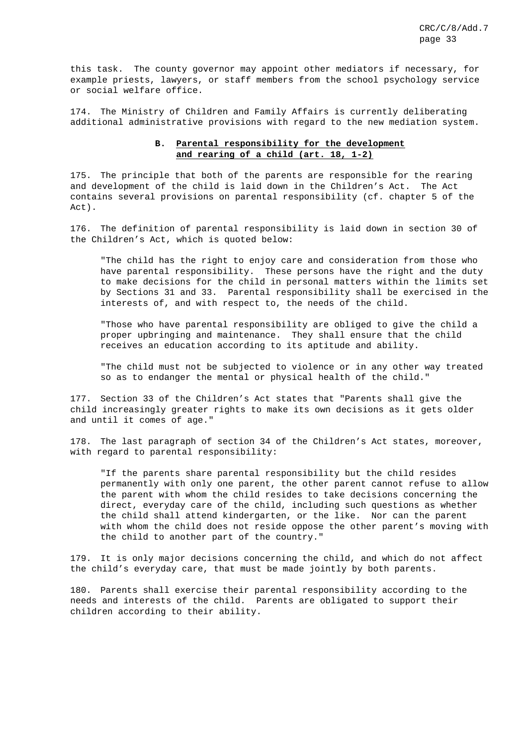this task. The county governor may appoint other mediators if necessary, for example priests, lawyers, or staff members from the school psychology service or social welfare office.

174. The Ministry of Children and Family Affairs is currently deliberating additional administrative provisions with regard to the new mediation system.

# **B. Parental responsibility for the development and rearing of a child (art. 18, 1-2)**

175. The principle that both of the parents are responsible for the rearing and development of the child is laid down in the Children's Act. The Act contains several provisions on parental responsibility (cf. chapter 5 of the Act).

176. The definition of parental responsibility is laid down in section 30 of the Children's Act, which is quoted below:

"The child has the right to enjoy care and consideration from those who have parental responsibility. These persons have the right and the duty to make decisions for the child in personal matters within the limits set by Sections 31 and 33. Parental responsibility shall be exercised in the interests of, and with respect to, the needs of the child.

"Those who have parental responsibility are obliged to give the child a proper upbringing and maintenance. They shall ensure that the child receives an education according to its aptitude and ability.

"The child must not be subjected to violence or in any other way treated so as to endanger the mental or physical health of the child."

177. Section 33 of the Children's Act states that "Parents shall give the child increasingly greater rights to make its own decisions as it gets older and until it comes of age."

178. The last paragraph of section 34 of the Children's Act states, moreover, with regard to parental responsibility:

"If the parents share parental responsibility but the child resides permanently with only one parent, the other parent cannot refuse to allow the parent with whom the child resides to take decisions concerning the direct, everyday care of the child, including such questions as whether the child shall attend kindergarten, or the like. Nor can the parent with whom the child does not reside oppose the other parent's moving with the child to another part of the country."

179. It is only major decisions concerning the child, and which do not affect the child's everyday care, that must be made jointly by both parents.

180. Parents shall exercise their parental responsibility according to the needs and interests of the child. Parents are obligated to support their children according to their ability.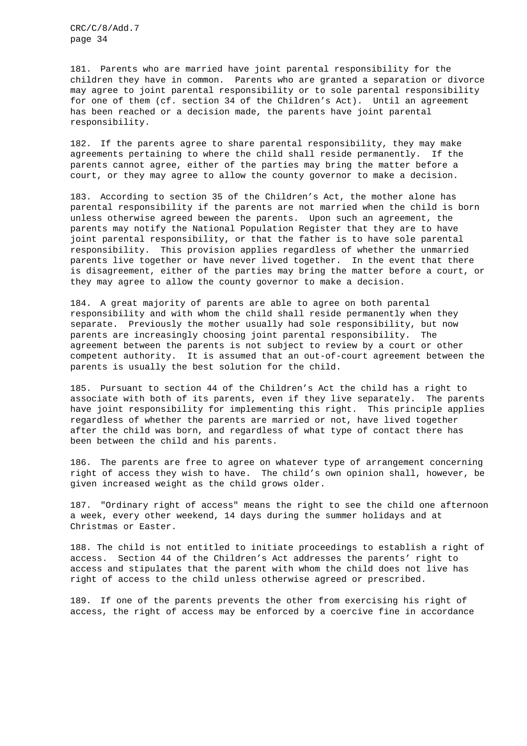181. Parents who are married have joint parental responsibility for the children they have in common. Parents who are granted a separation or divorce may agree to joint parental responsibility or to sole parental responsibility for one of them (cf. section 34 of the Children's Act). Until an agreement has been reached or a decision made, the parents have joint parental responsibility.

182. If the parents agree to share parental responsibility, they may make agreements pertaining to where the child shall reside permanently. If the parents cannot agree, either of the parties may bring the matter before a court, or they may agree to allow the county governor to make a decision.

183. According to section 35 of the Children's Act, the mother alone has parental responsibility if the parents are not married when the child is born unless otherwise agreed beween the parents. Upon such an agreement, the parents may notify the National Population Register that they are to have joint parental responsibility, or that the father is to have sole parental responsibility. This provision applies regardless of whether the unmarried parents live together or have never lived together. In the event that there is disagreement, either of the parties may bring the matter before a court, or they may agree to allow the county governor to make a decision.

184. A great majority of parents are able to agree on both parental responsibility and with whom the child shall reside permanently when they separate. Previously the mother usually had sole responsibility, but now parents are increasingly choosing joint parental responsibility. The agreement between the parents is not subject to review by a court or other competent authority. It is assumed that an out-of-court agreement between the parents is usually the best solution for the child.

185. Pursuant to section 44 of the Children's Act the child has a right to associate with both of its parents, even if they live separately. The parents have joint responsibility for implementing this right. This principle applies regardless of whether the parents are married or not, have lived together after the child was born, and regardless of what type of contact there has been between the child and his parents.

186. The parents are free to agree on whatever type of arrangement concerning right of access they wish to have. The child's own opinion shall, however, be given increased weight as the child grows older.

187. "Ordinary right of access" means the right to see the child one afternoon a week, every other weekend, 14 days during the summer holidays and at Christmas or Easter.

188. The child is not entitled to initiate proceedings to establish a right of access. Section 44 of the Children's Act addresses the parents' right to access and stipulates that the parent with whom the child does not live has right of access to the child unless otherwise agreed or prescribed.

189. If one of the parents prevents the other from exercising his right of access, the right of access may be enforced by a coercive fine in accordance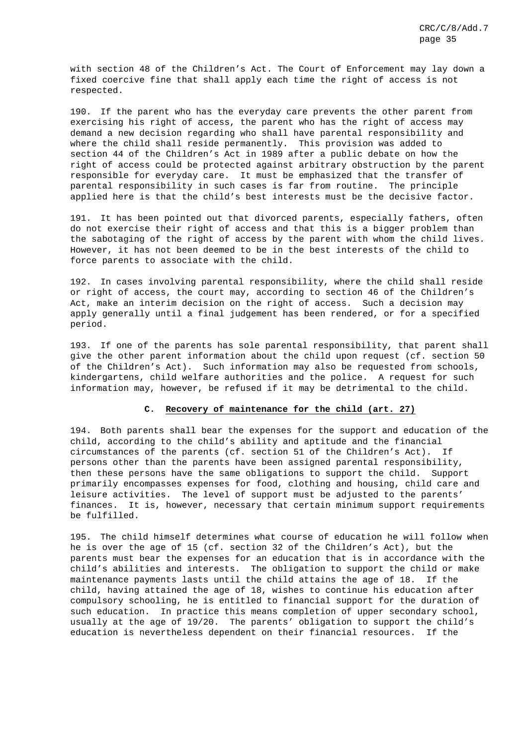with section 48 of the Children's Act. The Court of Enforcement may lay down a fixed coercive fine that shall apply each time the right of access is not respected.

190. If the parent who has the everyday care prevents the other parent from exercising his right of access, the parent who has the right of access may demand a new decision regarding who shall have parental responsibility and where the child shall reside permanently. This provision was added to section 44 of the Children's Act in 1989 after a public debate on how the right of access could be protected against arbitrary obstruction by the parent responsible for everyday care. It must be emphasized that the transfer of parental responsibility in such cases is far from routine. The principle applied here is that the child's best interests must be the decisive factor.

191. It has been pointed out that divorced parents, especially fathers, often do not exercise their right of access and that this is a bigger problem than the sabotaging of the right of access by the parent with whom the child lives. However, it has not been deemed to be in the best interests of the child to force parents to associate with the child.

192. In cases involving parental responsibility, where the child shall reside or right of access, the court may, according to section 46 of the Children's Act, make an interim decision on the right of access. Such a decision may apply generally until a final judgement has been rendered, or for a specified period.

193. If one of the parents has sole parental responsibility, that parent shall give the other parent information about the child upon request (cf. section 50 of the Children's Act). Such information may also be requested from schools, kindergartens, child welfare authorities and the police. A request for such information may, however, be refused if it may be detrimental to the child.

## **C. Recovery of maintenance for the child (art. 27)**

194. Both parents shall bear the expenses for the support and education of the child, according to the child's ability and aptitude and the financial circumstances of the parents (cf. section 51 of the Children's Act). If persons other than the parents have been assigned parental responsibility, then these persons have the same obligations to support the child. Support primarily encompasses expenses for food, clothing and housing, child care and leisure activities. The level of support must be adjusted to the parents' finances. It is, however, necessary that certain minimum support requirements be fulfilled.

195. The child himself determines what course of education he will follow when he is over the age of 15 (cf. section 32 of the Children's Act), but the parents must bear the expenses for an education that is in accordance with the child's abilities and interests. The obligation to support the child or make maintenance payments lasts until the child attains the age of 18. If the child, having attained the age of 18, wishes to continue his education after compulsory schooling, he is entitled to financial support for the duration of such education. In practice this means completion of upper secondary school, usually at the age of 19/20. The parents' obligation to support the child's education is nevertheless dependent on their financial resources. If the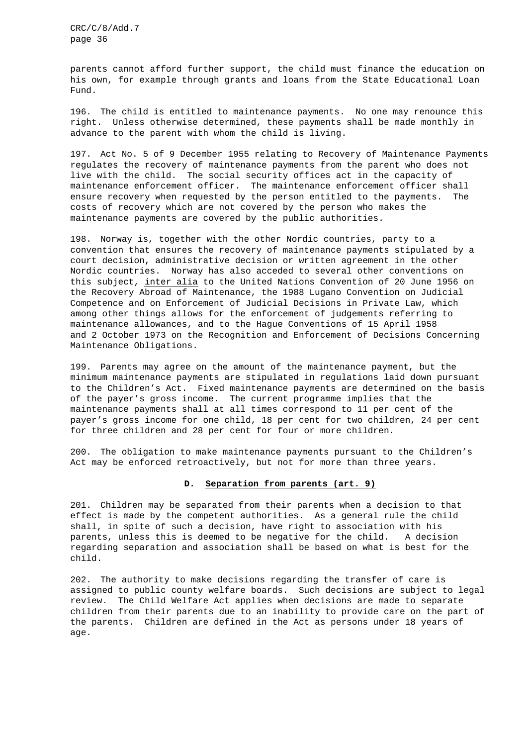parents cannot afford further support, the child must finance the education on his own, for example through grants and loans from the State Educational Loan Fund.

196. The child is entitled to maintenance payments. No one may renounce this right. Unless otherwise determined, these payments shall be made monthly in advance to the parent with whom the child is living.

197. Act No. 5 of 9 December 1955 relating to Recovery of Maintenance Payments regulates the recovery of maintenance payments from the parent who does not live with the child. The social security offices act in the capacity of maintenance enforcement officer. The maintenance enforcement officer shall ensure recovery when requested by the person entitled to the payments. The costs of recovery which are not covered by the person who makes the maintenance payments are covered by the public authorities.

198. Norway is, together with the other Nordic countries, party to a convention that ensures the recovery of maintenance payments stipulated by a court decision, administrative decision or written agreement in the other Nordic countries. Norway has also acceded to several other conventions on this subject, inter alia to the United Nations Convention of 20 June 1956 on the Recovery Abroad of Maintenance, the 1988 Lugano Convention on Judicial Competence and on Enforcement of Judicial Decisions in Private Law, which among other things allows for the enforcement of judgements referring to maintenance allowances, and to the Hague Conventions of 15 April 1958 and 2 October 1973 on the Recognition and Enforcement of Decisions Concerning Maintenance Obligations.

199. Parents may agree on the amount of the maintenance payment, but the minimum maintenance payments are stipulated in regulations laid down pursuant to the Children's Act. Fixed maintenance payments are determined on the basis of the payer's gross income. The current programme implies that the maintenance payments shall at all times correspond to 11 per cent of the payer's gross income for one child, 18 per cent for two children, 24 per cent for three children and 28 per cent for four or more children.

200. The obligation to make maintenance payments pursuant to the Children's Act may be enforced retroactively, but not for more than three years.

#### **D. Separation from parents (art. 9)**

201. Children may be separated from their parents when a decision to that effect is made by the competent authorities. As a general rule the child shall, in spite of such a decision, have right to association with his parents, unless this is deemed to be negative for the child. A decision regarding separation and association shall be based on what is best for the child.

202. The authority to make decisions regarding the transfer of care is assigned to public county welfare boards. Such decisions are subject to legal review. The Child Welfare Act applies when decisions are made to separate children from their parents due to an inability to provide care on the part of the parents. Children are defined in the Act as persons under 18 years of age.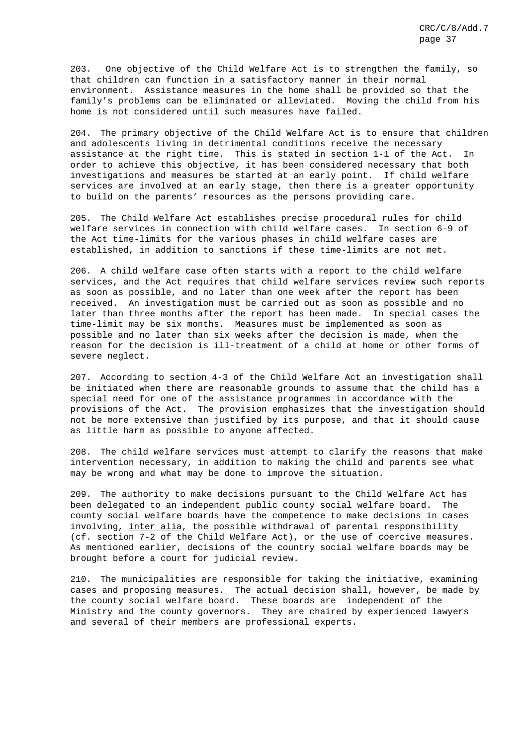203. One objective of the Child Welfare Act is to strengthen the family, so that children can function in a satisfactory manner in their normal environment. Assistance measures in the home shall be provided so that the family's problems can be eliminated or alleviated. Moving the child from his home is not considered until such measures have failed.

204. The primary objective of the Child Welfare Act is to ensure that children and adolescents living in detrimental conditions receive the necessary assistance at the right time. This is stated in section 1-1 of the Act. In order to achieve this objective, it has been considered necessary that both investigations and measures be started at an early point. If child welfare services are involved at an early stage, then there is a greater opportunity to build on the parents' resources as the persons providing care.

205. The Child Welfare Act establishes precise procedural rules for child welfare services in connection with child welfare cases. In section 6-9 of the Act time-limits for the various phases in child welfare cases are established, in addition to sanctions if these time-limits are not met.

206. A child welfare case often starts with a report to the child welfare services, and the Act requires that child welfare services review such reports as soon as possible, and no later than one week after the report has been received. An investigation must be carried out as soon as possible and no later than three months after the report has been made. In special cases the time-limit may be six months. Measures must be implemented as soon as possible and no later than six weeks after the decision is made, when the reason for the decision is ill-treatment of a child at home or other forms of severe neglect.

207. According to section 4-3 of the Child Welfare Act an investigation shall be initiated when there are reasonable grounds to assume that the child has a special need for one of the assistance programmes in accordance with the provisions of the Act. The provision emphasizes that the investigation should not be more extensive than justified by its purpose, and that it should cause as little harm as possible to anyone affected.

208. The child welfare services must attempt to clarify the reasons that make intervention necessary, in addition to making the child and parents see what may be wrong and what may be done to improve the situation.

209. The authority to make decisions pursuant to the Child Welfare Act has been delegated to an independent public county social welfare board. The county social welfare boards have the competence to make decisions in cases involving, inter alia, the possible withdrawal of parental responsibility (cf. section 7-2 of the Child Welfare Act), or the use of coercive measures. As mentioned earlier, decisions of the country social welfare boards may be brought before a court for judicial review.

210. The municipalities are responsible for taking the initiative, examining cases and proposing measures. The actual decision shall, however, be made by the county social welfare board. These boards are independent of the Ministry and the county governors. They are chaired by experienced lawyers and several of their members are professional experts.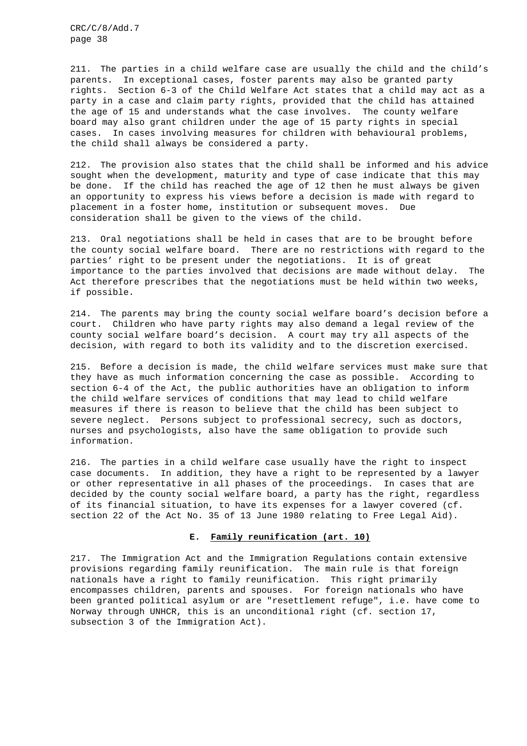211. The parties in a child welfare case are usually the child and the child's parents. In exceptional cases, foster parents may also be granted party rights. Section 6-3 of the Child Welfare Act states that a child may act as a party in a case and claim party rights, provided that the child has attained the age of 15 and understands what the case involves. The county welfare board may also grant children under the age of 15 party rights in special cases. In cases involving measures for children with behavioural problems, the child shall always be considered a party.

212. The provision also states that the child shall be informed and his advice sought when the development, maturity and type of case indicate that this may be done. If the child has reached the age of 12 then he must always be given an opportunity to express his views before a decision is made with regard to placement in a foster home, institution or subsequent moves. Due consideration shall be given to the views of the child.

213. Oral negotiations shall be held in cases that are to be brought before the county social welfare board. There are no restrictions with regard to the parties' right to be present under the negotiations. It is of great importance to the parties involved that decisions are made without delay. The Act therefore prescribes that the negotiations must be held within two weeks, if possible.

214. The parents may bring the county social welfare board's decision before a court. Children who have party rights may also demand a legal review of the county social welfare board's decision. A court may try all aspects of the decision, with regard to both its validity and to the discretion exercised.

215. Before a decision is made, the child welfare services must make sure that they have as much information concerning the case as possible. According to section 6-4 of the Act, the public authorities have an obligation to inform the child welfare services of conditions that may lead to child welfare measures if there is reason to believe that the child has been subject to severe neglect. Persons subject to professional secrecy, such as doctors, nurses and psychologists, also have the same obligation to provide such information.

216. The parties in a child welfare case usually have the right to inspect case documents. In addition, they have a right to be represented by a lawyer or other representative in all phases of the proceedings. In cases that are decided by the county social welfare board, a party has the right, regardless of its financial situation, to have its expenses for a lawyer covered (cf. section 22 of the Act No. 35 of 13 June 1980 relating to Free Legal Aid).

### **E. Family reunification (art. 10)**

217. The Immigration Act and the Immigration Regulations contain extensive provisions regarding family reunification. The main rule is that foreign nationals have a right to family reunification. This right primarily encompasses children, parents and spouses. For foreign nationals who have been granted political asylum or are "resettlement refuge", i.e. have come to Norway through UNHCR, this is an unconditional right (cf. section 17, subsection 3 of the Immigration Act).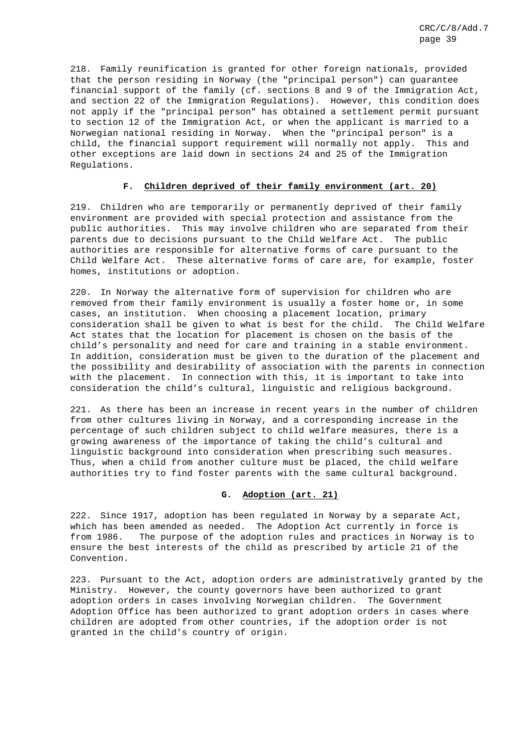218. Family reunification is granted for other foreign nationals, provided that the person residing in Norway (the "principal person") can guarantee financial support of the family (cf. sections 8 and 9 of the Immigration Act, and section 22 of the Immigration Regulations). However, this condition does not apply if the "principal person" has obtained a settlement permit pursuant to section 12 of the Immigration Act, or when the applicant is married to a Norwegian national residing in Norway. When the "principal person" is a child, the financial support requirement will normally not apply. This and other exceptions are laid down in sections 24 and 25 of the Immigration Regulations.

## **F. Children deprived of their family environment (art. 20)**

219. Children who are temporarily or permanently deprived of their family environment are provided with special protection and assistance from the public authorities. This may involve children who are separated from their parents due to decisions pursuant to the Child Welfare Act. The public authorities are responsible for alternative forms of care pursuant to the Child Welfare Act. These alternative forms of care are, for example, foster homes, institutions or adoption.

220. In Norway the alternative form of supervision for children who are removed from their family environment is usually a foster home or, in some cases, an institution. When choosing a placement location, primary consideration shall be given to what is best for the child. The Child Welfare Act states that the location for placement is chosen on the basis of the child's personality and need for care and training in a stable environment. In addition, consideration must be given to the duration of the placement and the possibility and desirability of association with the parents in connection with the placement. In connection with this, it is important to take into consideration the child's cultural, linguistic and religious background.

221. As there has been an increase in recent years in the number of children from other cultures living in Norway, and a corresponding increase in the percentage of such children subject to child welfare measures, there is a growing awareness of the importance of taking the child's cultural and linguistic background into consideration when prescribing such measures. Thus, when a child from another culture must be placed, the child welfare authorities try to find foster parents with the same cultural background.

## **G. Adoption (art. 21)**

222. Since 1917, adoption has been regulated in Norway by a separate Act, which has been amended as needed. The Adoption Act currently in force is from 1986. The purpose of the adoption rules and practices in Norway is to ensure the best interests of the child as prescribed by article 21 of the Convention.

223. Pursuant to the Act, adoption orders are administratively granted by the Ministry. However, the county governors have been authorized to grant adoption orders in cases involving Norwegian children. The Government Adoption Office has been authorized to grant adoption orders in cases where children are adopted from other countries, if the adoption order is not granted in the child's country of origin.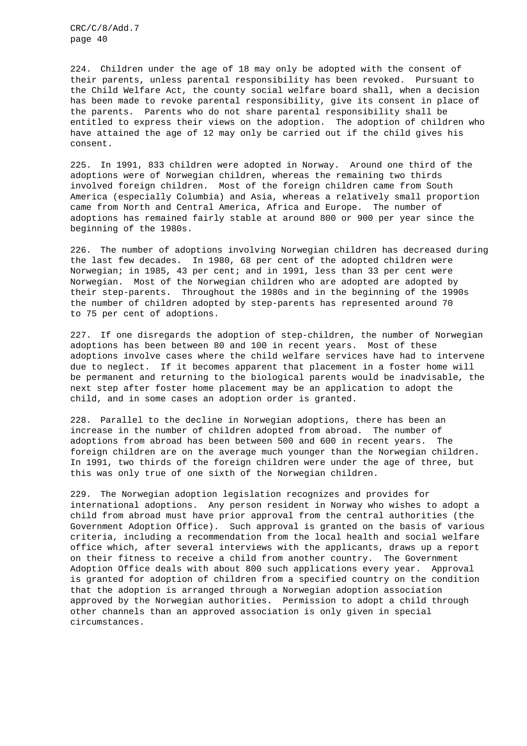224. Children under the age of 18 may only be adopted with the consent of their parents, unless parental responsibility has been revoked. Pursuant to the Child Welfare Act, the county social welfare board shall, when a decision has been made to revoke parental responsibility, give its consent in place of the parents. Parents who do not share parental responsibility shall be entitled to express their views on the adoption. The adoption of children who have attained the age of 12 may only be carried out if the child gives his consent.

225. In 1991, 833 children were adopted in Norway. Around one third of the adoptions were of Norwegian children, whereas the remaining two thirds involved foreign children. Most of the foreign children came from South America (especially Columbia) and Asia, whereas a relatively small proportion came from North and Central America, Africa and Europe. The number of adoptions has remained fairly stable at around 800 or 900 per year since the beginning of the 1980s.

226. The number of adoptions involving Norwegian children has decreased during the last few decades. In 1980, 68 per cent of the adopted children were Norwegian; in 1985, 43 per cent; and in 1991, less than 33 per cent were Norwegian. Most of the Norwegian children who are adopted are adopted by their step-parents. Throughout the 1980s and in the beginning of the 1990s the number of children adopted by step-parents has represented around 70 to 75 per cent of adoptions.

227. If one disregards the adoption of step-children, the number of Norwegian adoptions has been between 80 and 100 in recent years. Most of these adoptions involve cases where the child welfare services have had to intervene due to neglect. If it becomes apparent that placement in a foster home will be permanent and returning to the biological parents would be inadvisable, the next step after foster home placement may be an application to adopt the child, and in some cases an adoption order is granted.

228. Parallel to the decline in Norwegian adoptions, there has been an increase in the number of children adopted from abroad. The number of adoptions from abroad has been between 500 and 600 in recent years. The foreign children are on the average much younger than the Norwegian children. In 1991, two thirds of the foreign children were under the age of three, but this was only true of one sixth of the Norwegian children.

229. The Norwegian adoption legislation recognizes and provides for international adoptions. Any person resident in Norway who wishes to adopt a child from abroad must have prior approval from the central authorities (the Government Adoption Office). Such approval is granted on the basis of various criteria, including a recommendation from the local health and social welfare office which, after several interviews with the applicants, draws up a report on their fitness to receive a child from another country. The Government Adoption Office deals with about 800 such applications every year. Approval is granted for adoption of children from a specified country on the condition that the adoption is arranged through a Norwegian adoption association approved by the Norwegian authorities. Permission to adopt a child through other channels than an approved association is only given in special circumstances.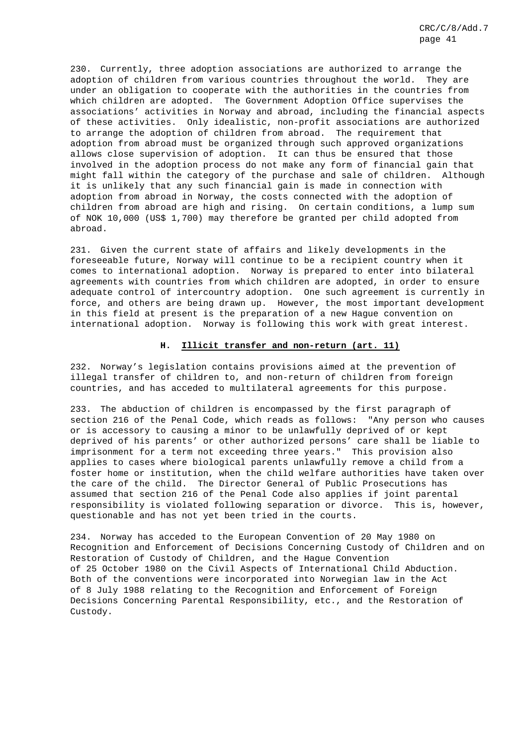230. Currently, three adoption associations are authorized to arrange the adoption of children from various countries throughout the world. They are under an obligation to cooperate with the authorities in the countries from which children are adopted. The Government Adoption Office supervises the associations' activities in Norway and abroad, including the financial aspects of these activities. Only idealistic, non-profit associations are authorized to arrange the adoption of children from abroad. The requirement that adoption from abroad must be organized through such approved organizations allows close supervision of adoption. It can thus be ensured that those involved in the adoption process do not make any form of financial gain that might fall within the category of the purchase and sale of children. Although it is unlikely that any such financial gain is made in connection with adoption from abroad in Norway, the costs connected with the adoption of children from abroad are high and rising. On certain conditions, a lump sum of NOK 10,000 (US\$ 1,700) may therefore be granted per child adopted from abroad.

231. Given the current state of affairs and likely developments in the foreseeable future, Norway will continue to be a recipient country when it comes to international adoption. Norway is prepared to enter into bilateral agreements with countries from which children are adopted, in order to ensure adequate control of intercountry adoption. One such agreement is currently in force, and others are being drawn up. However, the most important development in this field at present is the preparation of a new Hague convention on international adoption. Norway is following this work with great interest.

### **H. Illicit transfer and non-return (art. 11)**

232. Norway's legislation contains provisions aimed at the prevention of illegal transfer of children to, and non-return of children from foreign countries, and has acceded to multilateral agreements for this purpose.

233. The abduction of children is encompassed by the first paragraph of section 216 of the Penal Code, which reads as follows: "Any person who causes or is accessory to causing a minor to be unlawfully deprived of or kept deprived of his parents' or other authorized persons' care shall be liable to imprisonment for a term not exceeding three years." This provision also applies to cases where biological parents unlawfully remove a child from a foster home or institution, when the child welfare authorities have taken over the care of the child. The Director General of Public Prosecutions has assumed that section 216 of the Penal Code also applies if joint parental responsibility is violated following separation or divorce. This is, however, questionable and has not yet been tried in the courts.

234. Norway has acceded to the European Convention of 20 May 1980 on Recognition and Enforcement of Decisions Concerning Custody of Children and on Restoration of Custody of Children, and the Hague Convention of 25 October 1980 on the Civil Aspects of International Child Abduction. Both of the conventions were incorporated into Norwegian law in the Act of 8 July 1988 relating to the Recognition and Enforcement of Foreign Decisions Concerning Parental Responsibility, etc., and the Restoration of Custody.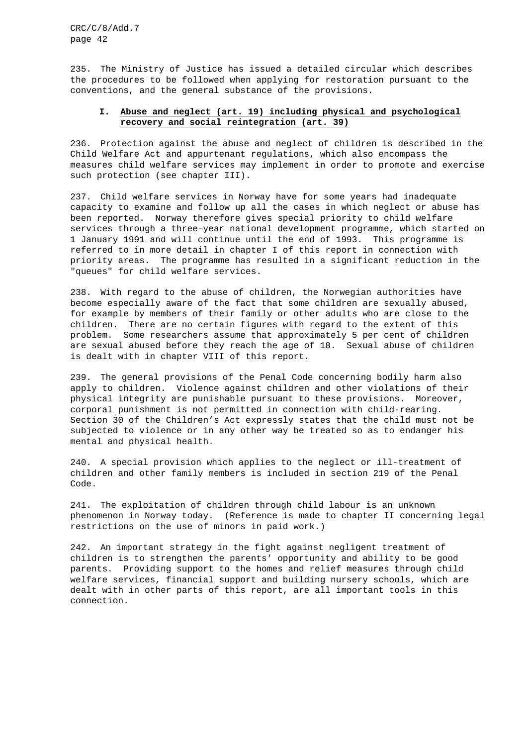235. The Ministry of Justice has issued a detailed circular which describes the procedures to be followed when applying for restoration pursuant to the conventions, and the general substance of the provisions.

# **I. Abuse and neglect (art. 19) including physical and psychological recovery and social reintegration (art. 39)**

236. Protection against the abuse and neglect of children is described in the Child Welfare Act and appurtenant regulations, which also encompass the measures child welfare services may implement in order to promote and exercise such protection (see chapter III).

237. Child welfare services in Norway have for some years had inadequate capacity to examine and follow up all the cases in which neglect or abuse has been reported. Norway therefore gives special priority to child welfare services through a three-year national development programme, which started on 1 January 1991 and will continue until the end of 1993. This programme is referred to in more detail in chapter I of this report in connection with priority areas. The programme has resulted in a significant reduction in the "queues" for child welfare services.

238. With regard to the abuse of children, the Norwegian authorities have become especially aware of the fact that some children are sexually abused, for example by members of their family or other adults who are close to the children. There are no certain figures with regard to the extent of this problem. Some researchers assume that approximately 5 per cent of children are sexual abused before they reach the age of 18. Sexual abuse of children is dealt with in chapter VIII of this report.

239. The general provisions of the Penal Code concerning bodily harm also apply to children. Violence against children and other violations of their physical integrity are punishable pursuant to these provisions. Moreover, corporal punishment is not permitted in connection with child-rearing. Section 30 of the Children's Act expressly states that the child must not be subjected to violence or in any other way be treated so as to endanger his mental and physical health.

240. A special provision which applies to the neglect or ill-treatment of children and other family members is included in section 219 of the Penal Code.

241. The exploitation of children through child labour is an unknown phenomenon in Norway today. (Reference is made to chapter II concerning legal restrictions on the use of minors in paid work.)

242. An important strategy in the fight against negligent treatment of children is to strengthen the parents' opportunity and ability to be good parents. Providing support to the homes and relief measures through child welfare services, financial support and building nursery schools, which are dealt with in other parts of this report, are all important tools in this connection.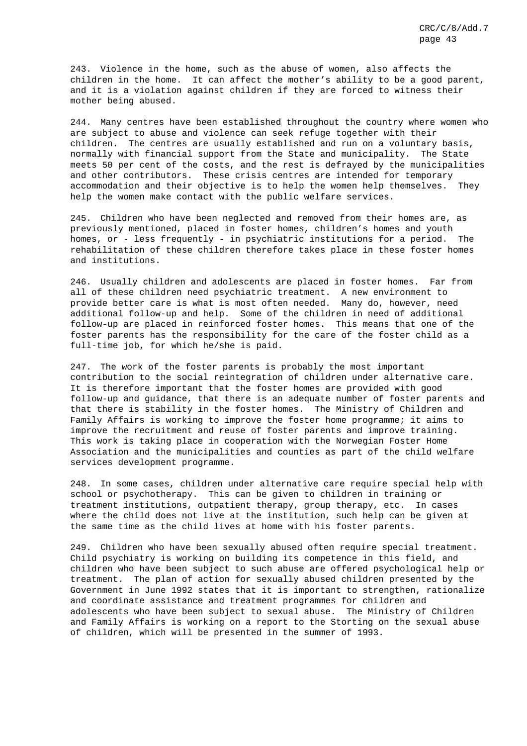243. Violence in the home, such as the abuse of women, also affects the children in the home. It can affect the mother's ability to be a good parent, and it is a violation against children if they are forced to witness their mother being abused.

244. Many centres have been established throughout the country where women who are subject to abuse and violence can seek refuge together with their children. The centres are usually established and run on a voluntary basis, normally with financial support from the State and municipality. The State meets 50 per cent of the costs, and the rest is defrayed by the municipalities and other contributors. These crisis centres are intended for temporary accommodation and their objective is to help the women help themselves. They help the women make contact with the public welfare services.

245. Children who have been neglected and removed from their homes are, as previously mentioned, placed in foster homes, children's homes and youth homes, or - less frequently - in psychiatric institutions for a period. The rehabilitation of these children therefore takes place in these foster homes and institutions.

246. Usually children and adolescents are placed in foster homes. Far from all of these children need psychiatric treatment. A new environment to provide better care is what is most often needed. Many do, however, need additional follow-up and help. Some of the children in need of additional follow-up are placed in reinforced foster homes. This means that one of the foster parents has the responsibility for the care of the foster child as a full-time job, for which he/she is paid.

247. The work of the foster parents is probably the most important contribution to the social reintegration of children under alternative care. It is therefore important that the foster homes are provided with good follow-up and guidance, that there is an adequate number of foster parents and that there is stability in the foster homes. The Ministry of Children and Family Affairs is working to improve the foster home programme; it aims to improve the recruitment and reuse of foster parents and improve training. This work is taking place in cooperation with the Norwegian Foster Home Association and the municipalities and counties as part of the child welfare services development programme.

248. In some cases, children under alternative care require special help with school or psychotherapy. This can be given to children in training or treatment institutions, outpatient therapy, group therapy, etc. In cases where the child does not live at the institution, such help can be given at the same time as the child lives at home with his foster parents.

249. Children who have been sexually abused often require special treatment. Child psychiatry is working on building its competence in this field, and children who have been subject to such abuse are offered psychological help or treatment. The plan of action for sexually abused children presented by the Government in June 1992 states that it is important to strengthen, rationalize and coordinate assistance and treatment programmes for children and adolescents who have been subject to sexual abuse. The Ministry of Children and Family Affairs is working on a report to the Storting on the sexual abuse of children, which will be presented in the summer of 1993.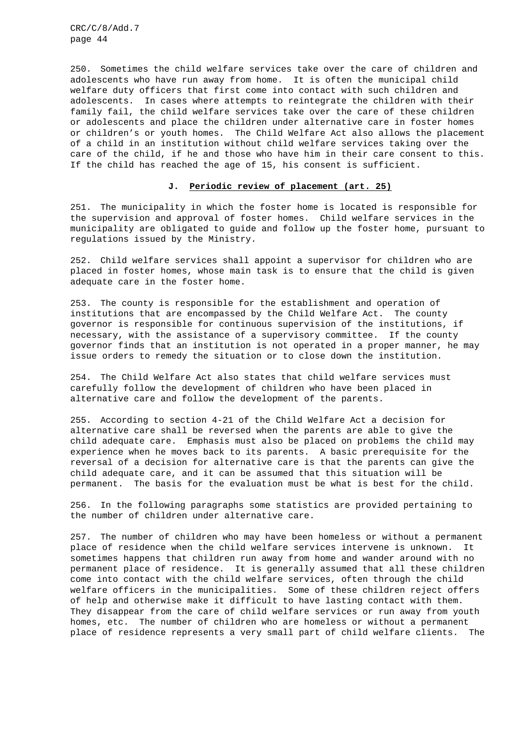250. Sometimes the child welfare services take over the care of children and adolescents who have run away from home. It is often the municipal child welfare duty officers that first come into contact with such children and adolescents. In cases where attempts to reintegrate the children with their family fail, the child welfare services take over the care of these children or adolescents and place the children under alternative care in foster homes or children's or youth homes. The Child Welfare Act also allows the placement of a child in an institution without child welfare services taking over the care of the child, if he and those who have him in their care consent to this. If the child has reached the age of 15, his consent is sufficient.

## **J. Periodic review of placement (art. 25)**

251. The municipality in which the foster home is located is responsible for the supervision and approval of foster homes. Child welfare services in the municipality are obligated to guide and follow up the foster home, pursuant to regulations issued by the Ministry.

252. Child welfare services shall appoint a supervisor for children who are placed in foster homes, whose main task is to ensure that the child is given adequate care in the foster home.

253. The county is responsible for the establishment and operation of institutions that are encompassed by the Child Welfare Act. The county governor is responsible for continuous supervision of the institutions, if necessary, with the assistance of a supervisory committee. If the county governor finds that an institution is not operated in a proper manner, he may issue orders to remedy the situation or to close down the institution.

254. The Child Welfare Act also states that child welfare services must carefully follow the development of children who have been placed in alternative care and follow the development of the parents.

255. According to section 4-21 of the Child Welfare Act a decision for alternative care shall be reversed when the parents are able to give the child adequate care. Emphasis must also be placed on problems the child may experience when he moves back to its parents. A basic prerequisite for the reversal of a decision for alternative care is that the parents can give the child adequate care, and it can be assumed that this situation will be permanent. The basis for the evaluation must be what is best for the child.

256. In the following paragraphs some statistics are provided pertaining to the number of children under alternative care.

257. The number of children who may have been homeless or without a permanent place of residence when the child welfare services intervene is unknown. It sometimes happens that children run away from home and wander around with no permanent place of residence. It is generally assumed that all these children come into contact with the child welfare services, often through the child welfare officers in the municipalities. Some of these children reject offers of help and otherwise make it difficult to have lasting contact with them. They disappear from the care of child welfare services or run away from youth homes, etc. The number of children who are homeless or without a permanent place of residence represents a very small part of child welfare clients. The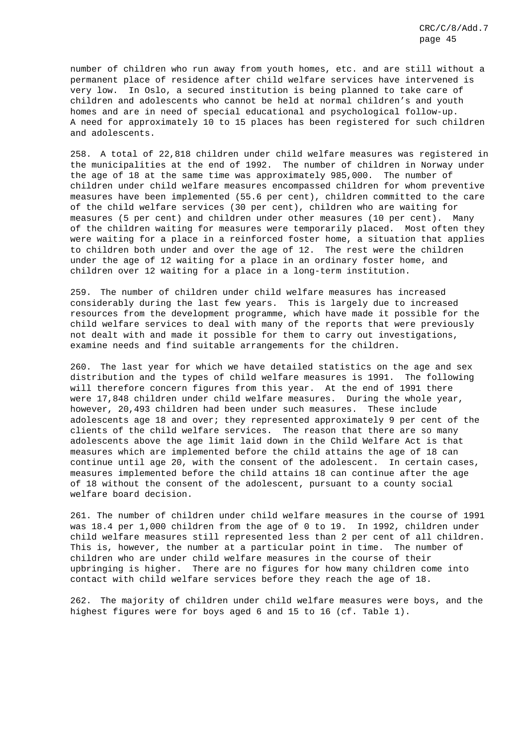number of children who run away from youth homes, etc. and are still without a permanent place of residence after child welfare services have intervened is very low. In Oslo, a secured institution is being planned to take care of children and adolescents who cannot be held at normal children's and youth homes and are in need of special educational and psychological follow-up. A need for approximately 10 to 15 places has been registered for such children and adolescents.

258. A total of 22,818 children under child welfare measures was registered in the municipalities at the end of 1992. The number of children in Norway under the age of 18 at the same time was approximately 985,000. The number of children under child welfare measures encompassed children for whom preventive measures have been implemented (55.6 per cent), children committed to the care of the child welfare services (30 per cent), children who are waiting for measures (5 per cent) and children under other measures (10 per cent). Many of the children waiting for measures were temporarily placed. Most often they were waiting for a place in a reinforced foster home, a situation that applies to children both under and over the age of 12. The rest were the children under the age of 12 waiting for a place in an ordinary foster home, and children over 12 waiting for a place in a long-term institution.

259. The number of children under child welfare measures has increased considerably during the last few years. This is largely due to increased resources from the development programme, which have made it possible for the child welfare services to deal with many of the reports that were previously not dealt with and made it possible for them to carry out investigations, examine needs and find suitable arrangements for the children.

260. The last year for which we have detailed statistics on the age and sex distribution and the types of child welfare measures is 1991. The following will therefore concern figures from this year. At the end of 1991 there were 17,848 children under child welfare measures. During the whole year, however, 20,493 children had been under such measures. These include adolescents age 18 and over; they represented approximately 9 per cent of the clients of the child welfare services. The reason that there are so many adolescents above the age limit laid down in the Child Welfare Act is that measures which are implemented before the child attains the age of 18 can continue until age 20, with the consent of the adolescent. In certain cases, measures implemented before the child attains 18 can continue after the age of 18 without the consent of the adolescent, pursuant to a county social welfare board decision.

261. The number of children under child welfare measures in the course of 1991 was 18.4 per 1,000 children from the age of 0 to 19. In 1992, children under child welfare measures still represented less than 2 per cent of all children. This is, however, the number at a particular point in time. The number of children who are under child welfare measures in the course of their upbringing is higher. There are no figures for how many children come into contact with child welfare services before they reach the age of 18.

262. The majority of children under child welfare measures were boys, and the highest figures were for boys aged 6 and 15 to 16 (cf. Table 1).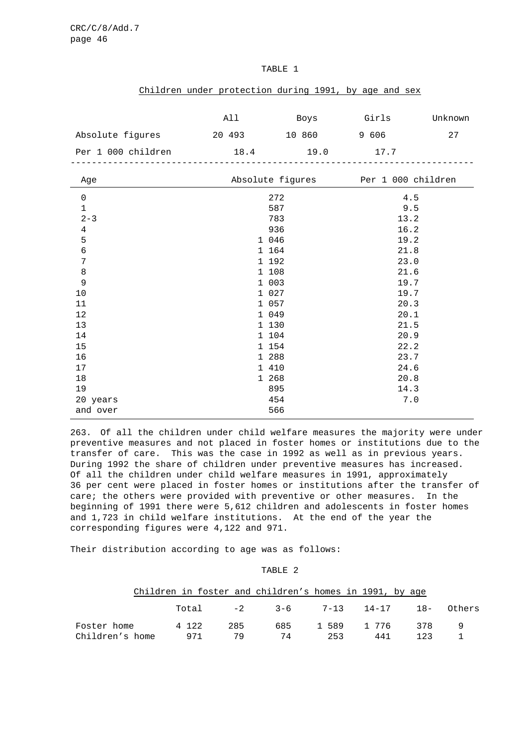|                    |  | Children under protection during 1991, by age and sex |        |       |         |
|--------------------|--|-------------------------------------------------------|--------|-------|---------|
|                    |  |                                                       |        |       |         |
|                    |  | All                                                   | Boys   | Girls | Unknown |
| Absolute figures   |  | 20 493                                                | 10 860 | 9 606 | 27      |
| Per 1 000 children |  | 18.4                                                  | 19.0   | 17.7  |         |
|                    |  |                                                       |        |       |         |

## TABLE 1

| Age            | Absolute figures | Per 1 000 children |
|----------------|------------------|--------------------|
| $\mathsf 0$    | 272              | 4.5                |
| $\mathbf 1$    | 587              | 9.5                |
| $2 - 3$        | 783              | 13.2               |
| $\overline{4}$ | 936              | 16.2               |
| 5              | 1 046            | 19.2               |
| $\epsilon$     | 1 164            | 21.8               |
| 7              | 1 192            | 23.0               |
| 8              | 1 108            | 21.6               |
| 9              | 1 003            | 19.7               |
| 10             | 1 027            | 19.7               |
| $11\,$         | 1 057            | 20.3               |
| $12\,$         | 1 049            | 20.1               |
| $13$           | 1 130            | 21.5               |
| 14             | 1 104            | 20.9               |
| 15             | 1 154            | 22.2               |
| 16             | 1 288            | 23.7               |
| 17             | 1 410            | 24.6               |
| $18\,$         | 1 268            | 20.8               |
| 19             | 895              | 14.3               |
| 20 years       | 454              | $7 \, . \, 0$      |
| and over       | 566              |                    |

263. Of all the children under child welfare measures the majority were under preventive measures and not placed in foster homes or institutions due to the transfer of care. This was the case in 1992 as well as in previous years. During 1992 the share of children under preventive measures has increased. Of all the children under child welfare measures in 1991, approximately 36 per cent were placed in foster homes or institutions after the transfer of care; the others were provided with preventive or other measures. In the beginning of 1991 there were 5,612 children and adolescents in foster homes and 1,723 in child welfare institutions. At the end of the year the corresponding figures were 4,122 and 971.

Their distribution according to age was as follows:

TABLE 2

|                 |         |     | Children in foster and children's homes in 1991, by age |     |     |     |  |
|-----------------|---------|-----|---------------------------------------------------------|-----|-----|-----|--|
|                 |         |     | Total -2 3-6 7-13 14-17 18- Others                      |     |     |     |  |
| Foster home     | 4 1 2 2 | 285 | 685 1589 1776 378 9                                     |     |     |     |  |
| Children's home | 971     | 79  | 74                                                      | 253 | 441 | 123 |  |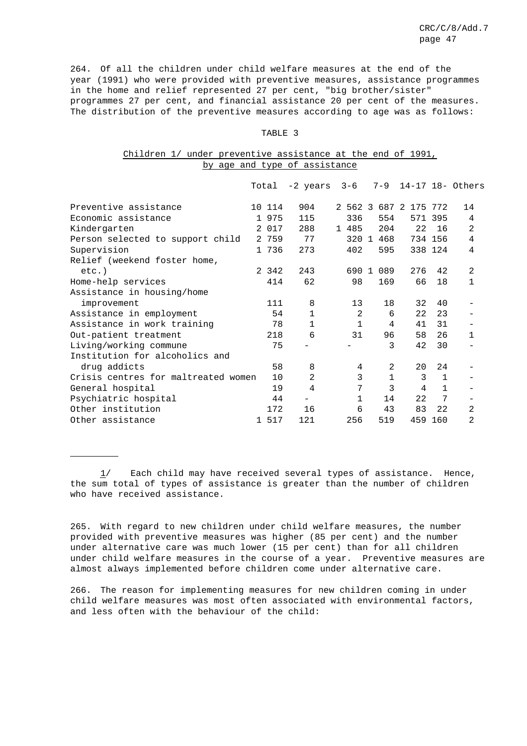264. Of all the children under child welfare measures at the end of the year (1991) who were provided with preventive measures, assistance programmes in the home and relief represented 27 per cent, "big brother/sister" programmes 27 per cent, and financial assistance 20 per cent of the measures. The distribution of the preventive measures according to age was as follows:

#### TABLE 3

# Children 1/ under preventive assistance at the end of 1991, by age and type of assistance

|                                     | Total   | -2 years     | $3 - 6$      | $7 - 9$      |               |              | 14-17 18- Others |
|-------------------------------------|---------|--------------|--------------|--------------|---------------|--------------|------------------|
| Preventive assistance               | 10 114  | 904          | 2.562.3      |              | 687 2 175 772 |              | 14               |
| Economic assistance                 | 1 975   | 115          | 336          | 554          |               | 571 395      | 4                |
| Kindergarten                        | 2 017   | 288          | 1 485        | 204          | 22            | 16           | 2                |
| Person selected to support child    | 2 759   | 77           | 320 1        | 468          |               | 734 156      | 4                |
| Supervision                         | 1 736   | 273          | 402          | 595          |               | 338 124      | 4                |
| Relief (weekend foster home,        |         |              |              |              |               |              |                  |
| $etc.$ )                            | 2 3 4 2 | 243          | 690 1        | 089          | 276           | 42           | $\overline{2}$   |
| Home-help services                  | 414     | 62           | 98           | 169          | 66            | 18           | 1                |
| Assistance in housing/home          |         |              |              |              |               |              |                  |
| improvement                         | 111     | 8            | 13           | 18           | 32            | 40           |                  |
| Assistance in employment            | 54      | $\mathbf{1}$ | 2            | 6            | 22            | 23           |                  |
| Assistance in work training         | 78      | $\mathbf{1}$ | $\mathbf{1}$ | 4            | 41            | 31           |                  |
| Out-patient treatment               | 218     | 6            | 31           | 96           | 58            | 26           | $1\,$            |
| Living/working commune              | 75      |              |              | 3            | 42            | 30           |                  |
| Institution for alcoholics and      |         |              |              |              |               |              |                  |
| drug addicts                        | 58      | 8            | 4            | 2            | 20            | 24           |                  |
| Crisis centres for maltreated women | 10      | 2            | 3            | $\mathbf{1}$ | 3             | $\mathbf{1}$ |                  |
| General hospital                    | 19      | 4            | 7            | 3            | 4             | 1            |                  |
| Psychiatric hospital                | 44      |              | $\mathbf{1}$ | 14           | 22            | 7            |                  |
| Other institution                   | 172     | 16           | 6            | 43           | 83            | 22           | 2                |
| Other assistance                    | 1 517   | 121          | 256          | 519          |               | 459 160      | 2                |

1/ Each child may have received several types of assistance. Hence, the sum total of types of assistance is greater than the number of children who have received assistance.

265. With regard to new children under child welfare measures, the number provided with preventive measures was higher (85 per cent) and the number under alternative care was much lower (15 per cent) than for all children under child welfare measures in the course of a year. Preventive measures are almost always implemented before children come under alternative care.

266. The reason for implementing measures for new children coming in under child welfare measures was most often associated with environmental factors, and less often with the behaviour of the child: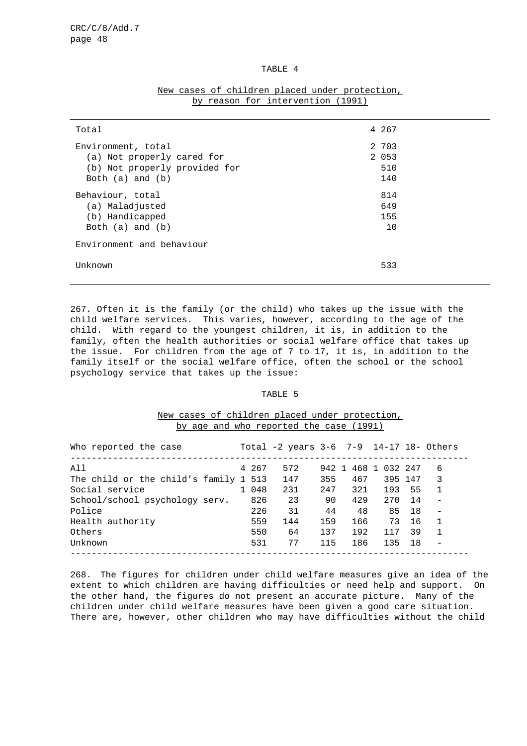## TABLE 4

| Total                                                                                                     | 4 267                          |  |
|-----------------------------------------------------------------------------------------------------------|--------------------------------|--|
| Environment, total<br>(a) Not properly cared for<br>(b) Not properly provided for<br>Both $(a)$ and $(b)$ | 2 703<br>2 0 5 3<br>510<br>140 |  |
| Behaviour, total<br>(a) Maladjusted<br>(b) Handicapped<br>Both $(a)$ and $(b)$                            | 814<br>649<br>155<br>10        |  |
| Environment and behaviour                                                                                 |                                |  |
| Unknown                                                                                                   | 533                            |  |

# New cases of children placed under protection, by reason for intervention (1991)

267. Often it is the family (or the child) who takes up the issue with the child welfare services. This varies, however, according to the age of the child. With regard to the youngest children, it is, in addition to the family, often the health authorities or social welfare office that takes up the issue. For children from the age of 7 to 17, it is, in addition to the family itself or the social welfare office, often the school or the school psychology service that takes up the issue:

# TABLE 5

# New cases of children placed under protection, by age and who reported the case (1991)

| Who reported the case                 |       | Total -2 years 3-6 7-9 14-17 18- Others |     |     |                     |      |                |
|---------------------------------------|-------|-----------------------------------------|-----|-----|---------------------|------|----------------|
| All                                   | 4 267 | 572                                     |     |     | 942 1 468 1 032 247 |      | 6              |
| The child or the child's family 1 513 |       | 147                                     | 355 | 467 | 395 147             |      | 3              |
| Social service                        | 1 048 | 231                                     | 247 | 321 | 193                 | 55   | 1              |
| School/school psychology serv.        | 826   | 23                                      | 90  | 429 | 270                 | - 14 |                |
| Police                                | 226   | 31                                      | 44  | 48  | 85                  | 18   |                |
| Health authority                      | 559   | 144                                     | 159 | 166 | 73                  | 16   | $\overline{1}$ |
| Others                                | 550   | 64                                      | 137 | 192 | 117                 | 39   | $\mathbf{1}$   |
| Unknown                               | 531   | 77                                      | 115 | 186 | 135                 | 18   |                |
|                                       |       |                                         |     |     |                     |      |                |

268. The figures for children under child welfare measures give an idea of the extent to which children are having difficulties or need help and support. On the other hand, the figures do not present an accurate picture. Many of the children under child welfare measures have been given a good care situation. There are, however, other children who may have difficulties without the child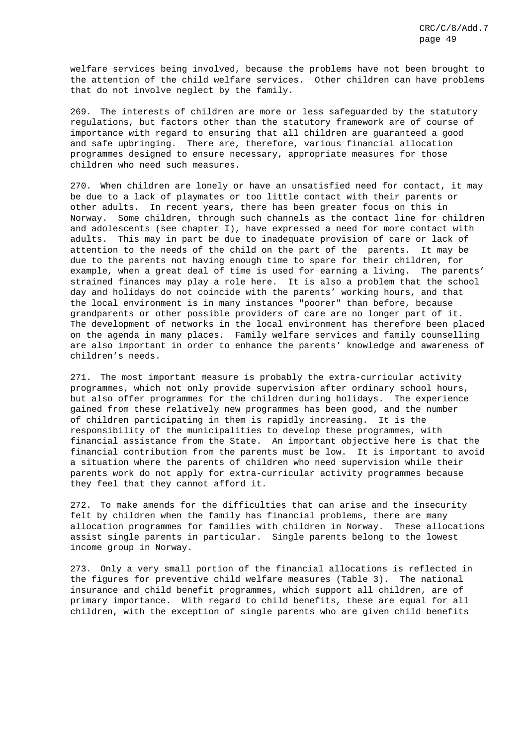welfare services being involved, because the problems have not been brought to the attention of the child welfare services. Other children can have problems that do not involve neglect by the family.

269. The interests of children are more or less safeguarded by the statutory regulations, but factors other than the statutory framework are of course of importance with regard to ensuring that all children are guaranteed a good and safe upbringing. There are, therefore, various financial allocation programmes designed to ensure necessary, appropriate measures for those children who need such measures.

270. When children are lonely or have an unsatisfied need for contact, it may be due to a lack of playmates or too little contact with their parents or other adults. In recent years, there has been greater focus on this in Norway. Some children, through such channels as the contact line for children and adolescents (see chapter I), have expressed a need for more contact with adults. This may in part be due to inadequate provision of care or lack of attention to the needs of the child on the part of the parents. It may be due to the parents not having enough time to spare for their children, for example, when a great deal of time is used for earning a living. The parents' strained finances may play a role here. It is also a problem that the school day and holidays do not coincide with the parents' working hours, and that the local environment is in many instances "poorer" than before, because grandparents or other possible providers of care are no longer part of it. The development of networks in the local environment has therefore been placed on the agenda in many places. Family welfare services and family counselling are also important in order to enhance the parents' knowledge and awareness of children's needs.

271. The most important measure is probably the extra-curricular activity programmes, which not only provide supervision after ordinary school hours, but also offer programmes for the children during holidays. The experience gained from these relatively new programmes has been good, and the number of children participating in them is rapidly increasing. It is the responsibility of the municipalities to develop these programmes, with financial assistance from the State. An important objective here is that the financial contribution from the parents must be low. It is important to avoid a situation where the parents of children who need supervision while their parents work do not apply for extra-curricular activity programmes because they feel that they cannot afford it.

272. To make amends for the difficulties that can arise and the insecurity felt by children when the family has financial problems, there are many allocation programmes for families with children in Norway. These allocations assist single parents in particular. Single parents belong to the lowest income group in Norway.

273. Only a very small portion of the financial allocations is reflected in the figures for preventive child welfare measures (Table 3). The national insurance and child benefit programmes, which support all children, are of primary importance. With regard to child benefits, these are equal for all children, with the exception of single parents who are given child benefits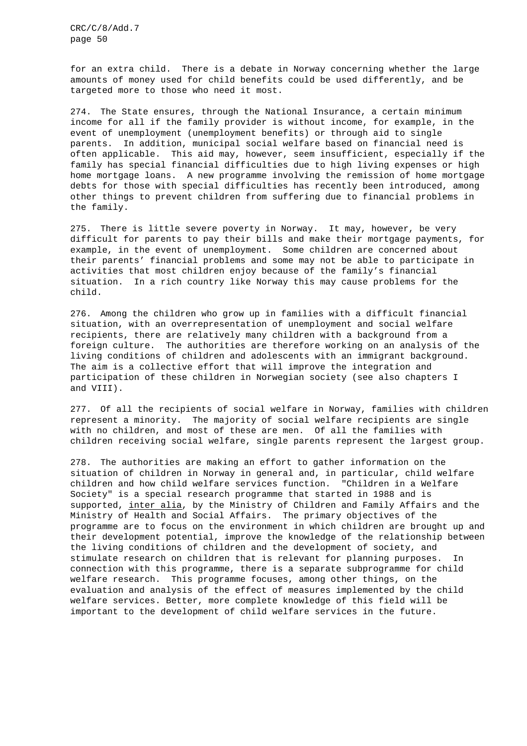for an extra child. There is a debate in Norway concerning whether the large amounts of money used for child benefits could be used differently, and be targeted more to those who need it most.

274. The State ensures, through the National Insurance, a certain minimum income for all if the family provider is without income, for example, in the event of unemployment (unemployment benefits) or through aid to single parents. In addition, municipal social welfare based on financial need is often applicable. This aid may, however, seem insufficient, especially if the family has special financial difficulties due to high living expenses or high home mortgage loans. A new programme involving the remission of home mortgage debts for those with special difficulties has recently been introduced, among other things to prevent children from suffering due to financial problems in the family.

275. There is little severe poverty in Norway. It may, however, be very difficult for parents to pay their bills and make their mortgage payments, for example, in the event of unemployment. Some children are concerned about their parents' financial problems and some may not be able to participate in activities that most children enjoy because of the family's financial situation. In a rich country like Norway this may cause problems for the child.

276. Among the children who grow up in families with a difficult financial situation, with an overrepresentation of unemployment and social welfare recipients, there are relatively many children with a background from a foreign culture. The authorities are therefore working on an analysis of the living conditions of children and adolescents with an immigrant background. The aim is a collective effort that will improve the integration and participation of these children in Norwegian society (see also chapters I and VIII).

277. Of all the recipients of social welfare in Norway, families with children represent a minority. The majority of social welfare recipients are single with no children, and most of these are men. Of all the families with children receiving social welfare, single parents represent the largest group.

278. The authorities are making an effort to gather information on the situation of children in Norway in general and, in particular, child welfare children and how child welfare services function. "Children in a Welfare Society" is a special research programme that started in 1988 and is supported, inter alia, by the Ministry of Children and Family Affairs and the Ministry of Health and Social Affairs. The primary objectives of the programme are to focus on the environment in which children are brought up and their development potential, improve the knowledge of the relationship between the living conditions of children and the development of society, and stimulate research on children that is relevant for planning purposes. In connection with this programme, there is a separate subprogramme for child welfare research. This programme focuses, among other things, on the evaluation and analysis of the effect of measures implemented by the child welfare services. Better, more complete knowledge of this field will be important to the development of child welfare services in the future.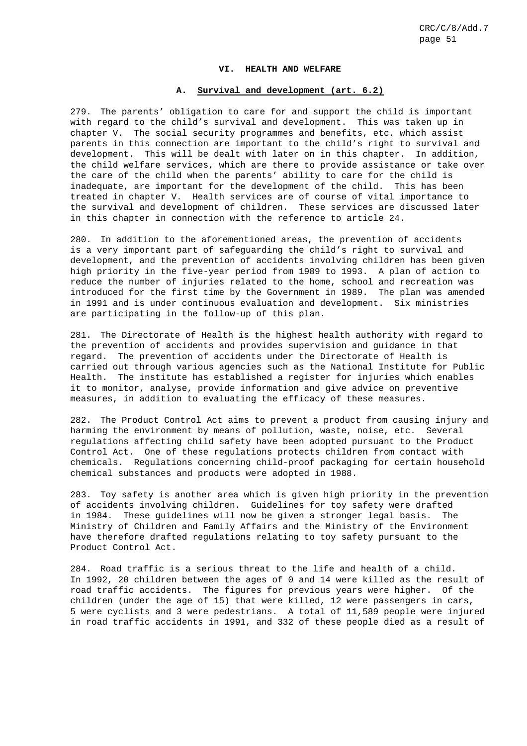#### **VI. HEALTH AND WELFARE**

## **A. Survival and development (art. 6.2)**

279. The parents' obligation to care for and support the child is important with regard to the child's survival and development. This was taken up in chapter V. The social security programmes and benefits, etc. which assist parents in this connection are important to the child's right to survival and development. This will be dealt with later on in this chapter. In addition, the child welfare services, which are there to provide assistance or take over the care of the child when the parents' ability to care for the child is inadequate, are important for the development of the child. This has been treated in chapter V. Health services are of course of vital importance to the survival and development of children. These services are discussed later in this chapter in connection with the reference to article 24.

280. In addition to the aforementioned areas, the prevention of accidents is a very important part of safeguarding the child's right to survival and development, and the prevention of accidents involving children has been given high priority in the five-year period from 1989 to 1993. A plan of action to reduce the number of injuries related to the home, school and recreation was introduced for the first time by the Government in 1989. The plan was amended in 1991 and is under continuous evaluation and development. Six ministries are participating in the follow-up of this plan.

281. The Directorate of Health is the highest health authority with regard to the prevention of accidents and provides supervision and guidance in that regard. The prevention of accidents under the Directorate of Health is carried out through various agencies such as the National Institute for Public Health. The institute has established a register for injuries which enables it to monitor, analyse, provide information and give advice on preventive measures, in addition to evaluating the efficacy of these measures.

282. The Product Control Act aims to prevent a product from causing injury and harming the environment by means of pollution, waste, noise, etc. Several regulations affecting child safety have been adopted pursuant to the Product Control Act. One of these regulations protects children from contact with chemicals. Regulations concerning child-proof packaging for certain household chemical substances and products were adopted in 1988.

283. Toy safety is another area which is given high priority in the prevention of accidents involving children. Guidelines for toy safety were drafted in 1984. These guidelines will now be given a stronger legal basis. The Ministry of Children and Family Affairs and the Ministry of the Environment have therefore drafted regulations relating to toy safety pursuant to the Product Control Act.

284. Road traffic is a serious threat to the life and health of a child. In 1992, 20 children between the ages of 0 and 14 were killed as the result of road traffic accidents. The figures for previous years were higher. Of the children (under the age of 15) that were killed, 12 were passengers in cars, 5 were cyclists and 3 were pedestrians. A total of 11,589 people were injured in road traffic accidents in 1991, and 332 of these people died as a result of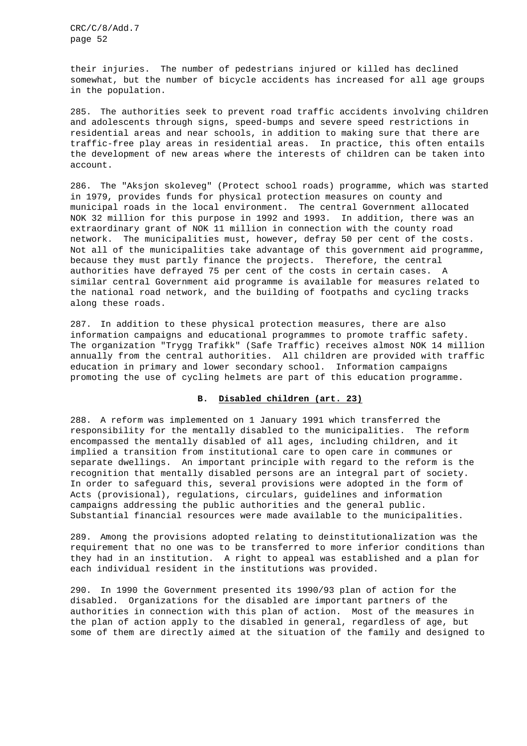their injuries. The number of pedestrians injured or killed has declined somewhat, but the number of bicycle accidents has increased for all age groups in the population.

285. The authorities seek to prevent road traffic accidents involving children and adolescents through signs, speed-bumps and severe speed restrictions in residential areas and near schools, in addition to making sure that there are traffic-free play areas in residential areas. In practice, this often entails the development of new areas where the interests of children can be taken into account.

286. The "Aksjon skoleveg" (Protect school roads) programme, which was started in 1979, provides funds for physical protection measures on county and municipal roads in the local environment. The central Government allocated NOK 32 million for this purpose in 1992 and 1993. In addition, there was an extraordinary grant of NOK 11 million in connection with the county road network. The municipalities must, however, defray 50 per cent of the costs. Not all of the municipalities take advantage of this government aid programme, because they must partly finance the projects. Therefore, the central authorities have defrayed 75 per cent of the costs in certain cases. A similar central Government aid programme is available for measures related to the national road network, and the building of footpaths and cycling tracks along these roads.

287. In addition to these physical protection measures, there are also information campaigns and educational programmes to promote traffic safety. The organization "Trygg Trafikk" (Safe Traffic) receives almost NOK 14 million annually from the central authorities. All children are provided with traffic education in primary and lower secondary school. Information campaigns promoting the use of cycling helmets are part of this education programme.

#### **B. Disabled children (art. 23)**

288. A reform was implemented on 1 January 1991 which transferred the responsibility for the mentally disabled to the municipalities. The reform encompassed the mentally disabled of all ages, including children, and it implied a transition from institutional care to open care in communes or separate dwellings. An important principle with regard to the reform is the recognition that mentally disabled persons are an integral part of society. In order to safeguard this, several provisions were adopted in the form of Acts (provisional), regulations, circulars, guidelines and information campaigns addressing the public authorities and the general public. Substantial financial resources were made available to the municipalities.

289. Among the provisions adopted relating to deinstitutionalization was the requirement that no one was to be transferred to more inferior conditions than they had in an institution. A right to appeal was established and a plan for each individual resident in the institutions was provided.

290. In 1990 the Government presented its 1990/93 plan of action for the disabled. Organizations for the disabled are important partners of the authorities in connection with this plan of action. Most of the measures in the plan of action apply to the disabled in general, regardless of age, but some of them are directly aimed at the situation of the family and designed to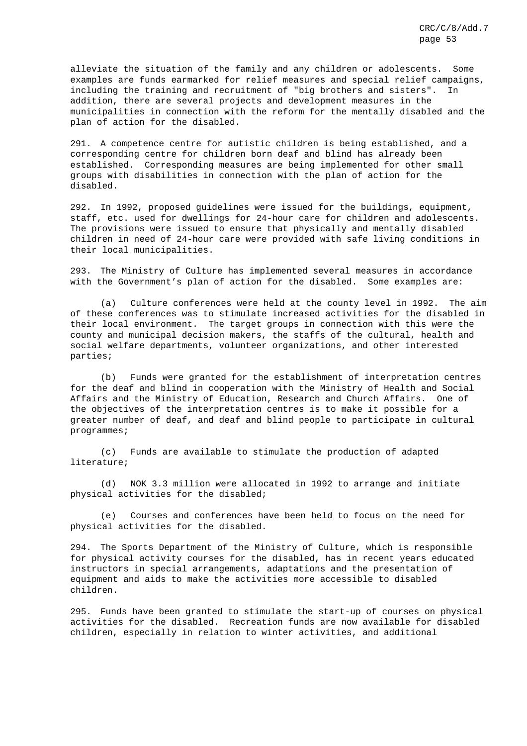alleviate the situation of the family and any children or adolescents. Some examples are funds earmarked for relief measures and special relief campaigns, including the training and recruitment of "big brothers and sisters". In addition, there are several projects and development measures in the municipalities in connection with the reform for the mentally disabled and the plan of action for the disabled.

291. A competence centre for autistic children is being established, and a corresponding centre for children born deaf and blind has already been established. Corresponding measures are being implemented for other small groups with disabilities in connection with the plan of action for the disabled.

292. In 1992, proposed guidelines were issued for the buildings, equipment, staff, etc. used for dwellings for 24-hour care for children and adolescents. The provisions were issued to ensure that physically and mentally disabled children in need of 24-hour care were provided with safe living conditions in their local municipalities.

293. The Ministry of Culture has implemented several measures in accordance with the Government's plan of action for the disabled. Some examples are:

(a) Culture conferences were held at the county level in 1992. The aim of these conferences was to stimulate increased activities for the disabled in their local environment. The target groups in connection with this were the county and municipal decision makers, the staffs of the cultural, health and social welfare departments, volunteer organizations, and other interested parties;

(b) Funds were granted for the establishment of interpretation centres for the deaf and blind in cooperation with the Ministry of Health and Social Affairs and the Ministry of Education, Research and Church Affairs. One of the objectives of the interpretation centres is to make it possible for a greater number of deaf, and deaf and blind people to participate in cultural programmes;

(c) Funds are available to stimulate the production of adapted literature;

(d) NOK 3.3 million were allocated in 1992 to arrange and initiate physical activities for the disabled;

(e) Courses and conferences have been held to focus on the need for physical activities for the disabled.

294. The Sports Department of the Ministry of Culture, which is responsible for physical activity courses for the disabled, has in recent years educated instructors in special arrangements, adaptations and the presentation of equipment and aids to make the activities more accessible to disabled children.

295. Funds have been granted to stimulate the start-up of courses on physical activities for the disabled. Recreation funds are now available for disabled children, especially in relation to winter activities, and additional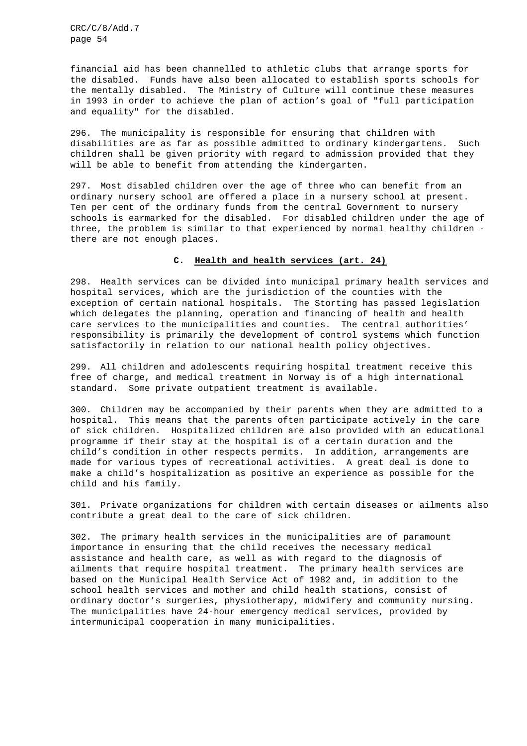financial aid has been channelled to athletic clubs that arrange sports for the disabled. Funds have also been allocated to establish sports schools for the mentally disabled. The Ministry of Culture will continue these measures in 1993 in order to achieve the plan of action's goal of "full participation and equality" for the disabled.

296. The municipality is responsible for ensuring that children with disabilities are as far as possible admitted to ordinary kindergartens. Such children shall be given priority with regard to admission provided that they will be able to benefit from attending the kindergarten.

297. Most disabled children over the age of three who can benefit from an ordinary nursery school are offered a place in a nursery school at present. Ten per cent of the ordinary funds from the central Government to nursery schools is earmarked for the disabled. For disabled children under the age of three, the problem is similar to that experienced by normal healthy children there are not enough places.

### **C. Health and health services (art. 24)**

298. Health services can be divided into municipal primary health services and hospital services, which are the jurisdiction of the counties with the exception of certain national hospitals. The Storting has passed legislation which delegates the planning, operation and financing of health and health care services to the municipalities and counties. The central authorities' responsibility is primarily the development of control systems which function satisfactorily in relation to our national health policy objectives.

299. All children and adolescents requiring hospital treatment receive this free of charge, and medical treatment in Norway is of a high international standard. Some private outpatient treatment is available.

300. Children may be accompanied by their parents when they are admitted to a hospital. This means that the parents often participate actively in the care of sick children. Hospitalized children are also provided with an educational programme if their stay at the hospital is of a certain duration and the child's condition in other respects permits. In addition, arrangements are made for various types of recreational activities. A great deal is done to make a child's hospitalization as positive an experience as possible for the child and his family.

301. Private organizations for children with certain diseases or ailments also contribute a great deal to the care of sick children.

302. The primary health services in the municipalities are of paramount importance in ensuring that the child receives the necessary medical assistance and health care, as well as with regard to the diagnosis of ailments that require hospital treatment. The primary health services are based on the Municipal Health Service Act of 1982 and, in addition to the school health services and mother and child health stations, consist of ordinary doctor's surgeries, physiotherapy, midwifery and community nursing. The municipalities have 24-hour emergency medical services, provided by intermunicipal cooperation in many municipalities.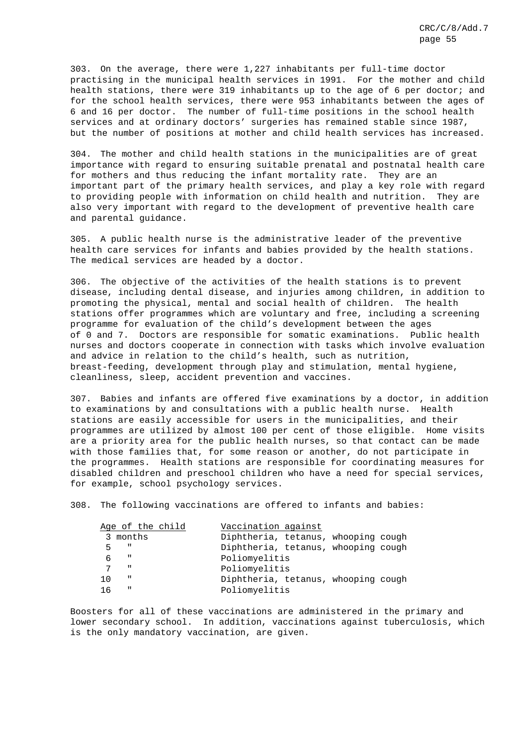303. On the average, there were 1,227 inhabitants per full-time doctor practising in the municipal health services in 1991. For the mother and child health stations, there were 319 inhabitants up to the age of 6 per doctor; and for the school health services, there were 953 inhabitants between the ages of 6 and 16 per doctor. The number of full-time positions in the school health services and at ordinary doctors' surgeries has remained stable since 1987, but the number of positions at mother and child health services has increased.

304. The mother and child health stations in the municipalities are of great importance with regard to ensuring suitable prenatal and postnatal health care for mothers and thus reducing the infant mortality rate. They are an important part of the primary health services, and play a key role with regard to providing people with information on child health and nutrition. They are also very important with regard to the development of preventive health care and parental guidance.

305. A public health nurse is the administrative leader of the preventive health care services for infants and babies provided by the health stations. The medical services are headed by a doctor.

306. The objective of the activities of the health stations is to prevent disease, including dental disease, and injuries among children, in addition to promoting the physical, mental and social health of children. The health stations offer programmes which are voluntary and free, including a screening programme for evaluation of the child's development between the ages of 0 and 7. Doctors are responsible for somatic examinations. Public health nurses and doctors cooperate in connection with tasks which involve evaluation and advice in relation to the child's health, such as nutrition, breast-feeding, development through play and stimulation, mental hygiene, cleanliness, sleep, accident prevention and vaccines.

307. Babies and infants are offered five examinations by a doctor, in addition to examinations by and consultations with a public health nurse. Health stations are easily accessible for users in the municipalities, and their programmes are utilized by almost 100 per cent of those eligible. Home visits are a priority area for the public health nurses, so that contact can be made with those families that, for some reason or another, do not participate in the programmes. Health stations are responsible for coordinating measures for disabled children and preschool children who have a need for special services, for example, school psychology services.

308. The following vaccinations are offered to infants and babies:

|     | Age of the child | Vaccination against                 |  |  |
|-----|------------------|-------------------------------------|--|--|
|     | 3 months         | Diphtheria, tetanus, whooping cough |  |  |
| 5   | $\blacksquare$   | Diphtheria, tetanus, whooping cough |  |  |
|     | $\mathbf{H}$     | Poliomyelitis                       |  |  |
| 7   | ш                | Poliomyelitis                       |  |  |
| 1 O | $\mathbf H$      | Diphtheria, tetanus, whooping cough |  |  |
| 16  | $\mathbf{u}$     | Poliomyelitis                       |  |  |

Boosters for all of these vaccinations are administered in the primary and lower secondary school. In addition, vaccinations against tuberculosis, which is the only mandatory vaccination, are given.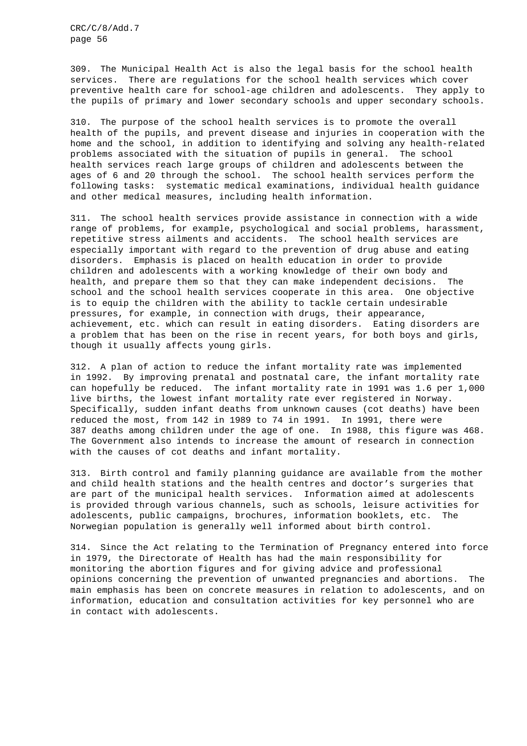309. The Municipal Health Act is also the legal basis for the school health services. There are regulations for the school health services which cover preventive health care for school-age children and adolescents. They apply to the pupils of primary and lower secondary schools and upper secondary schools.

310. The purpose of the school health services is to promote the overall health of the pupils, and prevent disease and injuries in cooperation with the home and the school, in addition to identifying and solving any health-related problems associated with the situation of pupils in general. The school health services reach large groups of children and adolescents between the ages of 6 and 20 through the school. The school health services perform the following tasks: systematic medical examinations, individual health guidance and other medical measures, including health information.

311. The school health services provide assistance in connection with a wide range of problems, for example, psychological and social problems, harassment, repetitive stress ailments and accidents. The school health services are especially important with regard to the prevention of drug abuse and eating disorders. Emphasis is placed on health education in order to provide children and adolescents with a working knowledge of their own body and health, and prepare them so that they can make independent decisions. The school and the school health services cooperate in this area. One objective is to equip the children with the ability to tackle certain undesirable pressures, for example, in connection with drugs, their appearance, achievement, etc. which can result in eating disorders. Eating disorders are a problem that has been on the rise in recent years, for both boys and girls, though it usually affects young girls.

312. A plan of action to reduce the infant mortality rate was implemented in 1992. By improving prenatal and postnatal care, the infant mortality rate can hopefully be reduced. The infant mortality rate in 1991 was 1.6 per 1,000 live births, the lowest infant mortality rate ever registered in Norway. Specifically, sudden infant deaths from unknown causes (cot deaths) have been reduced the most, from 142 in 1989 to 74 in 1991. In 1991, there were 387 deaths among children under the age of one. In 1988, this figure was 468. The Government also intends to increase the amount of research in connection with the causes of cot deaths and infant mortality.

313. Birth control and family planning guidance are available from the mother and child health stations and the health centres and doctor's surgeries that are part of the municipal health services. Information aimed at adolescents is provided through various channels, such as schools, leisure activities for adolescents, public campaigns, brochures, information booklets, etc. The Norwegian population is generally well informed about birth control.

314. Since the Act relating to the Termination of Pregnancy entered into force in 1979, the Directorate of Health has had the main responsibility for monitoring the abortion figures and for giving advice and professional opinions concerning the prevention of unwanted pregnancies and abortions. The main emphasis has been on concrete measures in relation to adolescents, and on information, education and consultation activities for key personnel who are in contact with adolescents.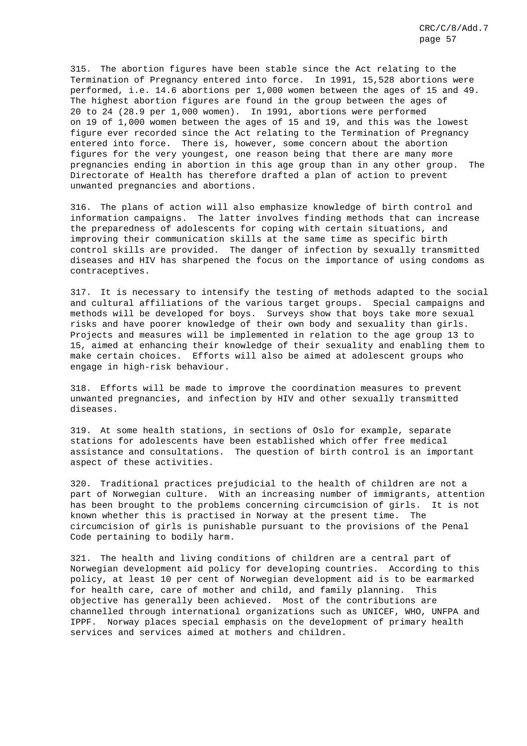315. The abortion figures have been stable since the Act relating to the Termination of Pregnancy entered into force. In 1991, 15,528 abortions were performed, i.e. 14.6 abortions per 1,000 women between the ages of 15 and 49. The highest abortion figures are found in the group between the ages of 20 to 24 (28.9 per 1,000 women). In 1991, abortions were performed on 19 of 1,000 women between the ages of 15 and 19, and this was the lowest figure ever recorded since the Act relating to the Termination of Pregnancy entered into force. There is, however, some concern about the abortion figures for the very youngest, one reason being that there are many more pregnancies ending in abortion in this age group than in any other group. The Directorate of Health has therefore drafted a plan of action to prevent unwanted pregnancies and abortions.

316. The plans of action will also emphasize knowledge of birth control and information campaigns. The latter involves finding methods that can increase the preparedness of adolescents for coping with certain situations, and improving their communication skills at the same time as specific birth control skills are provided. The danger of infection by sexually transmitted diseases and HIV has sharpened the focus on the importance of using condoms as contraceptives.

317. It is necessary to intensify the testing of methods adapted to the social and cultural affiliations of the various target groups. Special campaigns and methods will be developed for boys. Surveys show that boys take more sexual risks and have poorer knowledge of their own body and sexuality than girls. Projects and measures will be implemented in relation to the age group 13 to 15, aimed at enhancing their knowledge of their sexuality and enabling them to make certain choices. Efforts will also be aimed at adolescent groups who engage in high-risk behaviour.

318. Efforts will be made to improve the coordination measures to prevent unwanted pregnancies, and infection by HIV and other sexually transmitted diseases.

319. At some health stations, in sections of Oslo for example, separate stations for adolescents have been established which offer free medical assistance and consultations. The question of birth control is an important aspect of these activities.

320. Traditional practices prejudicial to the health of children are not a part of Norwegian culture. With an increasing number of immigrants, attention has been brought to the problems concerning circumcision of girls. It is not known whether this is practised in Norway at the present time. The circumcision of girls is punishable pursuant to the provisions of the Penal Code pertaining to bodily harm.

321. The health and living conditions of children are a central part of Norwegian development aid policy for developing countries. According to this policy, at least 10 per cent of Norwegian development aid is to be earmarked for health care, care of mother and child, and family planning. This objective has generally been achieved. Most of the contributions are channelled through international organizations such as UNICEF, WHO, UNFPA and IPPF. Norway places special emphasis on the development of primary health services and services aimed at mothers and children.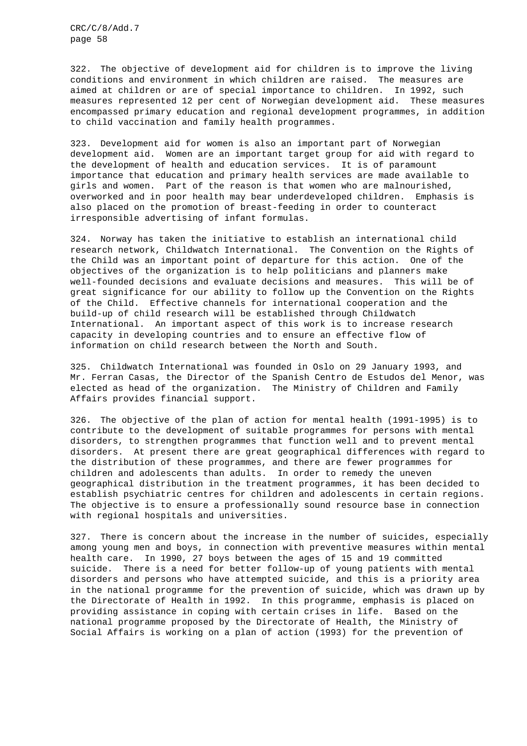322. The objective of development aid for children is to improve the living conditions and environment in which children are raised. The measures are aimed at children or are of special importance to children. In 1992, such measures represented 12 per cent of Norwegian development aid. These measures encompassed primary education and regional development programmes, in addition to child vaccination and family health programmes.

323. Development aid for women is also an important part of Norwegian development aid. Women are an important target group for aid with regard to the development of health and education services. It is of paramount importance that education and primary health services are made available to girls and women. Part of the reason is that women who are malnourished, overworked and in poor health may bear underdeveloped children. Emphasis is also placed on the promotion of breast-feeding in order to counteract irresponsible advertising of infant formulas.

324. Norway has taken the initiative to establish an international child research network, Childwatch International. The Convention on the Rights of the Child was an important point of departure for this action. One of the objectives of the organization is to help politicians and planners make well-founded decisions and evaluate decisions and measures. This will be of great significance for our ability to follow up the Convention on the Rights of the Child. Effective channels for international cooperation and the build-up of child research will be established through Childwatch International. An important aspect of this work is to increase research capacity in developing countries and to ensure an effective flow of information on child research between the North and South.

325. Childwatch International was founded in Oslo on 29 January 1993, and Mr. Ferran Casas, the Director of the Spanish Centro de Estudos del Menor, was elected as head of the organization. The Ministry of Children and Family Affairs provides financial support.

326. The objective of the plan of action for mental health (1991-1995) is to contribute to the development of suitable programmes for persons with mental disorders, to strengthen programmes that function well and to prevent mental disorders. At present there are great geographical differences with regard to the distribution of these programmes, and there are fewer programmes for children and adolescents than adults. In order to remedy the uneven geographical distribution in the treatment programmes, it has been decided to establish psychiatric centres for children and adolescents in certain regions. The objective is to ensure a professionally sound resource base in connection with regional hospitals and universities.

327. There is concern about the increase in the number of suicides, especially among young men and boys, in connection with preventive measures within mental health care. In 1990, 27 boys between the ages of 15 and 19 committed suicide. There is a need for better follow-up of young patients with mental disorders and persons who have attempted suicide, and this is a priority area in the national programme for the prevention of suicide, which was drawn up by the Directorate of Health in 1992. In this programme, emphasis is placed on providing assistance in coping with certain crises in life. Based on the national programme proposed by the Directorate of Health, the Ministry of Social Affairs is working on a plan of action (1993) for the prevention of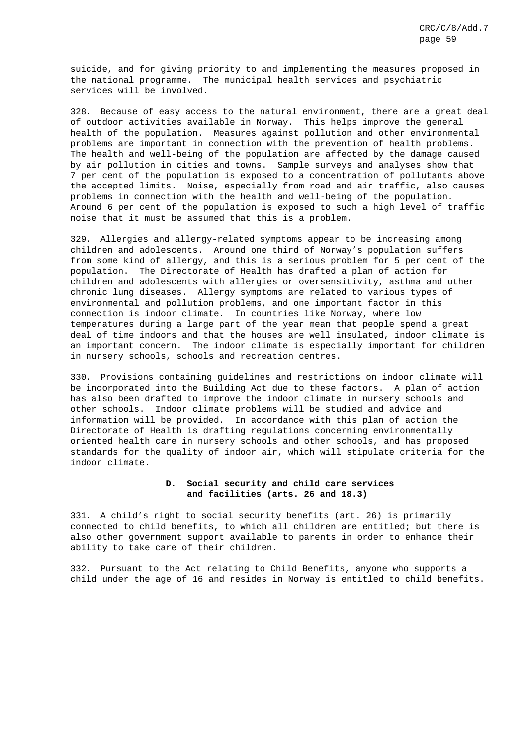suicide, and for giving priority to and implementing the measures proposed in the national programme. The municipal health services and psychiatric services will be involved.

328. Because of easy access to the natural environment, there are a great deal of outdoor activities available in Norway. This helps improve the general health of the population. Measures against pollution and other environmental problems are important in connection with the prevention of health problems. The health and well-being of the population are affected by the damage caused by air pollution in cities and towns. Sample surveys and analyses show that 7 per cent of the population is exposed to a concentration of pollutants above the accepted limits. Noise, especially from road and air traffic, also causes problems in connection with the health and well-being of the population. Around 6 per cent of the population is exposed to such a high level of traffic noise that it must be assumed that this is a problem.

329. Allergies and allergy-related symptoms appear to be increasing among children and adolescents. Around one third of Norway's population suffers from some kind of allergy, and this is a serious problem for 5 per cent of the population. The Directorate of Health has drafted a plan of action for children and adolescents with allergies or oversensitivity, asthma and other chronic lung diseases. Allergy symptoms are related to various types of environmental and pollution problems, and one important factor in this connection is indoor climate. In countries like Norway, where low temperatures during a large part of the year mean that people spend a great deal of time indoors and that the houses are well insulated, indoor climate is an important concern. The indoor climate is especially important for children in nursery schools, schools and recreation centres.

330. Provisions containing guidelines and restrictions on indoor climate will be incorporated into the Building Act due to these factors. A plan of action has also been drafted to improve the indoor climate in nursery schools and other schools. Indoor climate problems will be studied and advice and information will be provided. In accordance with this plan of action the Directorate of Health is drafting regulations concerning environmentally oriented health care in nursery schools and other schools, and has proposed standards for the quality of indoor air, which will stipulate criteria for the indoor climate.

## **D. Social security and child care services and facilities (arts. 26 and 18.3)**

331. A child's right to social security benefits (art. 26) is primarily connected to child benefits, to which all children are entitled; but there is also other government support available to parents in order to enhance their ability to take care of their children.

332. Pursuant to the Act relating to Child Benefits, anyone who supports a child under the age of 16 and resides in Norway is entitled to child benefits.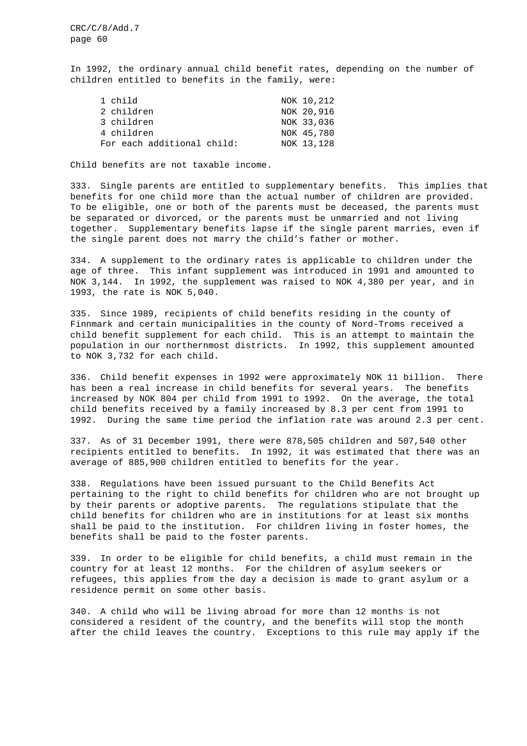In 1992, the ordinary annual child benefit rates, depending on the number of children entitled to benefits in the family, were:

| 1 child                    | NOK 10, 212 |
|----------------------------|-------------|
| 2 children                 | NOK 20,916  |
| 3 children                 | NOK 33,036  |
| 4 children                 | NOK 45,780  |
| For each additional child: | NOK 13, 128 |

Child benefits are not taxable income.

333. Single parents are entitled to supplementary benefits. This implies that benefits for one child more than the actual number of children are provided. To be eligible, one or both of the parents must be deceased, the parents must be separated or divorced, or the parents must be unmarried and not living together. Supplementary benefits lapse if the single parent marries, even if the single parent does not marry the child's father or mother.

334. A supplement to the ordinary rates is applicable to children under the age of three. This infant supplement was introduced in 1991 and amounted to NOK 3,144. In 1992, the supplement was raised to NOK 4,380 per year, and in 1993, the rate is NOK 5,040.

335. Since 1989, recipients of child benefits residing in the county of Finnmark and certain municipalities in the county of Nord-Troms received a child benefit supplement for each child. This is an attempt to maintain the population in our northernmost districts. In 1992, this supplement amounted to NOK 3,732 for each child.

336. Child benefit expenses in 1992 were approximately NOK 11 billion. There has been a real increase in child benefits for several years. The benefits increased by NOK 804 per child from 1991 to 1992. On the average, the total child benefits received by a family increased by 8.3 per cent from 1991 to 1992. During the same time period the inflation rate was around 2.3 per cent.

337. As of 31 December 1991, there were 878,505 children and 507,540 other recipients entitled to benefits. In 1992, it was estimated that there was an average of 885,900 children entitled to benefits for the year.

338. Regulations have been issued pursuant to the Child Benefits Act pertaining to the right to child benefits for children who are not brought up by their parents or adoptive parents. The regulations stipulate that the child benefits for children who are in institutions for at least six months shall be paid to the institution. For children living in foster homes, the benefits shall be paid to the foster parents.

339. In order to be eligible for child benefits, a child must remain in the country for at least 12 months. For the children of asylum seekers or refugees, this applies from the day a decision is made to grant asylum or a residence permit on some other basis.

340. A child who will be living abroad for more than 12 months is not considered a resident of the country, and the benefits will stop the month after the child leaves the country. Exceptions to this rule may apply if the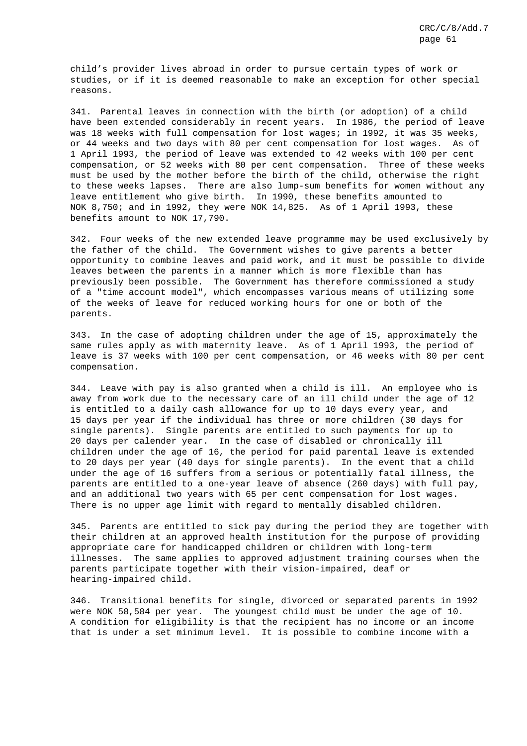child's provider lives abroad in order to pursue certain types of work or studies, or if it is deemed reasonable to make an exception for other special reasons.

341. Parental leaves in connection with the birth (or adoption) of a child have been extended considerably in recent years. In 1986, the period of leave was 18 weeks with full compensation for lost wages; in 1992, it was 35 weeks, or 44 weeks and two days with 80 per cent compensation for lost wages. As of 1 April 1993, the period of leave was extended to 42 weeks with 100 per cent compensation, or 52 weeks with 80 per cent compensation. Three of these weeks must be used by the mother before the birth of the child, otherwise the right to these weeks lapses. There are also lump-sum benefits for women without any leave entitlement who give birth. In 1990, these benefits amounted to NOK 8,750; and in 1992, they were NOK 14,825. As of 1 April 1993, these benefits amount to NOK 17,790.

342. Four weeks of the new extended leave programme may be used exclusively by the father of the child. The Government wishes to give parents a better opportunity to combine leaves and paid work, and it must be possible to divide leaves between the parents in a manner which is more flexible than has previously been possible. The Government has therefore commissioned a study of a "time account model", which encompasses various means of utilizing some of the weeks of leave for reduced working hours for one or both of the parents.

343. In the case of adopting children under the age of 15, approximately the same rules apply as with maternity leave. As of 1 April 1993, the period of leave is 37 weeks with 100 per cent compensation, or 46 weeks with 80 per cent compensation.

344. Leave with pay is also granted when a child is ill. An employee who is away from work due to the necessary care of an ill child under the age of 12 is entitled to a daily cash allowance for up to 10 days every year, and 15 days per year if the individual has three or more children (30 days for single parents). Single parents are entitled to such payments for up to 20 days per calender year. In the case of disabled or chronically ill children under the age of 16, the period for paid parental leave is extended to 20 days per year (40 days for single parents). In the event that a child under the age of 16 suffers from a serious or potentially fatal illness, the parents are entitled to a one-year leave of absence (260 days) with full pay, and an additional two years with 65 per cent compensation for lost wages. There is no upper age limit with regard to mentally disabled children.

345. Parents are entitled to sick pay during the period they are together with their children at an approved health institution for the purpose of providing appropriate care for handicapped children or children with long-term illnesses. The same applies to approved adjustment training courses when the parents participate together with their vision-impaired, deaf or hearing-impaired child.

346. Transitional benefits for single, divorced or separated parents in 1992 were NOK 58,584 per year. The youngest child must be under the age of 10. A condition for eligibility is that the recipient has no income or an income that is under a set minimum level. It is possible to combine income with a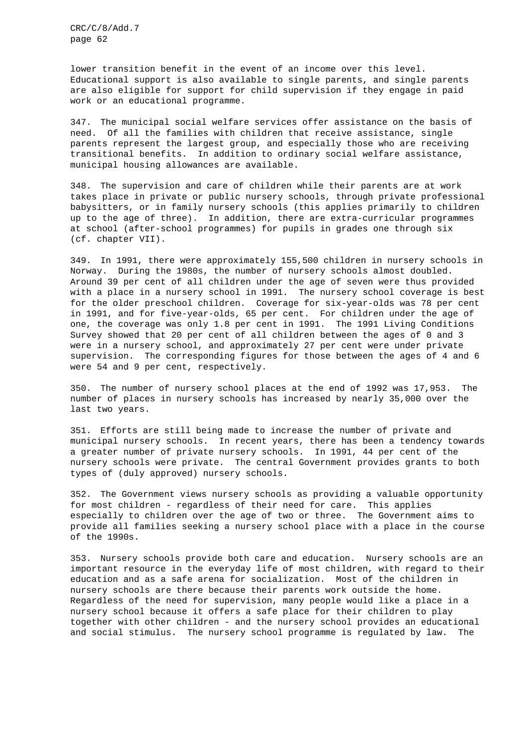lower transition benefit in the event of an income over this level. Educational support is also available to single parents, and single parents are also eligible for support for child supervision if they engage in paid work or an educational programme.

347. The municipal social welfare services offer assistance on the basis of need. Of all the families with children that receive assistance, single parents represent the largest group, and especially those who are receiving transitional benefits. In addition to ordinary social welfare assistance, municipal housing allowances are available.

348. The supervision and care of children while their parents are at work takes place in private or public nursery schools, through private professional babysitters, or in family nursery schools (this applies primarily to children up to the age of three). In addition, there are extra-curricular programmes at school (after-school programmes) for pupils in grades one through six (cf. chapter VII).

349. In 1991, there were approximately 155,500 children in nursery schools in Norway. During the 1980s, the number of nursery schools almost doubled. Around 39 per cent of all children under the age of seven were thus provided with a place in a nursery school in 1991. The nursery school coverage is best for the older preschool children. Coverage for six-year-olds was 78 per cent in 1991, and for five-year-olds, 65 per cent. For children under the age of one, the coverage was only 1.8 per cent in 1991. The 1991 Living Conditions Survey showed that 20 per cent of all children between the ages of 0 and 3 were in a nursery school, and approximately 27 per cent were under private supervision. The corresponding figures for those between the ages of 4 and 6 were 54 and 9 per cent, respectively.

350. The number of nursery school places at the end of 1992 was 17,953. The number of places in nursery schools has increased by nearly 35,000 over the last two years.

351. Efforts are still being made to increase the number of private and municipal nursery schools. In recent years, there has been a tendency towards a greater number of private nursery schools. In 1991, 44 per cent of the nursery schools were private. The central Government provides grants to both types of (duly approved) nursery schools.

352. The Government views nursery schools as providing a valuable opportunity for most children - regardless of their need for care. This applies especially to children over the age of two or three. The Government aims to provide all families seeking a nursery school place with a place in the course of the 1990s.

353. Nursery schools provide both care and education. Nursery schools are an important resource in the everyday life of most children, with regard to their education and as a safe arena for socialization. Most of the children in nursery schools are there because their parents work outside the home. Regardless of the need for supervision, many people would like a place in a nursery school because it offers a safe place for their children to play together with other children - and the nursery school provides an educational and social stimulus. The nursery school programme is regulated by law. The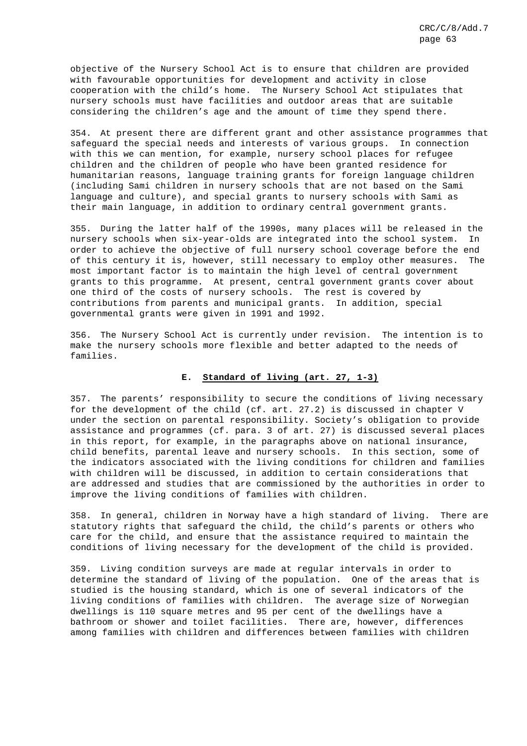objective of the Nursery School Act is to ensure that children are provided with favourable opportunities for development and activity in close cooperation with the child's home. The Nursery School Act stipulates that nursery schools must have facilities and outdoor areas that are suitable considering the children's age and the amount of time they spend there.

354. At present there are different grant and other assistance programmes that safeguard the special needs and interests of various groups. In connection with this we can mention, for example, nursery school places for refugee children and the children of people who have been granted residence for humanitarian reasons, language training grants for foreign language children (including Sami children in nursery schools that are not based on the Sami language and culture), and special grants to nursery schools with Sami as their main language, in addition to ordinary central government grants.

355. During the latter half of the 1990s, many places will be released in the nursery schools when six-year-olds are integrated into the school system. In order to achieve the objective of full nursery school coverage before the end of this century it is, however, still necessary to employ other measures. The most important factor is to maintain the high level of central government grants to this programme. At present, central government grants cover about one third of the costs of nursery schools. The rest is covered by contributions from parents and municipal grants. In addition, special governmental grants were given in 1991 and 1992.

356. The Nursery School Act is currently under revision. The intention is to make the nursery schools more flexible and better adapted to the needs of families.

# **E. Standard of living (art. 27, 1-3)**

357. The parents' responsibility to secure the conditions of living necessary for the development of the child (cf. art. 27.2) is discussed in chapter V under the section on parental responsibility. Society's obligation to provide assistance and programmes (cf. para. 3 of art. 27) is discussed several places in this report, for example, in the paragraphs above on national insurance, child benefits, parental leave and nursery schools. In this section, some of the indicators associated with the living conditions for children and families with children will be discussed, in addition to certain considerations that are addressed and studies that are commissioned by the authorities in order to improve the living conditions of families with children.

358. In general, children in Norway have a high standard of living. There are statutory rights that safeguard the child, the child's parents or others who care for the child, and ensure that the assistance required to maintain the conditions of living necessary for the development of the child is provided.

359. Living condition surveys are made at regular intervals in order to determine the standard of living of the population. One of the areas that is studied is the housing standard, which is one of several indicators of the living conditions of families with children. The average size of Norwegian dwellings is 110 square metres and 95 per cent of the dwellings have a bathroom or shower and toilet facilities. There are, however, differences among families with children and differences between families with children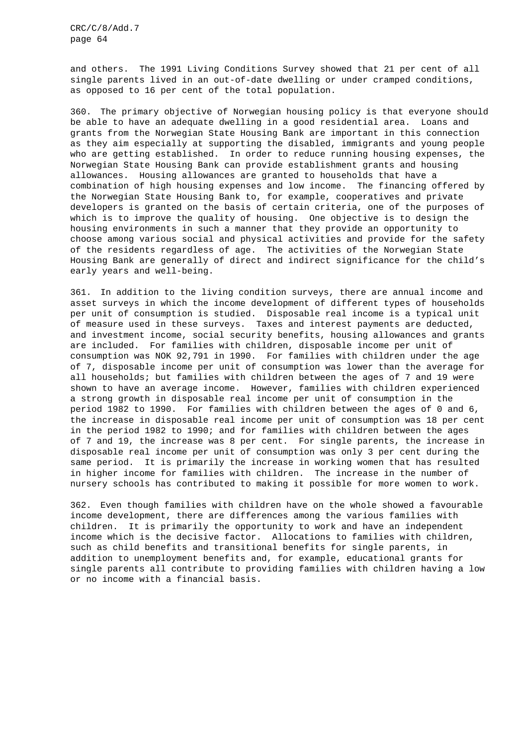and others. The 1991 Living Conditions Survey showed that 21 per cent of all single parents lived in an out-of-date dwelling or under cramped conditions, as opposed to 16 per cent of the total population.

360. The primary objective of Norwegian housing policy is that everyone should be able to have an adequate dwelling in a good residential area. Loans and grants from the Norwegian State Housing Bank are important in this connection as they aim especially at supporting the disabled, immigrants and young people who are getting established. In order to reduce running housing expenses, the Norwegian State Housing Bank can provide establishment grants and housing allowances. Housing allowances are granted to households that have a combination of high housing expenses and low income. The financing offered by the Norwegian State Housing Bank to, for example, cooperatives and private developers is granted on the basis of certain criteria, one of the purposes of which is to improve the quality of housing. One objective is to design the housing environments in such a manner that they provide an opportunity to choose among various social and physical activities and provide for the safety of the residents regardless of age. The activities of the Norwegian State Housing Bank are generally of direct and indirect significance for the child's early years and well-being.

361. In addition to the living condition surveys, there are annual income and asset surveys in which the income development of different types of households per unit of consumption is studied. Disposable real income is a typical unit of measure used in these surveys. Taxes and interest payments are deducted, and investment income, social security benefits, housing allowances and grants are included. For families with children, disposable income per unit of consumption was NOK 92,791 in 1990. For families with children under the age of 7, disposable income per unit of consumption was lower than the average for all households; but families with children between the ages of 7 and 19 were shown to have an average income. However, families with children experienced a strong growth in disposable real income per unit of consumption in the period 1982 to 1990. For families with children between the ages of 0 and 6, the increase in disposable real income per unit of consumption was 18 per cent in the period 1982 to 1990; and for families with children between the ages of 7 and 19, the increase was 8 per cent. For single parents, the increase in disposable real income per unit of consumption was only 3 per cent during the same period. It is primarily the increase in working women that has resulted in higher income for families with children. The increase in the number of nursery schools has contributed to making it possible for more women to work.

362. Even though families with children have on the whole showed a favourable income development, there are differences among the various families with children. It is primarily the opportunity to work and have an independent income which is the decisive factor. Allocations to families with children, such as child benefits and transitional benefits for single parents, in addition to unemployment benefits and, for example, educational grants for single parents all contribute to providing families with children having a low or no income with a financial basis.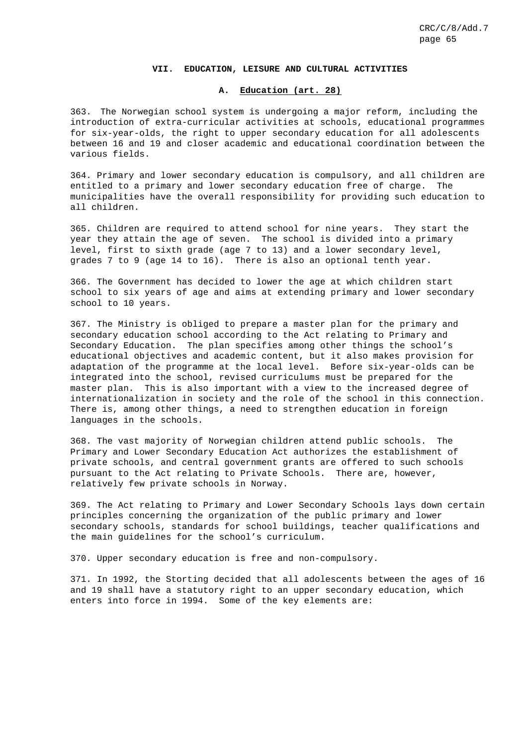#### **VII. EDUCATION, LEISURE AND CULTURAL ACTIVITIES**

#### **A. Education (art. 28)**

363. The Norwegian school system is undergoing a major reform, including the introduction of extra-curricular activities at schools, educational programmes for six-year-olds, the right to upper secondary education for all adolescents between 16 and 19 and closer academic and educational coordination between the various fields.

364. Primary and lower secondary education is compulsory, and all children are entitled to a primary and lower secondary education free of charge. The municipalities have the overall responsibility for providing such education to all children.

365. Children are required to attend school for nine years. They start the year they attain the age of seven. The school is divided into a primary level, first to sixth grade (age 7 to 13) and a lower secondary level, grades 7 to 9 (age 14 to 16). There is also an optional tenth year.

366. The Government has decided to lower the age at which children start school to six years of age and aims at extending primary and lower secondary school to 10 years.

367. The Ministry is obliged to prepare a master plan for the primary and secondary education school according to the Act relating to Primary and Secondary Education. The plan specifies among other things the school's educational objectives and academic content, but it also makes provision for adaptation of the programme at the local level. Before six-year-olds can be integrated into the school, revised curriculums must be prepared for the master plan. This is also important with a view to the increased degree of internationalization in society and the role of the school in this connection. There is, among other things, a need to strengthen education in foreign languages in the schools.

368. The vast majority of Norwegian children attend public schools. The Primary and Lower Secondary Education Act authorizes the establishment of private schools, and central government grants are offered to such schools pursuant to the Act relating to Private Schools. There are, however, relatively few private schools in Norway.

369. The Act relating to Primary and Lower Secondary Schools lays down certain principles concerning the organization of the public primary and lower secondary schools, standards for school buildings, teacher qualifications and the main guidelines for the school's curriculum.

370. Upper secondary education is free and non-compulsory.

371. In 1992, the Storting decided that all adolescents between the ages of 16 and 19 shall have a statutory right to an upper secondary education, which enters into force in 1994. Some of the key elements are: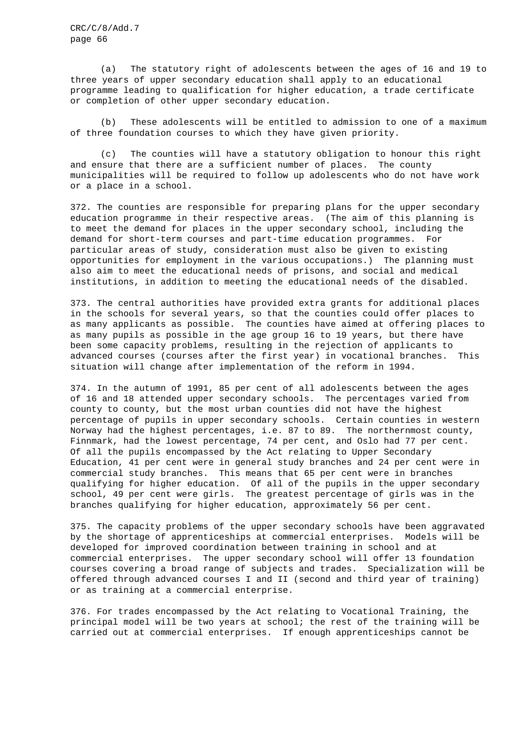(a) The statutory right of adolescents between the ages of 16 and 19 to three years of upper secondary education shall apply to an educational programme leading to qualification for higher education, a trade certificate or completion of other upper secondary education.

(b) These adolescents will be entitled to admission to one of a maximum of three foundation courses to which they have given priority.

(c) The counties will have a statutory obligation to honour this right and ensure that there are a sufficient number of places. The county municipalities will be required to follow up adolescents who do not have work or a place in a school.

372. The counties are responsible for preparing plans for the upper secondary education programme in their respective areas. (The aim of this planning is to meet the demand for places in the upper secondary school, including the demand for short-term courses and part-time education programmes. For particular areas of study, consideration must also be given to existing opportunities for employment in the various occupations.) The planning must also aim to meet the educational needs of prisons, and social and medical institutions, in addition to meeting the educational needs of the disabled.

373. The central authorities have provided extra grants for additional places in the schools for several years, so that the counties could offer places to as many applicants as possible. The counties have aimed at offering places to as many pupils as possible in the age group 16 to 19 years, but there have been some capacity problems, resulting in the rejection of applicants to advanced courses (courses after the first year) in vocational branches. This situation will change after implementation of the reform in 1994.

374. In the autumn of 1991, 85 per cent of all adolescents between the ages of 16 and 18 attended upper secondary schools. The percentages varied from county to county, but the most urban counties did not have the highest percentage of pupils in upper secondary schools. Certain counties in western Norway had the highest percentages, i.e. 87 to 89. The northernmost county, Finnmark, had the lowest percentage, 74 per cent, and Oslo had 77 per cent. Of all the pupils encompassed by the Act relating to Upper Secondary Education, 41 per cent were in general study branches and 24 per cent were in commercial study branches. This means that 65 per cent were in branches qualifying for higher education. Of all of the pupils in the upper secondary school, 49 per cent were girls. The greatest percentage of girls was in the branches qualifying for higher education, approximately 56 per cent.

375. The capacity problems of the upper secondary schools have been aggravated by the shortage of apprenticeships at commercial enterprises. Models will be developed for improved coordination between training in school and at commercial enterprises. The upper secondary school will offer 13 foundation courses covering a broad range of subjects and trades. Specialization will be offered through advanced courses I and II (second and third year of training) or as training at a commercial enterprise.

376. For trades encompassed by the Act relating to Vocational Training, the principal model will be two years at school; the rest of the training will be carried out at commercial enterprises. If enough apprenticeships cannot be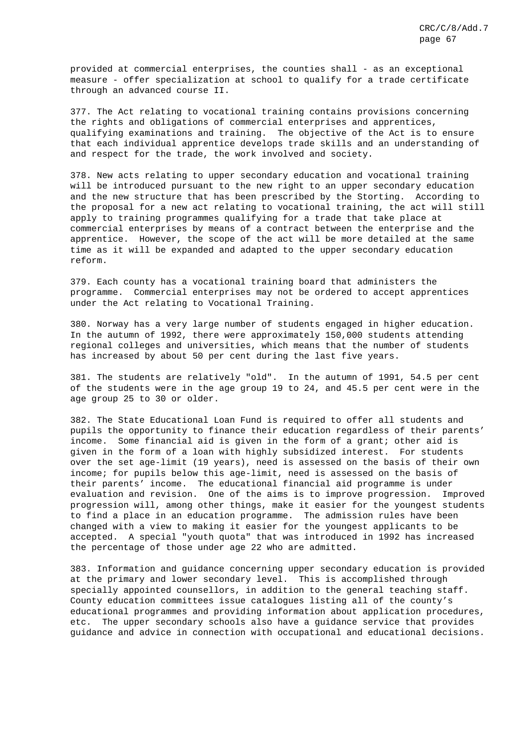provided at commercial enterprises, the counties shall - as an exceptional measure - offer specialization at school to qualify for a trade certificate through an advanced course II.

377. The Act relating to vocational training contains provisions concerning the rights and obligations of commercial enterprises and apprentices, qualifying examinations and training. The objective of the Act is to ensure that each individual apprentice develops trade skills and an understanding of and respect for the trade, the work involved and society.

378. New acts relating to upper secondary education and vocational training will be introduced pursuant to the new right to an upper secondary education and the new structure that has been prescribed by the Storting. According to the proposal for a new act relating to vocational training, the act will still apply to training programmes qualifying for a trade that take place at commercial enterprises by means of a contract between the enterprise and the apprentice. However, the scope of the act will be more detailed at the same time as it will be expanded and adapted to the upper secondary education reform.

379. Each county has a vocational training board that administers the programme. Commercial enterprises may not be ordered to accept apprentices under the Act relating to Vocational Training.

380. Norway has a very large number of students engaged in higher education. In the autumn of 1992, there were approximately 150,000 students attending regional colleges and universities, which means that the number of students has increased by about 50 per cent during the last five years.

381. The students are relatively "old". In the autumn of 1991, 54.5 per cent of the students were in the age group 19 to 24, and 45.5 per cent were in the age group 25 to 30 or older.

382. The State Educational Loan Fund is required to offer all students and pupils the opportunity to finance their education regardless of their parents' income. Some financial aid is given in the form of a grant; other aid is given in the form of a loan with highly subsidized interest. For students over the set age-limit (19 years), need is assessed on the basis of their own income; for pupils below this age-limit, need is assessed on the basis of their parents' income. The educational financial aid programme is under evaluation and revision. One of the aims is to improve progression. Improved progression will, among other things, make it easier for the youngest students to find a place in an education programme. The admission rules have been changed with a view to making it easier for the youngest applicants to be accepted. A special "youth quota" that was introduced in 1992 has increased the percentage of those under age 22 who are admitted.

383. Information and guidance concerning upper secondary education is provided at the primary and lower secondary level. This is accomplished through specially appointed counsellors, in addition to the general teaching staff. County education committees issue catalogues listing all of the county's educational programmes and providing information about application procedures, etc. The upper secondary schools also have a guidance service that provides guidance and advice in connection with occupational and educational decisions.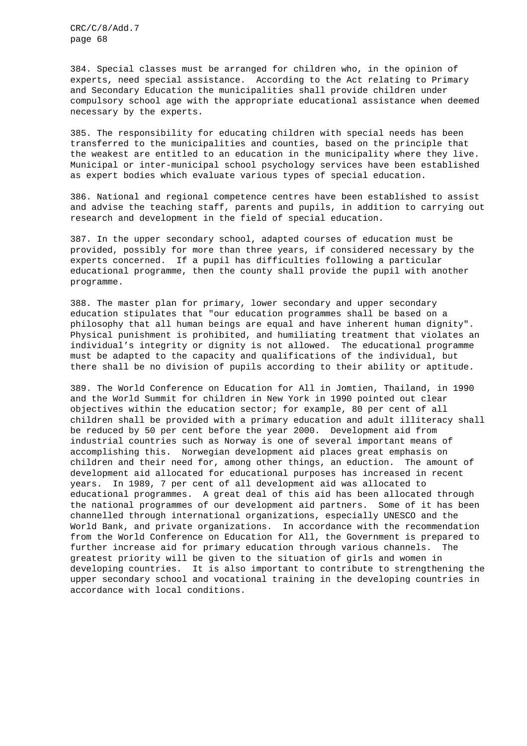384. Special classes must be arranged for children who, in the opinion of experts, need special assistance. According to the Act relating to Primary and Secondary Education the municipalities shall provide children under compulsory school age with the appropriate educational assistance when deemed necessary by the experts.

385. The responsibility for educating children with special needs has been transferred to the municipalities and counties, based on the principle that the weakest are entitled to an education in the municipality where they live. Municipal or inter-municipal school psychology services have been established as expert bodies which evaluate various types of special education.

386. National and regional competence centres have been established to assist and advise the teaching staff, parents and pupils, in addition to carrying out research and development in the field of special education.

387. In the upper secondary school, adapted courses of education must be provided, possibly for more than three years, if considered necessary by the experts concerned. If a pupil has difficulties following a particular educational programme, then the county shall provide the pupil with another programme.

388. The master plan for primary, lower secondary and upper secondary education stipulates that "our education programmes shall be based on a philosophy that all human beings are equal and have inherent human dignity". Physical punishment is prohibited, and humiliating treatment that violates an individual's integrity or dignity is not allowed. The educational programme must be adapted to the capacity and qualifications of the individual, but there shall be no division of pupils according to their ability or aptitude.

389. The World Conference on Education for All in Jomtien, Thailand, in 1990 and the World Summit for children in New York in 1990 pointed out clear objectives within the education sector; for example, 80 per cent of all children shall be provided with a primary education and adult illiteracy shall be reduced by 50 per cent before the year 2000. Development aid from industrial countries such as Norway is one of several important means of accomplishing this. Norwegian development aid places great emphasis on children and their need for, among other things, an eduction. The amount of development aid allocated for educational purposes has increased in recent years. In 1989, 7 per cent of all development aid was allocated to educational programmes. A great deal of this aid has been allocated through the national programmes of our development aid partners. Some of it has been channelled through international organizations, especially UNESCO and the World Bank, and private organizations. In accordance with the recommendation from the World Conference on Education for All, the Government is prepared to further increase aid for primary education through various channels. The greatest priority will be given to the situation of girls and women in developing countries. It is also important to contribute to strengthening the upper secondary school and vocational training in the developing countries in accordance with local conditions.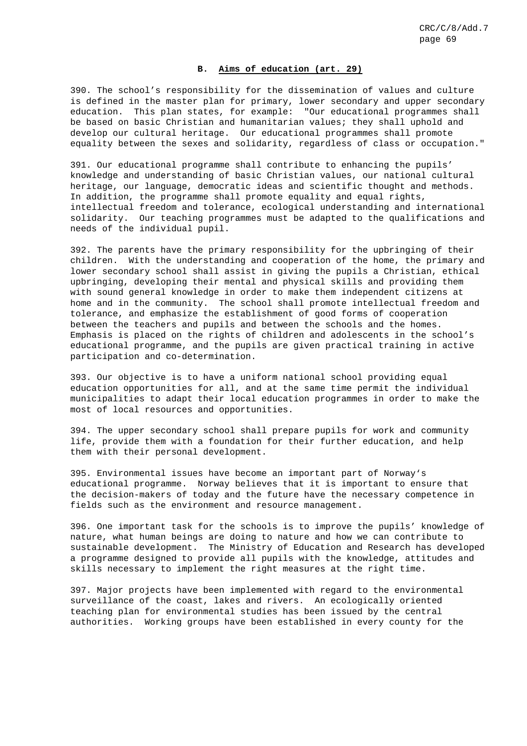### **B. Aims of education (art. 29)**

390. The school's responsibility for the dissemination of values and culture is defined in the master plan for primary, lower secondary and upper secondary education. This plan states, for example: "Our educational programmes shall be based on basic Christian and humanitarian values; they shall uphold and develop our cultural heritage. Our educational programmes shall promote equality between the sexes and solidarity, regardless of class or occupation."

391. Our educational programme shall contribute to enhancing the pupils' knowledge and understanding of basic Christian values, our national cultural heritage, our language, democratic ideas and scientific thought and methods. In addition, the programme shall promote equality and equal rights, intellectual freedom and tolerance, ecological understanding and international solidarity. Our teaching programmes must be adapted to the qualifications and needs of the individual pupil.

392. The parents have the primary responsibility for the upbringing of their children. With the understanding and cooperation of the home, the primary and lower secondary school shall assist in giving the pupils a Christian, ethical upbringing, developing their mental and physical skills and providing them with sound general knowledge in order to make them independent citizens at home and in the community. The school shall promote intellectual freedom and tolerance, and emphasize the establishment of good forms of cooperation between the teachers and pupils and between the schools and the homes. Emphasis is placed on the rights of children and adolescents in the school's educational programme, and the pupils are given practical training in active participation and co-determination.

393. Our objective is to have a uniform national school providing equal education opportunities for all, and at the same time permit the individual municipalities to adapt their local education programmes in order to make the most of local resources and opportunities.

394. The upper secondary school shall prepare pupils for work and community life, provide them with a foundation for their further education, and help them with their personal development.

395. Environmental issues have become an important part of Norway's educational programme. Norway believes that it is important to ensure that the decision-makers of today and the future have the necessary competence in fields such as the environment and resource management.

396. One important task for the schools is to improve the pupils' knowledge of nature, what human beings are doing to nature and how we can contribute to sustainable development. The Ministry of Education and Research has developed a programme designed to provide all pupils with the knowledge, attitudes and skills necessary to implement the right measures at the right time.

397. Major projects have been implemented with regard to the environmental surveillance of the coast, lakes and rivers. An ecologically oriented teaching plan for environmental studies has been issued by the central authorities. Working groups have been established in every county for the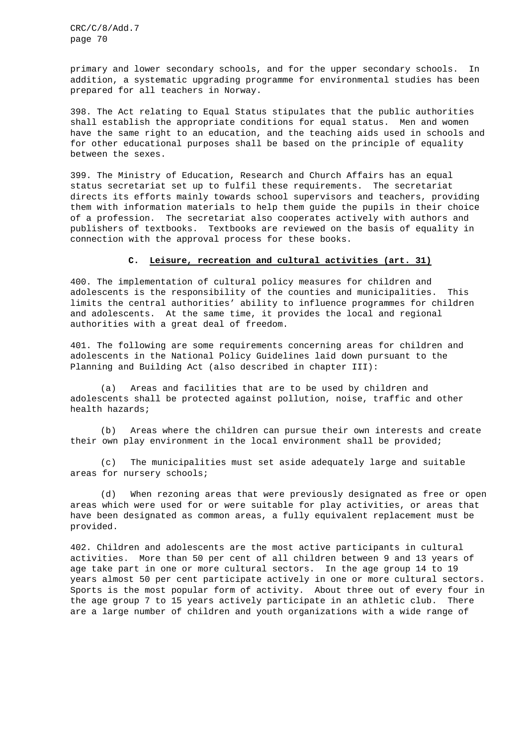primary and lower secondary schools, and for the upper secondary schools. In addition, a systematic upgrading programme for environmental studies has been prepared for all teachers in Norway.

398. The Act relating to Equal Status stipulates that the public authorities shall establish the appropriate conditions for equal status. Men and women have the same right to an education, and the teaching aids used in schools and for other educational purposes shall be based on the principle of equality between the sexes.

399. The Ministry of Education, Research and Church Affairs has an equal status secretariat set up to fulfil these requirements. The secretariat directs its efforts mainly towards school supervisors and teachers, providing them with information materials to help them guide the pupils in their choice of a profession. The secretariat also cooperates actively with authors and publishers of textbooks. Textbooks are reviewed on the basis of equality in connection with the approval process for these books.

### **C. Leisure, recreation and cultural activities (art. 31)**

400. The implementation of cultural policy measures for children and adolescents is the responsibility of the counties and municipalities. This limits the central authorities' ability to influence programmes for children and adolescents. At the same time, it provides the local and regional authorities with a great deal of freedom.

401. The following are some requirements concerning areas for children and adolescents in the National Policy Guidelines laid down pursuant to the Planning and Building Act (also described in chapter III):

(a) Areas and facilities that are to be used by children and adolescents shall be protected against pollution, noise, traffic and other health hazards;

(b) Areas where the children can pursue their own interests and create their own play environment in the local environment shall be provided;

(c) The municipalities must set aside adequately large and suitable areas for nursery schools;

(d) When rezoning areas that were previously designated as free or open areas which were used for or were suitable for play activities, or areas that have been designated as common areas, a fully equivalent replacement must be provided.

402. Children and adolescents are the most active participants in cultural activities. More than 50 per cent of all children between 9 and 13 years of age take part in one or more cultural sectors. In the age group 14 to 19 years almost 50 per cent participate actively in one or more cultural sectors. Sports is the most popular form of activity. About three out of every four in the age group 7 to 15 years actively participate in an athletic club. There are a large number of children and youth organizations with a wide range of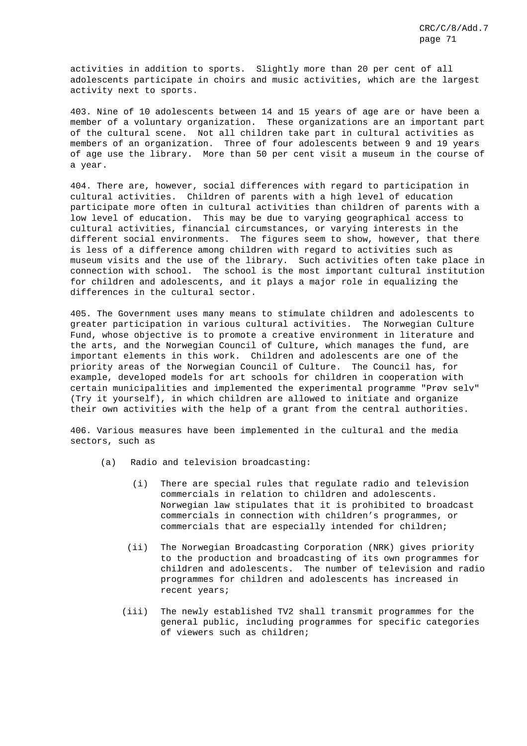activities in addition to sports. Slightly more than 20 per cent of all adolescents participate in choirs and music activities, which are the largest activity next to sports.

403. Nine of 10 adolescents between 14 and 15 years of age are or have been a member of a voluntary organization. These organizations are an important part of the cultural scene. Not all children take part in cultural activities as members of an organization. Three of four adolescents between 9 and 19 years of age use the library. More than 50 per cent visit a museum in the course of a year.

404. There are, however, social differences with regard to participation in cultural activities. Children of parents with a high level of education participate more often in cultural activities than children of parents with a low level of education. This may be due to varying geographical access to cultural activities, financial circumstances, or varying interests in the different social environments. The figures seem to show, however, that there is less of a difference among children with regard to activities such as museum visits and the use of the library. Such activities often take place in connection with school. The school is the most important cultural institution for children and adolescents, and it plays a major role in equalizing the differences in the cultural sector.

405. The Government uses many means to stimulate children and adolescents to greater participation in various cultural activities. The Norwegian Culture Fund, whose objective is to promote a creative environment in literature and the arts, and the Norwegian Council of Culture, which manages the fund, are important elements in this work. Children and adolescents are one of the priority areas of the Norwegian Council of Culture. The Council has, for example, developed models for art schools for children in cooperation with certain municipalities and implemented the experimental programme "Prøv selv" (Try it yourself), in which children are allowed to initiate and organize their own activities with the help of a grant from the central authorities.

406. Various measures have been implemented in the cultural and the media sectors, such as

- (a) Radio and television broadcasting:
	- (i) There are special rules that regulate radio and television commercials in relation to children and adolescents. Norwegian law stipulates that it is prohibited to broadcast commercials in connection with children's programmes, or commercials that are especially intended for children;
	- (ii) The Norwegian Broadcasting Corporation (NRK) gives priority to the production and broadcasting of its own programmes for children and adolescents. The number of television and radio programmes for children and adolescents has increased in recent years;
	- (iii) The newly established TV2 shall transmit programmes for the general public, including programmes for specific categories of viewers such as children;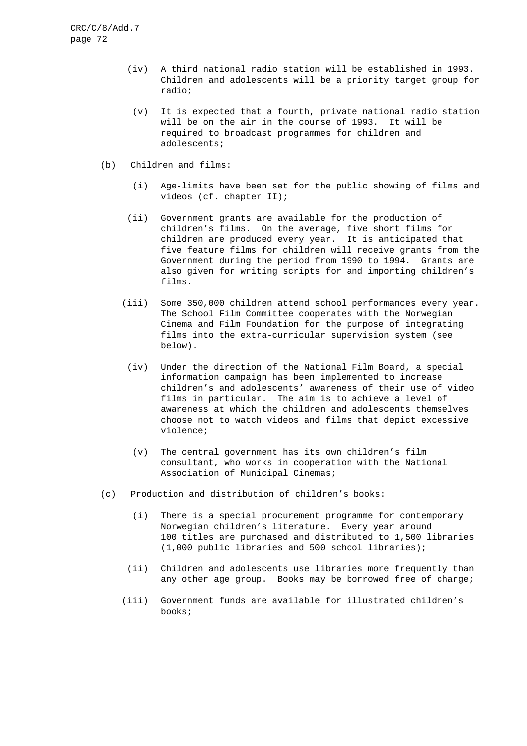- (iv) A third national radio station will be established in 1993. Children and adolescents will be a priority target group for radio;
- (v) It is expected that a fourth, private national radio station will be on the air in the course of 1993. It will be required to broadcast programmes for children and adolescents;
- (b) Children and films:
	- (i) Age-limits have been set for the public showing of films and videos (cf. chapter II);
	- (ii) Government grants are available for the production of children's films. On the average, five short films for children are produced every year. It is anticipated that five feature films for children will receive grants from the Government during the period from 1990 to 1994. Grants are also given for writing scripts for and importing children's films.
	- (iii) Some 350,000 children attend school performances every year. The School Film Committee cooperates with the Norwegian Cinema and Film Foundation for the purpose of integrating films into the extra-curricular supervision system (see below).
	- (iv) Under the direction of the National Film Board, a special information campaign has been implemented to increase children's and adolescents' awareness of their use of video films in particular. The aim is to achieve a level of awareness at which the children and adolescents themselves choose not to watch videos and films that depict excessive violence;
	- (v) The central government has its own children's film consultant, who works in cooperation with the National Association of Municipal Cinemas;
- (c) Production and distribution of children's books:
	- (i) There is a special procurement programme for contemporary Norwegian children's literature. Every year around 100 titles are purchased and distributed to 1,500 libraries (1,000 public libraries and 500 school libraries);
	- (ii) Children and adolescents use libraries more frequently than any other age group. Books may be borrowed free of charge;
	- (iii) Government funds are available for illustrated children's books;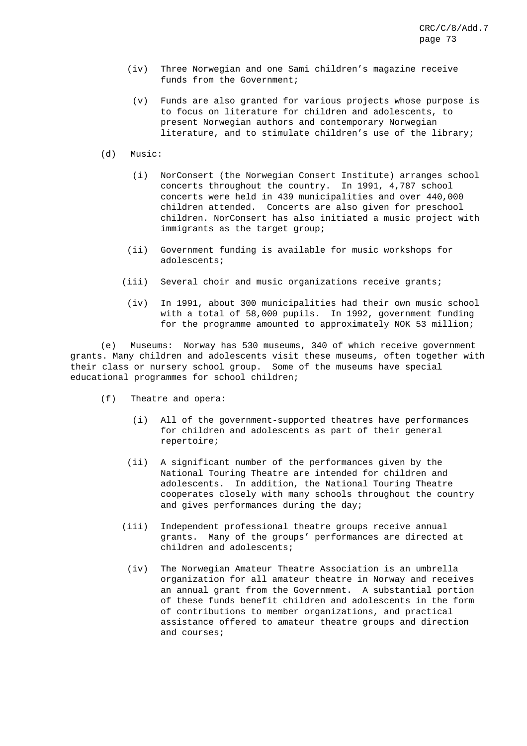- (iv) Three Norwegian and one Sami children's magazine receive funds from the Government;
	- (v) Funds are also granted for various projects whose purpose is to focus on literature for children and adolescents, to present Norwegian authors and contemporary Norwegian literature, and to stimulate children's use of the library;
- (d) Music:
	- (i) NorConsert (the Norwegian Consert Institute) arranges school concerts throughout the country. In 1991, 4,787 school concerts were held in 439 municipalities and over 440,000 children attended. Concerts are also given for preschool children. NorConsert has also initiated a music project with immigrants as the target group;
	- (ii) Government funding is available for music workshops for adolescents;
	- (iii) Several choir and music organizations receive grants;
	- (iv) In 1991, about 300 municipalities had their own music school with a total of 58,000 pupils. In 1992, government funding for the programme amounted to approximately NOK 53 million;

(e) Museums: Norway has 530 museums, 340 of which receive government grants. Many children and adolescents visit these museums, often together with their class or nursery school group. Some of the museums have special educational programmes for school children;

- (f) Theatre and opera:
	- (i) All of the government-supported theatres have performances for children and adolescents as part of their general repertoire;
	- (ii) A significant number of the performances given by the National Touring Theatre are intended for children and adolescents. In addition, the National Touring Theatre cooperates closely with many schools throughout the country and gives performances during the day;
	- (iii) Independent professional theatre groups receive annual grants. Many of the groups' performances are directed at children and adolescents;
		- (iv) The Norwegian Amateur Theatre Association is an umbrella organization for all amateur theatre in Norway and receives an annual grant from the Government. A substantial portion of these funds benefit children and adolescents in the form of contributions to member organizations, and practical assistance offered to amateur theatre groups and direction and courses;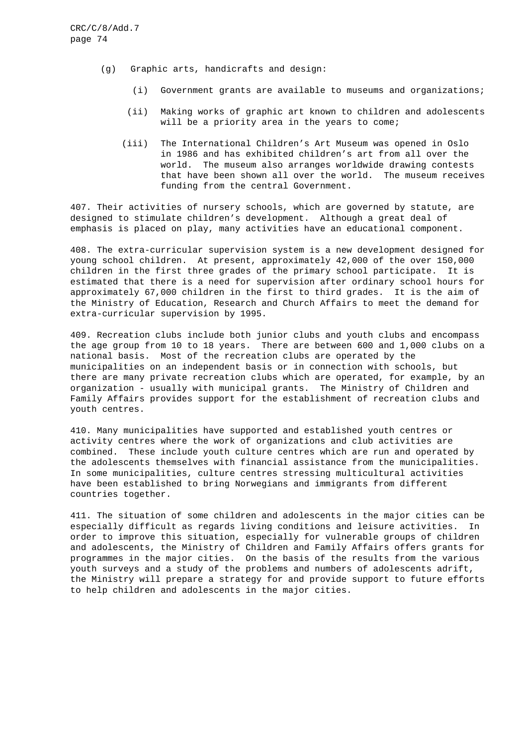- (g) Graphic arts, handicrafts and design:
	- (i) Government grants are available to museums and organizations;
	- (ii) Making works of graphic art known to children and adolescents will be a priority area in the years to come;
	- (iii) The International Children's Art Museum was opened in Oslo in 1986 and has exhibited children's art from all over the world. The museum also arranges worldwide drawing contests that have been shown all over the world. The museum receives funding from the central Government.

407. Their activities of nursery schools, which are governed by statute, are designed to stimulate children's development. Although a great deal of emphasis is placed on play, many activities have an educational component.

408. The extra-curricular supervision system is a new development designed for young school children. At present, approximately 42,000 of the over 150,000 children in the first three grades of the primary school participate. It is estimated that there is a need for supervision after ordinary school hours for approximately 67,000 children in the first to third grades. It is the aim of the Ministry of Education, Research and Church Affairs to meet the demand for extra-curricular supervision by 1995.

409. Recreation clubs include both junior clubs and youth clubs and encompass the age group from 10 to 18 years. There are between 600 and 1,000 clubs on a national basis. Most of the recreation clubs are operated by the municipalities on an independent basis or in connection with schools, but there are many private recreation clubs which are operated, for example, by an organization - usually with municipal grants. The Ministry of Children and Family Affairs provides support for the establishment of recreation clubs and youth centres.

410. Many municipalities have supported and established youth centres or activity centres where the work of organizations and club activities are combined. These include youth culture centres which are run and operated by the adolescents themselves with financial assistance from the municipalities. In some municipalities, culture centres stressing multicultural activities have been established to bring Norwegians and immigrants from different countries together.

411. The situation of some children and adolescents in the major cities can be especially difficult as regards living conditions and leisure activities. In order to improve this situation, especially for vulnerable groups of children and adolescents, the Ministry of Children and Family Affairs offers grants for programmes in the major cities. On the basis of the results from the various youth surveys and a study of the problems and numbers of adolescents adrift, the Ministry will prepare a strategy for and provide support to future efforts to help children and adolescents in the major cities.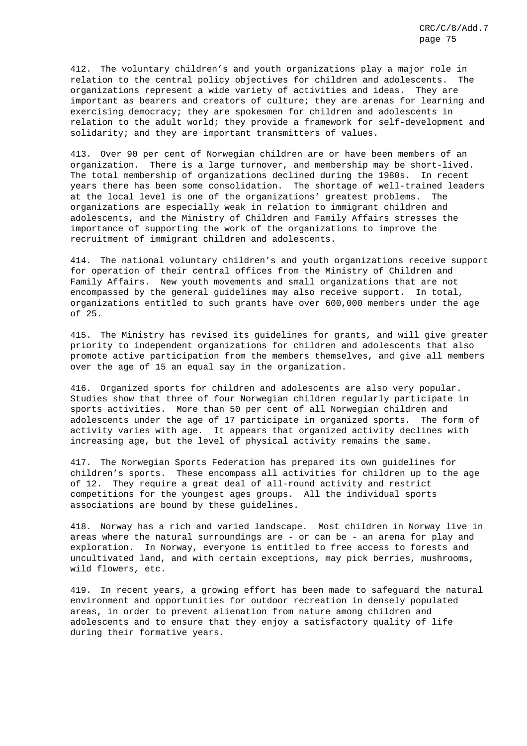412. The voluntary children's and youth organizations play a major role in relation to the central policy objectives for children and adolescents. The organizations represent a wide variety of activities and ideas. They are important as bearers and creators of culture; they are arenas for learning and exercising democracy; they are spokesmen for children and adolescents in relation to the adult world; they provide a framework for self-development and solidarity; and they are important transmitters of values.

413. Over 90 per cent of Norwegian children are or have been members of an organization. There is a large turnover, and membership may be short-lived. The total membership of organizations declined during the 1980s. In recent years there has been some consolidation. The shortage of well-trained leaders at the local level is one of the organizations' greatest problems. The organizations are especially weak in relation to immigrant children and adolescents, and the Ministry of Children and Family Affairs stresses the importance of supporting the work of the organizations to improve the recruitment of immigrant children and adolescents.

414. The national voluntary children's and youth organizations receive support for operation of their central offices from the Ministry of Children and Family Affairs. New youth movements and small organizations that are not encompassed by the general guidelines may also receive support. In total, organizations entitled to such grants have over 600,000 members under the age of 25.

415. The Ministry has revised its guidelines for grants, and will give greater priority to independent organizations for children and adolescents that also promote active participation from the members themselves, and give all members over the age of 15 an equal say in the organization.

416. Organized sports for children and adolescents are also very popular. Studies show that three of four Norwegian children regularly participate in sports activities. More than 50 per cent of all Norwegian children and adolescents under the age of 17 participate in organized sports. The form of activity varies with age. It appears that organized activity declines with increasing age, but the level of physical activity remains the same.

417. The Norwegian Sports Federation has prepared its own guidelines for children's sports. These encompass all activities for children up to the age of 12. They require a great deal of all-round activity and restrict competitions for the youngest ages groups. All the individual sports associations are bound by these guidelines.

418. Norway has a rich and varied landscape. Most children in Norway live in areas where the natural surroundings are - or can be - an arena for play and exploration. In Norway, everyone is entitled to free access to forests and uncultivated land, and with certain exceptions, may pick berries, mushrooms, wild flowers, etc.

419. In recent years, a growing effort has been made to safeguard the natural environment and opportunities for outdoor recreation in densely populated areas, in order to prevent alienation from nature among children and adolescents and to ensure that they enjoy a satisfactory quality of life during their formative years.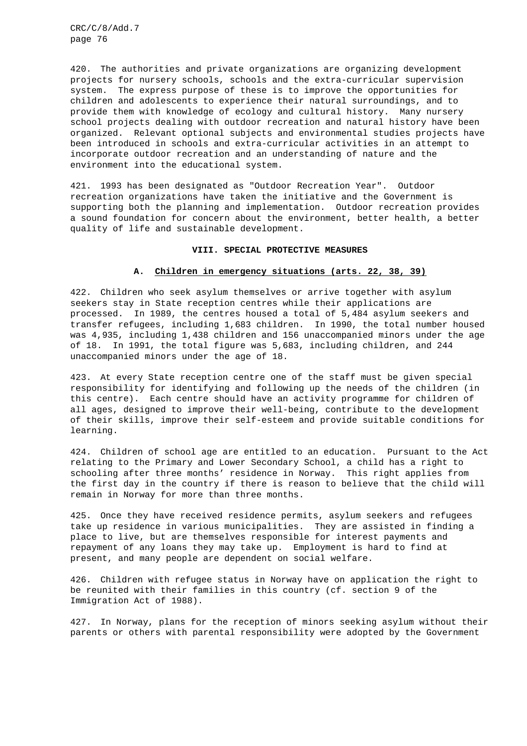420. The authorities and private organizations are organizing development projects for nursery schools, schools and the extra-curricular supervision system. The express purpose of these is to improve the opportunities for children and adolescents to experience their natural surroundings, and to provide them with knowledge of ecology and cultural history. Many nursery school projects dealing with outdoor recreation and natural history have been organized. Relevant optional subjects and environmental studies projects have been introduced in schools and extra-curricular activities in an attempt to incorporate outdoor recreation and an understanding of nature and the environment into the educational system.

421. 1993 has been designated as "Outdoor Recreation Year". Outdoor recreation organizations have taken the initiative and the Government is supporting both the planning and implementation. Outdoor recreation provides a sound foundation for concern about the environment, better health, a better quality of life and sustainable development.

#### **VIII. SPECIAL PROTECTIVE MEASURES**

### **A. Children in emergency situations (arts. 22, 38, 39)**

422. Children who seek asylum themselves or arrive together with asylum seekers stay in State reception centres while their applications are processed. In 1989, the centres housed a total of 5,484 asylum seekers and transfer refugees, including 1,683 children. In 1990, the total number housed was 4,935, including 1,438 children and 156 unaccompanied minors under the age of 18. In 1991, the total figure was 5,683, including children, and 244 unaccompanied minors under the age of 18.

423. At every State reception centre one of the staff must be given special responsibility for identifying and following up the needs of the children (in this centre). Each centre should have an activity programme for children of all ages, designed to improve their well-being, contribute to the development of their skills, improve their self-esteem and provide suitable conditions for learning.

424. Children of school age are entitled to an education. Pursuant to the Act relating to the Primary and Lower Secondary School, a child has a right to schooling after three months' residence in Norway. This right applies from the first day in the country if there is reason to believe that the child will remain in Norway for more than three months.

425. Once they have received residence permits, asylum seekers and refugees take up residence in various municipalities. They are assisted in finding a place to live, but are themselves responsible for interest payments and repayment of any loans they may take up. Employment is hard to find at present, and many people are dependent on social welfare.

426. Children with refugee status in Norway have on application the right to be reunited with their families in this country (cf. section 9 of the Immigration Act of 1988).

427. In Norway, plans for the reception of minors seeking asylum without their parents or others with parental responsibility were adopted by the Government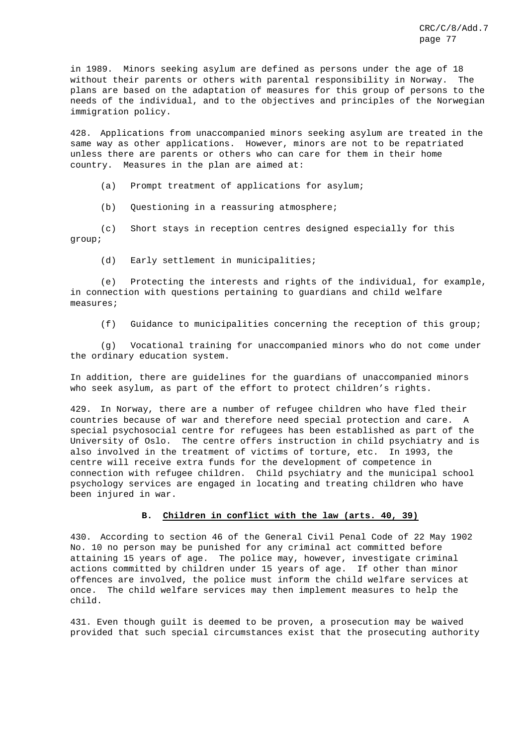in 1989. Minors seeking asylum are defined as persons under the age of 18 without their parents or others with parental responsibility in Norway. The plans are based on the adaptation of measures for this group of persons to the needs of the individual, and to the objectives and principles of the Norwegian immigration policy.

428. Applications from unaccompanied minors seeking asylum are treated in the same way as other applications. However, minors are not to be repatriated unless there are parents or others who can care for them in their home country. Measures in the plan are aimed at:

(a) Prompt treatment of applications for asylum;

(b) Questioning in a reassuring atmosphere;

(c) Short stays in reception centres designed especially for this group;

(d) Early settlement in municipalities;

(e) Protecting the interests and rights of the individual, for example, in connection with questions pertaining to guardians and child welfare measures;

(f) Guidance to municipalities concerning the reception of this group;

(g) Vocational training for unaccompanied minors who do not come under the ordinary education system.

In addition, there are guidelines for the guardians of unaccompanied minors who seek asylum, as part of the effort to protect children's rights.

429. In Norway, there are a number of refugee children who have fled their countries because of war and therefore need special protection and care. A special psychosocial centre for refugees has been established as part of the University of Oslo. The centre offers instruction in child psychiatry and is also involved in the treatment of victims of torture, etc. In 1993, the centre will receive extra funds for the development of competence in connection with refugee children. Child psychiatry and the municipal school psychology services are engaged in locating and treating children who have been injured in war.

## **B. Children in conflict with the law (arts. 40, 39)**

430. According to section 46 of the General Civil Penal Code of 22 May 1902 No. 10 no person may be punished for any criminal act committed before attaining 15 years of age. The police may, however, investigate criminal actions committed by children under 15 years of age. If other than minor offences are involved, the police must inform the child welfare services at once. The child welfare services may then implement measures to help the child.

431. Even though guilt is deemed to be proven, a prosecution may be waived provided that such special circumstances exist that the prosecuting authority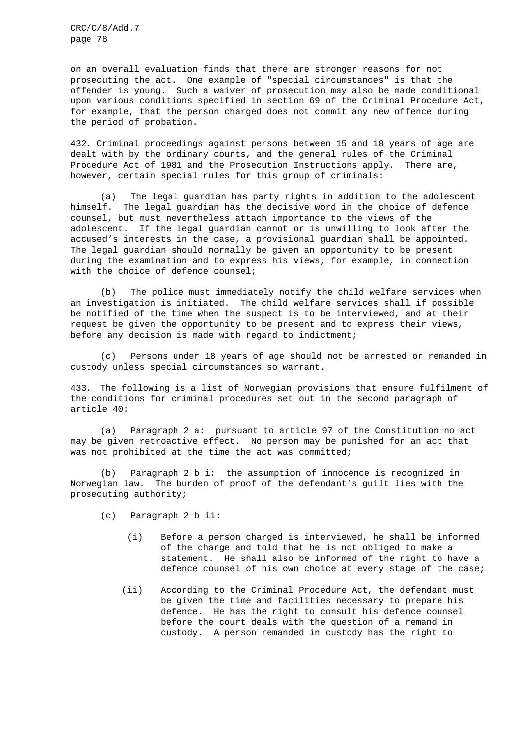on an overall evaluation finds that there are stronger reasons for not prosecuting the act. One example of "special circumstances" is that the offender is young. Such a waiver of prosecution may also be made conditional upon various conditions specified in section 69 of the Criminal Procedure Act, for example, that the person charged does not commit any new offence during the period of probation.

432. Criminal proceedings against persons between 15 and 18 years of age are dealt with by the ordinary courts, and the general rules of the Criminal Procedure Act of 1981 and the Prosecution Instructions apply. There are, however, certain special rules for this group of criminals:

(a) The legal guardian has party rights in addition to the adolescent himself. The legal guardian has the decisive word in the choice of defence counsel, but must nevertheless attach importance to the views of the adolescent. If the legal guardian cannot or is unwilling to look after the accused's interests in the case, a provisional guardian shall be appointed. The legal guardian should normally be given an opportunity to be present during the examination and to express his views, for example, in connection with the choice of defence counsel;

(b) The police must immediately notify the child welfare services when an investigation is initiated. The child welfare services shall if possible be notified of the time when the suspect is to be interviewed, and at their request be given the opportunity to be present and to express their views, before any decision is made with regard to indictment;

(c) Persons under 18 years of age should not be arrested or remanded in custody unless special circumstances so warrant.

433. The following is a list of Norwegian provisions that ensure fulfilment of the conditions for criminal procedures set out in the second paragraph of article 40:

(a) Paragraph 2 a: pursuant to article 97 of the Constitution no act may be given retroactive effect. No person may be punished for an act that was not prohibited at the time the act was committed;

(b) Paragraph 2 b i: the assumption of innocence is recognized in Norwegian law. The burden of proof of the defendant's guilt lies with the prosecuting authority;

- (c) Paragraph 2 b ii:
	- (i) Before a person charged is interviewed, he shall be informed of the charge and told that he is not obliged to make a statement. He shall also be informed of the right to have a defence counsel of his own choice at every stage of the case;
	- (ii) According to the Criminal Procedure Act, the defendant must be given the time and facilities necessary to prepare his defence. He has the right to consult his defence counsel before the court deals with the question of a remand in custody. A person remanded in custody has the right to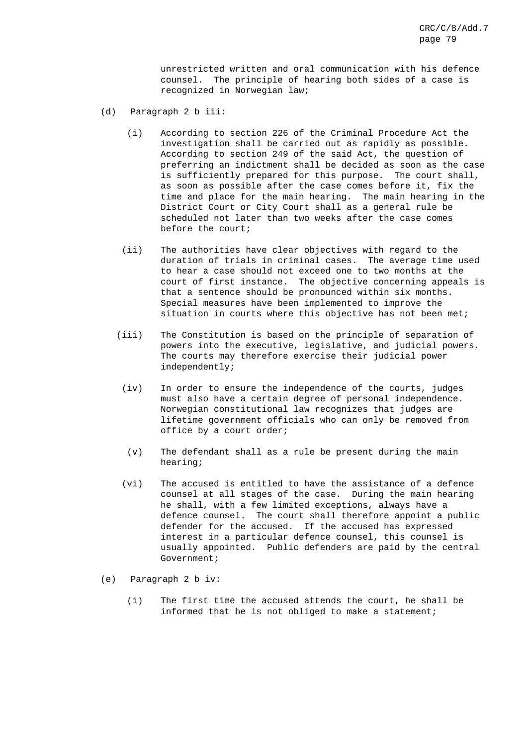unrestricted written and oral communication with his defence counsel. The principle of hearing both sides of a case is recognized in Norwegian law;

- (d) Paragraph 2 b iii:
	- (i) According to section 226 of the Criminal Procedure Act the investigation shall be carried out as rapidly as possible. According to section 249 of the said Act, the question of preferring an indictment shall be decided as soon as the case is sufficiently prepared for this purpose. The court shall, as soon as possible after the case comes before it, fix the time and place for the main hearing. The main hearing in the District Court or City Court shall as a general rule be scheduled not later than two weeks after the case comes before the court;
	- (ii) The authorities have clear objectives with regard to the duration of trials in criminal cases. The average time used to hear a case should not exceed one to two months at the court of first instance. The objective concerning appeals is that a sentence should be pronounced within six months. Special measures have been implemented to improve the situation in courts where this objective has not been met;
	- (iii) The Constitution is based on the principle of separation of powers into the executive, legislative, and judicial powers. The courts may therefore exercise their judicial power independently;
		- (iv) In order to ensure the independence of the courts, judges must also have a certain degree of personal independence. Norwegian constitutional law recognizes that judges are lifetime government officials who can only be removed from office by a court order;
		- (v) The defendant shall as a rule be present during the main hearing;
		- (vi) The accused is entitled to have the assistance of a defence counsel at all stages of the case. During the main hearing he shall, with a few limited exceptions, always have a defence counsel. The court shall therefore appoint a public defender for the accused. If the accused has expressed interest in a particular defence counsel, this counsel is usually appointed. Public defenders are paid by the central Government;
- (e) Paragraph 2 b iv:
	- (i) The first time the accused attends the court, he shall be informed that he is not obliged to make a statement;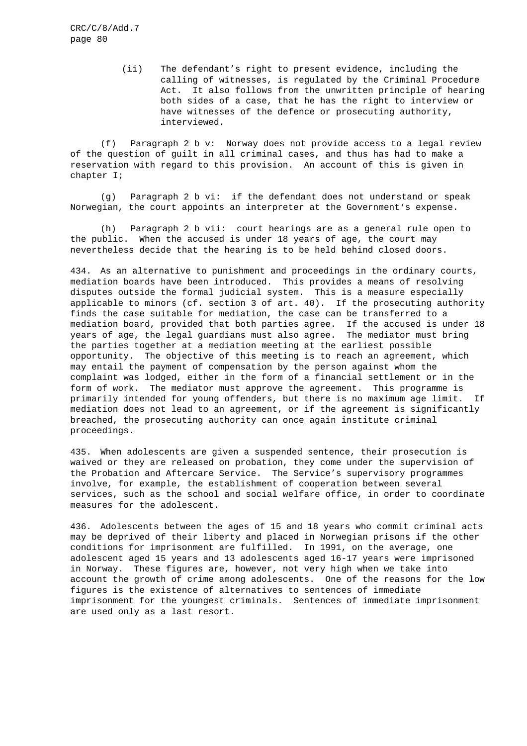> (ii) The defendant's right to present evidence, including the calling of witnesses, is regulated by the Criminal Procedure Act. It also follows from the unwritten principle of hearing both sides of a case, that he has the right to interview or have witnesses of the defence or prosecuting authority, interviewed.

(f) Paragraph 2 b v: Norway does not provide access to a legal review of the question of guilt in all criminal cases, and thus has had to make a reservation with regard to this provision. An account of this is given in chapter I;

(g) Paragraph 2 b vi: if the defendant does not understand or speak Norwegian, the court appoints an interpreter at the Government's expense.

(h) Paragraph 2 b vii: court hearings are as a general rule open to the public. When the accused is under 18 years of age, the court may nevertheless decide that the hearing is to be held behind closed doors.

434. As an alternative to punishment and proceedings in the ordinary courts, mediation boards have been introduced. This provides a means of resolving disputes outside the formal judicial system. This is a measure especially applicable to minors (cf. section 3 of art. 40). If the prosecuting authority finds the case suitable for mediation, the case can be transferred to a mediation board, provided that both parties agree. If the accused is under 18 years of age, the legal guardians must also agree. The mediator must bring the parties together at a mediation meeting at the earliest possible opportunity. The objective of this meeting is to reach an agreement, which may entail the payment of compensation by the person against whom the complaint was lodged, either in the form of a financial settlement or in the form of work. The mediator must approve the agreement. This programme is primarily intended for young offenders, but there is no maximum age limit. If mediation does not lead to an agreement, or if the agreement is significantly breached, the prosecuting authority can once again institute criminal proceedings.

435. When adolescents are given a suspended sentence, their prosecution is waived or they are released on probation, they come under the supervision of the Probation and Aftercare Service. The Service's supervisory programmes involve, for example, the establishment of cooperation between several services, such as the school and social welfare office, in order to coordinate measures for the adolescent.

436. Adolescents between the ages of 15 and 18 years who commit criminal acts may be deprived of their liberty and placed in Norwegian prisons if the other conditions for imprisonment are fulfilled. In 1991, on the average, one adolescent aged 15 years and 13 adolescents aged 16-17 years were imprisoned in Norway. These figures are, however, not very high when we take into account the growth of crime among adolescents. One of the reasons for the low figures is the existence of alternatives to sentences of immediate imprisonment for the youngest criminals. Sentences of immediate imprisonment are used only as a last resort.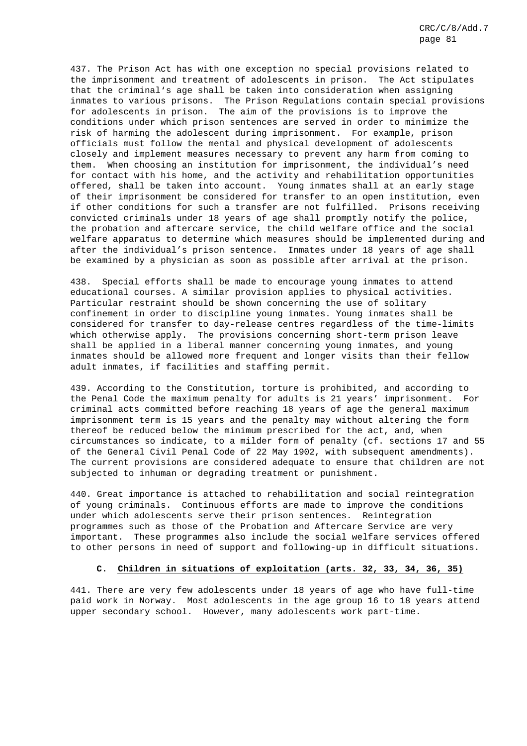437. The Prison Act has with one exception no special provisions related to the imprisonment and treatment of adolescents in prison. The Act stipulates that the criminal's age shall be taken into consideration when assigning inmates to various prisons. The Prison Regulations contain special provisions for adolescents in prison. The aim of the provisions is to improve the conditions under which prison sentences are served in order to minimize the risk of harming the adolescent during imprisonment. For example, prison officials must follow the mental and physical development of adolescents closely and implement measures necessary to prevent any harm from coming to them. When choosing an institution for imprisonment, the individual's need for contact with his home, and the activity and rehabilitation opportunities offered, shall be taken into account. Young inmates shall at an early stage of their imprisonment be considered for transfer to an open institution, even if other conditions for such a transfer are not fulfilled. Prisons receiving convicted criminals under 18 years of age shall promptly notify the police, the probation and aftercare service, the child welfare office and the social welfare apparatus to determine which measures should be implemented during and after the individual's prison sentence. Inmates under 18 years of age shall be examined by a physician as soon as possible after arrival at the prison.

438. Special efforts shall be made to encourage young inmates to attend educational courses. A similar provision applies to physical activities. Particular restraint should be shown concerning the use of solitary confinement in order to discipline young inmates. Young inmates shall be considered for transfer to day-release centres regardless of the time-limits which otherwise apply. The provisions concerning short-term prison leave shall be applied in a liberal manner concerning young inmates, and young inmates should be allowed more frequent and longer visits than their fellow adult inmates, if facilities and staffing permit.

439. According to the Constitution, torture is prohibited, and according to the Penal Code the maximum penalty for adults is 21 years' imprisonment. For criminal acts committed before reaching 18 years of age the general maximum imprisonment term is 15 years and the penalty may without altering the form thereof be reduced below the minimum prescribed for the act, and, when circumstances so indicate, to a milder form of penalty (cf. sections 17 and 55 of the General Civil Penal Code of 22 May 1902, with subsequent amendments). The current provisions are considered adequate to ensure that children are not subjected to inhuman or degrading treatment or punishment.

440. Great importance is attached to rehabilitation and social reintegration of young criminals. Continuous efforts are made to improve the conditions under which adolescents serve their prison sentences. Reintegration programmes such as those of the Probation and Aftercare Service are very important. These programmes also include the social welfare services offered to other persons in need of support and following-up in difficult situations.

# **C. Children in situations of exploitation (arts. 32, 33, 34, 36, 35)**

441. There are very few adolescents under 18 years of age who have full-time paid work in Norway. Most adolescents in the age group 16 to 18 years attend upper secondary school. However, many adolescents work part-time.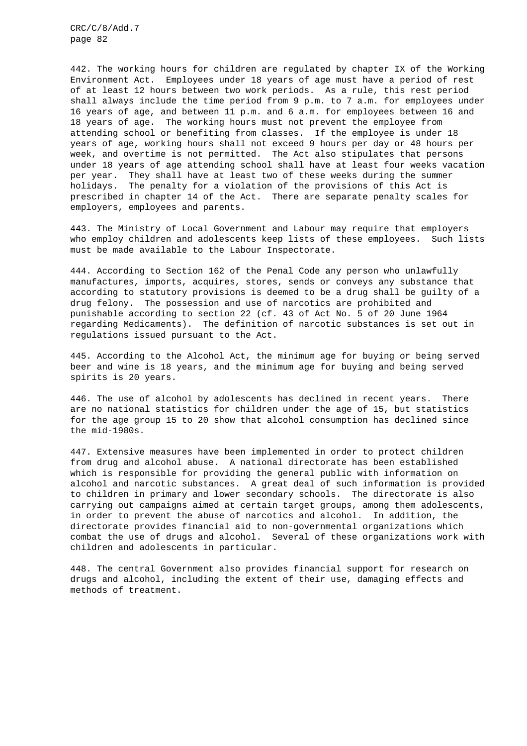442. The working hours for children are regulated by chapter IX of the Working Environment Act. Employees under 18 years of age must have a period of rest of at least 12 hours between two work periods. As a rule, this rest period shall always include the time period from 9 p.m. to 7 a.m. for employees under 16 years of age, and between 11 p.m. and 6 a.m. for employees between 16 and 18 years of age. The working hours must not prevent the employee from attending school or benefiting from classes. If the employee is under 18 years of age, working hours shall not exceed 9 hours per day or 48 hours per week, and overtime is not permitted. The Act also stipulates that persons under 18 years of age attending school shall have at least four weeks vacation per year. They shall have at least two of these weeks during the summer holidays. The penalty for a violation of the provisions of this Act is prescribed in chapter 14 of the Act. There are separate penalty scales for employers, employees and parents.

443. The Ministry of Local Government and Labour may require that employers who employ children and adolescents keep lists of these employees. Such lists must be made available to the Labour Inspectorate.

444. According to Section 162 of the Penal Code any person who unlawfully manufactures, imports, acquires, stores, sends or conveys any substance that according to statutory provisions is deemed to be a drug shall be guilty of a drug felony. The possession and use of narcotics are prohibited and punishable according to section 22 (cf. 43 of Act No. 5 of 20 June 1964 regarding Medicaments). The definition of narcotic substances is set out in regulations issued pursuant to the Act.

445. According to the Alcohol Act, the minimum age for buying or being served beer and wine is 18 years, and the minimum age for buying and being served spirits is 20 years.

446. The use of alcohol by adolescents has declined in recent years. There are no national statistics for children under the age of 15, but statistics for the age group 15 to 20 show that alcohol consumption has declined since the mid-1980s.

447. Extensive measures have been implemented in order to protect children from drug and alcohol abuse. A national directorate has been established which is responsible for providing the general public with information on alcohol and narcotic substances. A great deal of such information is provided to children in primary and lower secondary schools. The directorate is also carrying out campaigns aimed at certain target groups, among them adolescents, in order to prevent the abuse of narcotics and alcohol. In addition, the directorate provides financial aid to non-governmental organizations which combat the use of drugs and alcohol. Several of these organizations work with children and adolescents in particular.

448. The central Government also provides financial support for research on drugs and alcohol, including the extent of their use, damaging effects and methods of treatment.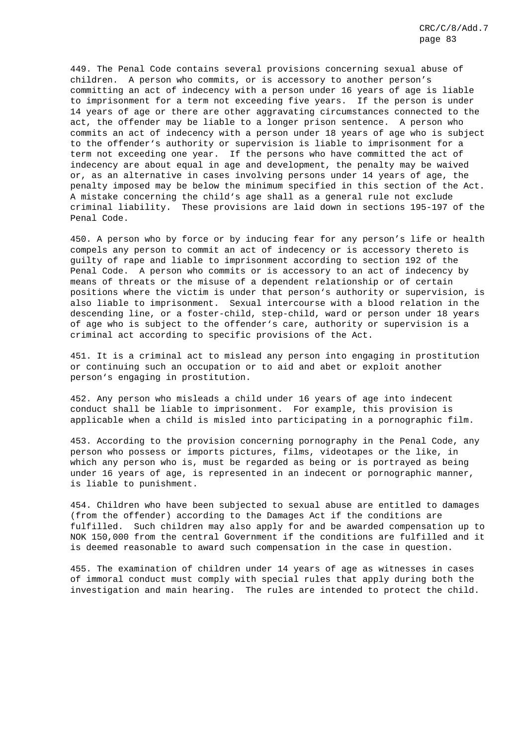449. The Penal Code contains several provisions concerning sexual abuse of children. A person who commits, or is accessory to another person's committing an act of indecency with a person under 16 years of age is liable to imprisonment for a term not exceeding five years. If the person is under 14 years of age or there are other aggravating circumstances connected to the act, the offender may be liable to a longer prison sentence. A person who commits an act of indecency with a person under 18 years of age who is subject to the offender's authority or supervision is liable to imprisonment for a term not exceeding one year. If the persons who have committed the act of indecency are about equal in age and development, the penalty may be waived or, as an alternative in cases involving persons under 14 years of age, the penalty imposed may be below the minimum specified in this section of the Act. A mistake concerning the child's age shall as a general rule not exclude criminal liability. These provisions are laid down in sections 195-197 of the Penal Code.

450. A person who by force or by inducing fear for any person's life or health compels any person to commit an act of indecency or is accessory thereto is guilty of rape and liable to imprisonment according to section 192 of the Penal Code. A person who commits or is accessory to an act of indecency by means of threats or the misuse of a dependent relationship or of certain positions where the victim is under that person's authority or supervision, is also liable to imprisonment. Sexual intercourse with a blood relation in the descending line, or a foster-child, step-child, ward or person under 18 years of age who is subject to the offender's care, authority or supervision is a criminal act according to specific provisions of the Act.

451. It is a criminal act to mislead any person into engaging in prostitution or continuing such an occupation or to aid and abet or exploit another person's engaging in prostitution.

452. Any person who misleads a child under 16 years of age into indecent conduct shall be liable to imprisonment. For example, this provision is applicable when a child is misled into participating in a pornographic film.

453. According to the provision concerning pornography in the Penal Code, any person who possess or imports pictures, films, videotapes or the like, in which any person who is, must be regarded as being or is portrayed as being under 16 years of age, is represented in an indecent or pornographic manner, is liable to punishment.

454. Children who have been subjected to sexual abuse are entitled to damages (from the offender) according to the Damages Act if the conditions are fulfilled. Such children may also apply for and be awarded compensation up to NOK 150,000 from the central Government if the conditions are fulfilled and it is deemed reasonable to award such compensation in the case in question.

455. The examination of children under 14 years of age as witnesses in cases of immoral conduct must comply with special rules that apply during both the investigation and main hearing. The rules are intended to protect the child.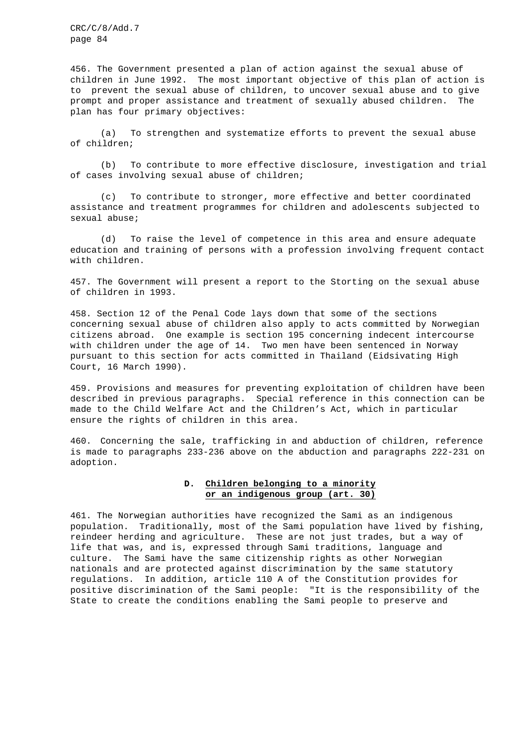456. The Government presented a plan of action against the sexual abuse of children in June 1992. The most important objective of this plan of action is to prevent the sexual abuse of children, to uncover sexual abuse and to give prompt and proper assistance and treatment of sexually abused children. The plan has four primary objectives:

(a) To strengthen and systematize efforts to prevent the sexual abuse of children;

(b) To contribute to more effective disclosure, investigation and trial of cases involving sexual abuse of children;

(c) To contribute to stronger, more effective and better coordinated assistance and treatment programmes for children and adolescents subjected to sexual abuse;

(d) To raise the level of competence in this area and ensure adequate education and training of persons with a profession involving frequent contact with children.

457. The Government will present a report to the Storting on the sexual abuse of children in 1993.

458. Section 12 of the Penal Code lays down that some of the sections concerning sexual abuse of children also apply to acts committed by Norwegian citizens abroad. One example is section 195 concerning indecent intercourse with children under the age of 14. Two men have been sentenced in Norway pursuant to this section for acts committed in Thailand (Eidsivating High Court, 16 March 1990).

459. Provisions and measures for preventing exploitation of children have been described in previous paragraphs. Special reference in this connection can be made to the Child Welfare Act and the Children's Act, which in particular ensure the rights of children in this area.

460. Concerning the sale, trafficking in and abduction of children, reference is made to paragraphs 233-236 above on the abduction and paragraphs 222-231 on adoption.

# **D. Children belonging to a minority or an indigenous group (art. 30)**

461. The Norwegian authorities have recognized the Sami as an indigenous population. Traditionally, most of the Sami population have lived by fishing, reindeer herding and agriculture. These are not just trades, but a way of life that was, and is, expressed through Sami traditions, language and culture. The Sami have the same citizenship rights as other Norwegian nationals and are protected against discrimination by the same statutory regulations. In addition, article 110 A of the Constitution provides for positive discrimination of the Sami people: "It is the responsibility of the State to create the conditions enabling the Sami people to preserve and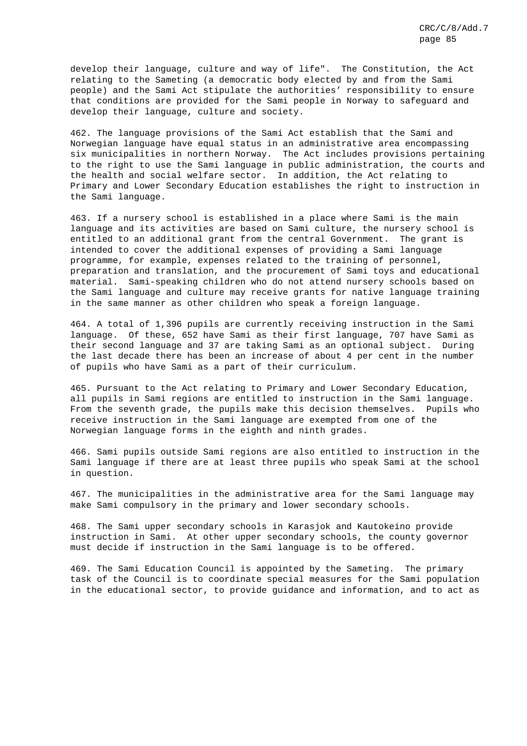develop their language, culture and way of life". The Constitution, the Act relating to the Sameting (a democratic body elected by and from the Sami people) and the Sami Act stipulate the authorities' responsibility to ensure that conditions are provided for the Sami people in Norway to safeguard and develop their language, culture and society.

462. The language provisions of the Sami Act establish that the Sami and Norwegian language have equal status in an administrative area encompassing six municipalities in northern Norway. The Act includes provisions pertaining to the right to use the Sami language in public administration, the courts and the health and social welfare sector. In addition, the Act relating to Primary and Lower Secondary Education establishes the right to instruction in the Sami language.

463. If a nursery school is established in a place where Sami is the main language and its activities are based on Sami culture, the nursery school is entitled to an additional grant from the central Government. The grant is intended to cover the additional expenses of providing a Sami language programme, for example, expenses related to the training of personnel, preparation and translation, and the procurement of Sami toys and educational material. Sami-speaking children who do not attend nursery schools based on the Sami language and culture may receive grants for native language training in the same manner as other children who speak a foreign language.

464. A total of 1,396 pupils are currently receiving instruction in the Sami language. Of these, 652 have Sami as their first language, 707 have Sami as their second language and 37 are taking Sami as an optional subject. During the last decade there has been an increase of about 4 per cent in the number of pupils who have Sami as a part of their curriculum.

465. Pursuant to the Act relating to Primary and Lower Secondary Education, all pupils in Sami regions are entitled to instruction in the Sami language. From the seventh grade, the pupils make this decision themselves. Pupils who receive instruction in the Sami language are exempted from one of the Norwegian language forms in the eighth and ninth grades.

466. Sami pupils outside Sami regions are also entitled to instruction in the Sami language if there are at least three pupils who speak Sami at the school in question.

467. The municipalities in the administrative area for the Sami language may make Sami compulsory in the primary and lower secondary schools.

468. The Sami upper secondary schools in Karasjok and Kautokeino provide instruction in Sami. At other upper secondary schools, the county governor must decide if instruction in the Sami language is to be offered.

469. The Sami Education Council is appointed by the Sameting. The primary task of the Council is to coordinate special measures for the Sami population in the educational sector, to provide guidance and information, and to act as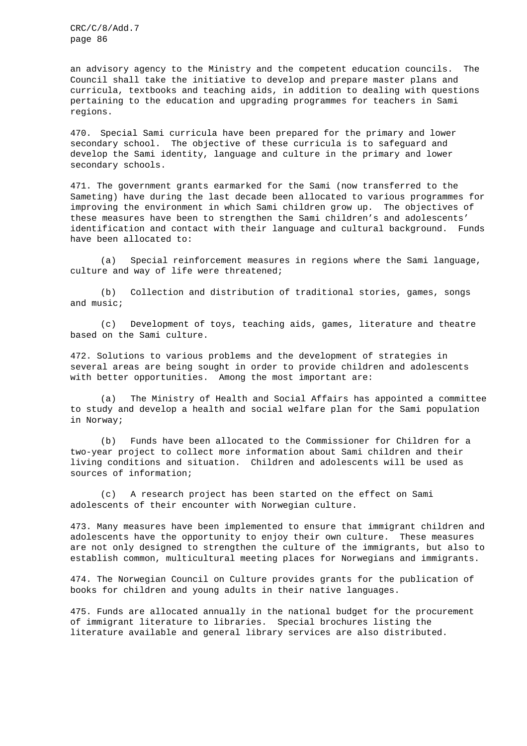an advisory agency to the Ministry and the competent education councils. The Council shall take the initiative to develop and prepare master plans and curricula, textbooks and teaching aids, in addition to dealing with questions pertaining to the education and upgrading programmes for teachers in Sami regions.

470. Special Sami curricula have been prepared for the primary and lower secondary school. The objective of these curricula is to safeguard and develop the Sami identity, language and culture in the primary and lower secondary schools.

471. The government grants earmarked for the Sami (now transferred to the Sameting) have during the last decade been allocated to various programmes for improving the environment in which Sami children grow up. The objectives of these measures have been to strengthen the Sami children's and adolescents' identification and contact with their language and cultural background. Funds have been allocated to:

(a) Special reinforcement measures in regions where the Sami language, culture and way of life were threatened;

(b) Collection and distribution of traditional stories, games, songs and music;

(c) Development of toys, teaching aids, games, literature and theatre based on the Sami culture.

472. Solutions to various problems and the development of strategies in several areas are being sought in order to provide children and adolescents with better opportunities. Among the most important are:

(a) The Ministry of Health and Social Affairs has appointed a committee to study and develop a health and social welfare plan for the Sami population in Norway;

(b) Funds have been allocated to the Commissioner for Children for a two-year project to collect more information about Sami children and their living conditions and situation. Children and adolescents will be used as sources of information;

(c) A research project has been started on the effect on Sami adolescents of their encounter with Norwegian culture.

473. Many measures have been implemented to ensure that immigrant children and adolescents have the opportunity to enjoy their own culture. These measures are not only designed to strengthen the culture of the immigrants, but also to establish common, multicultural meeting places for Norwegians and immigrants.

474. The Norwegian Council on Culture provides grants for the publication of books for children and young adults in their native languages.

475. Funds are allocated annually in the national budget for the procurement of immigrant literature to libraries. Special brochures listing the literature available and general library services are also distributed.